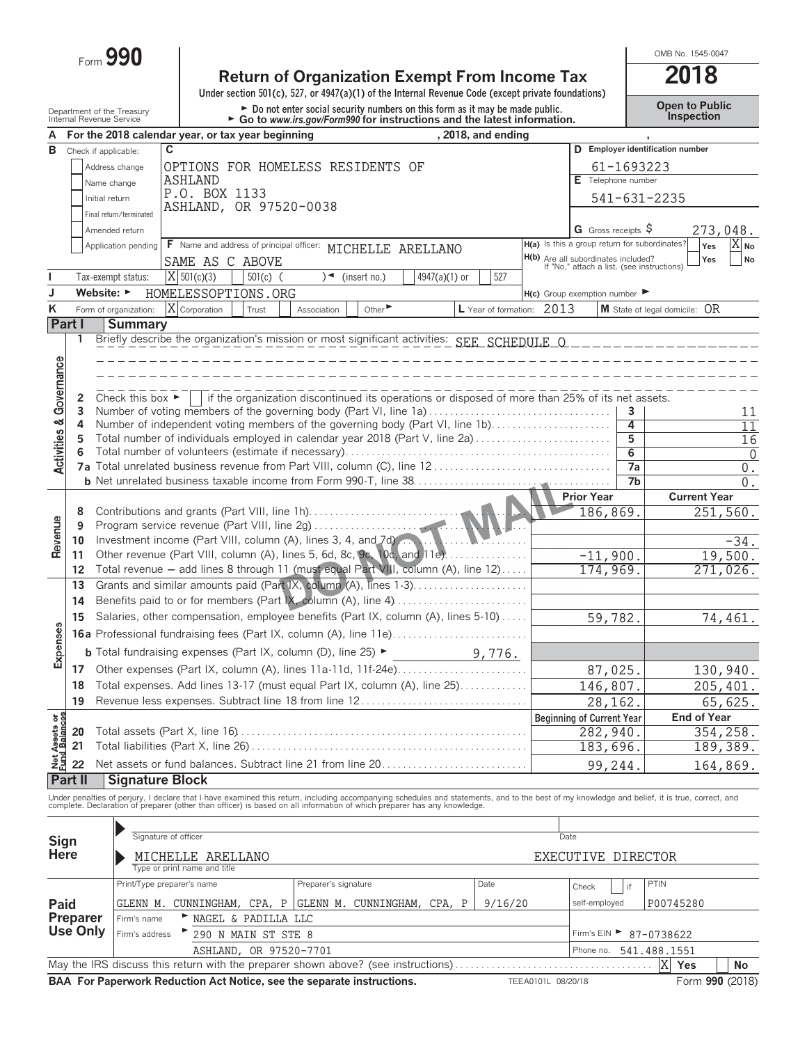Form **990**

## **Return of Organization Exempt From Income Tax 2018**

**Under section 501(c), 527, or 4947(a)(1) of the Internal Revenue Code (except private foundations)**

Department of the Treasury **Depent to Public**<br>Internal Revenue Service **Comparist Compart of the Contingly Condition From Solution** Conditional Revenue Service

OMB No. 1545-0047

| A                              |                                |                                      | For the 2018 calendar year, or tax year beginning                                                                                                                                                                                 |                        |                      | as to mmmmorgom crimeee for mistractic                                                          |               | , 2018, and ending        |                                                                                          |                      |                                  |                           |  |  |
|--------------------------------|--------------------------------|--------------------------------------|-----------------------------------------------------------------------------------------------------------------------------------------------------------------------------------------------------------------------------------|------------------------|----------------------|-------------------------------------------------------------------------------------------------|---------------|---------------------------|------------------------------------------------------------------------------------------|----------------------|----------------------------------|---------------------------|--|--|
| в                              | Check if applicable:           |                                      | C                                                                                                                                                                                                                                 |                        |                      |                                                                                                 |               |                           |                                                                                          |                      | D Employer identification number |                           |  |  |
|                                |                                | Address change                       | OPTIONS FOR HOMELESS RESIDENTS OF                                                                                                                                                                                                 |                        |                      |                                                                                                 |               |                           |                                                                                          | 61-1693223           |                                  |                           |  |  |
|                                |                                |                                      | <b>ASHLAND</b>                                                                                                                                                                                                                    |                        |                      |                                                                                                 |               |                           | E Telephone number                                                                       |                      |                                  |                           |  |  |
|                                |                                | Name change                          | P.O. BOX 1133                                                                                                                                                                                                                     |                        |                      |                                                                                                 |               |                           |                                                                                          |                      |                                  |                           |  |  |
|                                | Initial return                 |                                      | ASHLAND, OR 97520-0038                                                                                                                                                                                                            |                        |                      |                                                                                                 |               |                           | 541-631-2235                                                                             |                      |                                  |                           |  |  |
|                                |                                | Final return/terminated              |                                                                                                                                                                                                                                   |                        |                      |                                                                                                 |               |                           |                                                                                          |                      |                                  |                           |  |  |
|                                |                                | Amended return                       |                                                                                                                                                                                                                                   |                        |                      |                                                                                                 |               |                           | G Gross receipts $\sqrt{5}$                                                              |                      |                                  | 273,048.                  |  |  |
|                                |                                | Application pending                  | F Name and address of principal officer: MICHELLE ARELLANO                                                                                                                                                                        |                        |                      |                                                                                                 |               |                           | H(a) Is this a group return for subordinates?                                            |                      | Yes                              | $X_{N0}$                  |  |  |
|                                |                                |                                      | SAME AS C ABOVE                                                                                                                                                                                                                   |                        |                      |                                                                                                 |               |                           | <b>H(b)</b> Are all subordinates included?<br>If "No," attach a list. (see instructions) |                      | Yes                              | No                        |  |  |
|                                |                                | Tax-exempt status:                   | $ \overline{X} $ 501(c)(3)                                                                                                                                                                                                        | $501(c)$ (             |                      | $\rightarrow$ (insert no.)                                                                      | 4947(a)(1) or | 527                       |                                                                                          |                      |                                  |                           |  |  |
| J                              | Website: $\blacktriangleright$ |                                      | HOMELESSOPTIONS.ORG                                                                                                                                                                                                               |                        |                      |                                                                                                 |               |                           | $H(c)$ Group exemption number                                                            |                      |                                  |                           |  |  |
| K                              |                                | Form of organization:                | X Corporation                                                                                                                                                                                                                     | Trust                  | Association          | Other $\blacktriangleright$                                                                     |               | L Year of formation: 2013 |                                                                                          |                      | M State of legal domicile: OR    |                           |  |  |
|                                | Part I                         | <b>Summary</b>                       |                                                                                                                                                                                                                                   |                        |                      |                                                                                                 |               |                           |                                                                                          |                      |                                  |                           |  |  |
|                                | 1                              |                                      | Briefly describe the organization's mission or most significant activities: SEE_SCHEDULE_O_____________                                                                                                                           |                        |                      |                                                                                                 |               |                           |                                                                                          |                      |                                  |                           |  |  |
|                                |                                |                                      |                                                                                                                                                                                                                                   |                        |                      |                                                                                                 |               |                           |                                                                                          |                      |                                  |                           |  |  |
| Governance                     |                                |                                      |                                                                                                                                                                                                                                   |                        |                      |                                                                                                 |               |                           |                                                                                          |                      |                                  |                           |  |  |
|                                |                                |                                      |                                                                                                                                                                                                                                   |                        |                      |                                                                                                 |               |                           |                                                                                          |                      |                                  |                           |  |  |
|                                | 2                              | Check this box $\blacktriangleright$ |                                                                                                                                                                                                                                   |                        |                      | if the organization discontinued its operations or disposed of more than 25% of its net assets. |               |                           |                                                                                          |                      |                                  |                           |  |  |
|                                | 3                              |                                      | Number of voting members of the governing body (Part VI, line 1a)                                                                                                                                                                 |                        |                      |                                                                                                 |               |                           |                                                                                          | 3                    |                                  | 11                        |  |  |
|                                | 4                              |                                      | Number of independent voting members of the governing body (Part VI, line 1b)                                                                                                                                                     |                        |                      |                                                                                                 |               |                           |                                                                                          | 4                    |                                  | 11                        |  |  |
|                                | 5                              |                                      | Total number of individuals employed in calendar year 2018 (Part V, line 2a)                                                                                                                                                      |                        |                      |                                                                                                 |               |                           |                                                                                          | 5                    |                                  | 16                        |  |  |
| <b>Activities &amp;</b>        | 6                              |                                      |                                                                                                                                                                                                                                   |                        |                      |                                                                                                 |               |                           |                                                                                          | $\overline{6}$<br>7a |                                  | $\Omega$                  |  |  |
|                                |                                |                                      |                                                                                                                                                                                                                                   |                        |                      |                                                                                                 |               |                           |                                                                                          | 7b                   |                                  | $0$ .<br>$\overline{0}$ . |  |  |
|                                |                                |                                      |                                                                                                                                                                                                                                   |                        |                      |                                                                                                 |               |                           | <b>Prior Year</b>                                                                        |                      | <b>Current Year</b>              |                           |  |  |
|                                | 8                              |                                      | Contributions and grants (Part VIII, line 1h)                                                                                                                                                                                     |                        |                      |                                                                                                 |               |                           | 186,869.                                                                                 |                      |                                  | 251,560.                  |  |  |
|                                | 9                              |                                      |                                                                                                                                                                                                                                   |                        |                      |                                                                                                 |               |                           |                                                                                          |                      |                                  |                           |  |  |
| Revenue                        | 10                             |                                      | Investment income (Part VIII, column (A), lines 3, 4, and 7d)                                                                                                                                                                     |                        |                      |                                                                                                 |               |                           |                                                                                          |                      |                                  | $-34.$                    |  |  |
|                                | 11                             |                                      | Other revenue (Part VIII, column (A), lines 5, 6d, 8c, 9c, 10c, and 11e)                                                                                                                                                          |                        |                      |                                                                                                 |               |                           | $-11,900.$                                                                               |                      |                                  | 19,500.                   |  |  |
|                                | 12                             |                                      | Total revenue - add lines 8 through 11 (must equal Part VIII, column (A), line 12)                                                                                                                                                |                        |                      |                                                                                                 |               |                           | 174,969.                                                                                 |                      |                                  | 271,026.                  |  |  |
|                                | 13                             |                                      | Grants and similar amounts paid (Part IX, column (A), lines 1-3)                                                                                                                                                                  |                        |                      |                                                                                                 |               |                           |                                                                                          |                      |                                  |                           |  |  |
|                                | 14                             |                                      |                                                                                                                                                                                                                                   |                        |                      |                                                                                                 |               |                           |                                                                                          |                      |                                  |                           |  |  |
|                                | 15                             |                                      | Salaries, other compensation, employee benefits (Part IX, column (A), lines 5-10)                                                                                                                                                 | 59,782.                |                      |                                                                                                 | 74,461.       |                           |                                                                                          |                      |                                  |                           |  |  |
|                                |                                |                                      |                                                                                                                                                                                                                                   |                        |                      |                                                                                                 |               |                           |                                                                                          |                      |                                  |                           |  |  |
| Expenses                       |                                |                                      |                                                                                                                                                                                                                                   |                        |                      |                                                                                                 |               |                           |                                                                                          |                      |                                  |                           |  |  |
|                                |                                |                                      | <b>b</b> Total fundraising expenses (Part IX, column (D), line $25$ )                                                                                                                                                             |                        |                      |                                                                                                 |               | 9,776.                    |                                                                                          |                      |                                  |                           |  |  |
|                                | 17                             |                                      |                                                                                                                                                                                                                                   |                        |                      |                                                                                                 |               |                           | 87,025.                                                                                  |                      |                                  | 130,940.                  |  |  |
|                                | 18                             |                                      | Total expenses. Add lines 13-17 (must equal Part IX, column (A), line 25)                                                                                                                                                         |                        |                      |                                                                                                 |               |                           | 146,807.                                                                                 |                      |                                  | 205,401.                  |  |  |
|                                | 19                             |                                      | Revenue less expenses. Subtract line 18 from line 12                                                                                                                                                                              |                        |                      |                                                                                                 |               |                           | 28,162.                                                                                  |                      |                                  | 65,625.                   |  |  |
|                                |                                |                                      |                                                                                                                                                                                                                                   |                        |                      |                                                                                                 |               |                           | <b>Beginning of Current Year</b>                                                         |                      | End of Year                      |                           |  |  |
|                                | 20                             |                                      |                                                                                                                                                                                                                                   |                        |                      |                                                                                                 |               |                           | 282,940.                                                                                 |                      |                                  | 354,258.                  |  |  |
| Net Assets or<br>Fund Balances | 21                             |                                      |                                                                                                                                                                                                                                   |                        |                      |                                                                                                 |               |                           | 183,696.                                                                                 |                      |                                  | 189,389.                  |  |  |
|                                | 22                             |                                      | Net assets or fund balances. Subtract line 21 from line 20                                                                                                                                                                        |                        |                      |                                                                                                 |               |                           | 99,244                                                                                   |                      |                                  | 164,869.                  |  |  |
|                                | Part II                        | <b>Signature Block</b>               |                                                                                                                                                                                                                                   |                        |                      |                                                                                                 |               |                           |                                                                                          |                      |                                  |                           |  |  |
|                                |                                |                                      | Under penalties of perjury, I declare that I have examined this return, including accompanying schedules and statements, and to the best of my knowledge and belief, it is true, correct, and<br>complete. Declaration of prepare |                        |                      |                                                                                                 |               |                           |                                                                                          |                      |                                  |                           |  |  |
|                                |                                |                                      |                                                                                                                                                                                                                                   |                        |                      |                                                                                                 |               |                           |                                                                                          |                      |                                  |                           |  |  |
|                                |                                |                                      | Signature of officer                                                                                                                                                                                                              |                        |                      |                                                                                                 |               |                           |                                                                                          |                      |                                  |                           |  |  |
| Sign                           |                                |                                      |                                                                                                                                                                                                                                   |                        |                      |                                                                                                 |               |                           | Date                                                                                     |                      |                                  |                           |  |  |
| <b>Here</b>                    |                                |                                      | ARELLANO<br>MICHELLE                                                                                                                                                                                                              |                        |                      |                                                                                                 |               |                           | EXECUTIVE DIRECTOR                                                                       |                      |                                  |                           |  |  |
|                                |                                |                                      | Type or print name and title                                                                                                                                                                                                      |                        |                      |                                                                                                 |               |                           |                                                                                          |                      |                                  |                           |  |  |
|                                |                                |                                      | Print/Type preparer's name                                                                                                                                                                                                        |                        | Preparer's signature |                                                                                                 |               | Date                      | Check                                                                                    | if                   | PTIN                             |                           |  |  |
| Paid                           |                                |                                      | GLENN M. CUNNINGHAM, CPA, P GLENN M. CUNNINGHAM, CPA, P                                                                                                                                                                           |                        |                      |                                                                                                 |               | 9/16/20                   | self-employed                                                                            |                      | P00745280                        |                           |  |  |
|                                | Preparer                       | Firm's name                          |                                                                                                                                                                                                                                   | NAGEL & PADILLA LLC    |                      |                                                                                                 |               |                           |                                                                                          |                      |                                  |                           |  |  |
|                                | <b>Use Only</b>                | Firm's address                       |                                                                                                                                                                                                                                   | 290 N MAIN ST STE 8    |                      |                                                                                                 |               |                           | Firm's EIN ▶                                                                             |                      | 87-0738622                       |                           |  |  |
|                                |                                |                                      |                                                                                                                                                                                                                                   | ASHLAND, OR 97520-7701 |                      |                                                                                                 |               |                           | Phone no.                                                                                |                      | 541.488.1551                     |                           |  |  |
|                                |                                |                                      |                                                                                                                                                                                                                                   |                        |                      |                                                                                                 |               |                           |                                                                                          |                      | X<br>Yes                         | No                        |  |  |

**BAA For Paperwork Reduction Act Notice, see the separate instructions.** TEEA0101L 08/20/18 Form 990 (2018)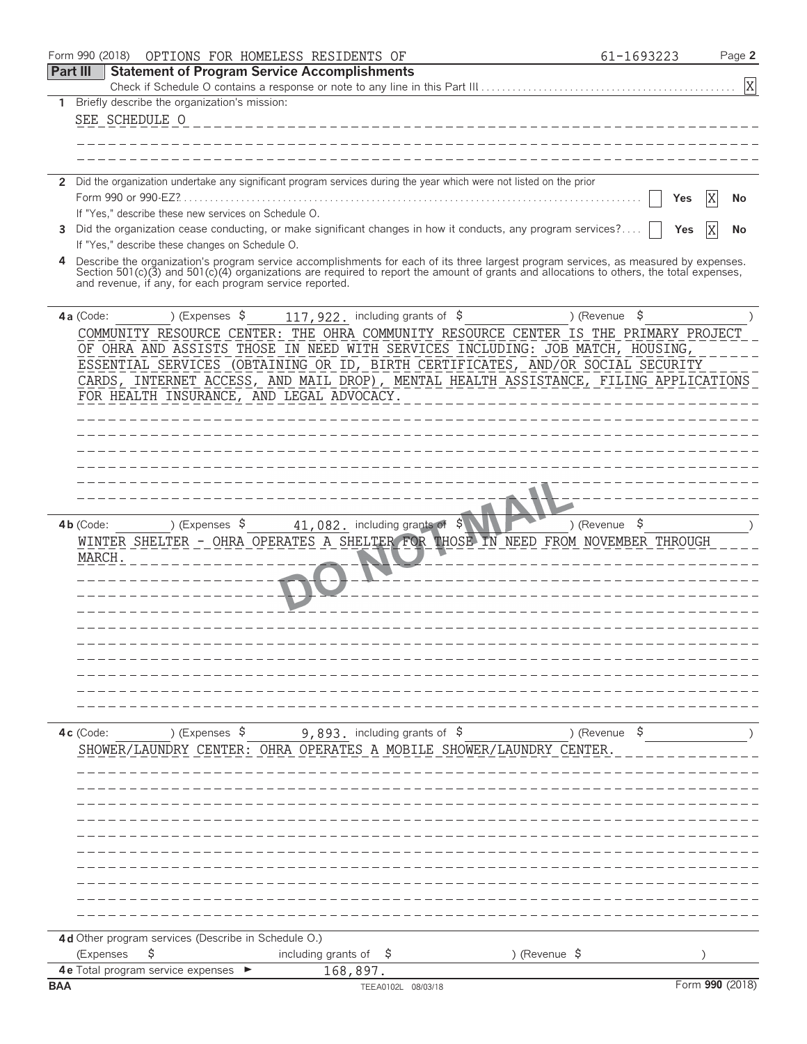|                 | Form 990 (2018)<br>OPTIONS FOR HOMELESS RESIDENTS OF                                                                                                                                                                                                                             | 61-1693223               | Page 2          |
|-----------------|----------------------------------------------------------------------------------------------------------------------------------------------------------------------------------------------------------------------------------------------------------------------------------|--------------------------|-----------------|
| <b>Part III</b> | <b>Statement of Program Service Accomplishments</b>                                                                                                                                                                                                                              |                          |                 |
|                 | Check if Schedule O contains a response or note to any line in this Part III                                                                                                                                                                                                     |                          | X               |
| 1.              | Briefly describe the organization's mission:                                                                                                                                                                                                                                     |                          |                 |
|                 | SEE SCHEDULE O                                                                                                                                                                                                                                                                   |                          |                 |
|                 |                                                                                                                                                                                                                                                                                  |                          |                 |
|                 |                                                                                                                                                                                                                                                                                  |                          |                 |
|                 | 2 Did the organization undertake any significant program services during the year which were not listed on the prior                                                                                                                                                             |                          |                 |
|                 |                                                                                                                                                                                                                                                                                  | Yes                      | ΙX<br>No        |
|                 | If "Yes," describe these new services on Schedule O.                                                                                                                                                                                                                             |                          |                 |
|                 | 3 Did the organization cease conducting, or make significant changes in how it conducts, any program services?                                                                                                                                                                   | Yes                      | ΙX<br>No        |
|                 | If "Yes," describe these changes on Schedule O.                                                                                                                                                                                                                                  |                          |                 |
| 4               | Describe the organization's program service accomplishments for each of its three largest program services, as measured by expenses.<br>Section 501(c)(3) and 501(c)(4) organizations are required to report the amount of grants and allocations to others, the total expenses, |                          |                 |
|                 | and revenue, if any, for each program service reported.                                                                                                                                                                                                                          |                          |                 |
|                 |                                                                                                                                                                                                                                                                                  |                          |                 |
|                 | ) (Expenses $\sqrt{5}$<br>117, 922. including grants of \$<br>4a (Code:                                                                                                                                                                                                          | \$<br>) (Revenue         |                 |
|                 | COMMUNITY RESOURCE CENTER: THE OHRA COMMUNITY RESOURCE CENTER IS THE PRIMARY PROJECT                                                                                                                                                                                             |                          |                 |
|                 | OF OHRA AND ASSISTS THOSE IN NEED WITH SERVICES INCLUDING: JOB MATCH, HOUSING,                                                                                                                                                                                                   |                          |                 |
|                 | ESSENTIAL SERVICES (OBTAINING OR ID, BIRTH CERTIFICATES, AND/OR SOCIAL SECURITY                                                                                                                                                                                                  |                          |                 |
|                 | CARDS, INTERNET ACCESS, AND MAIL DROP), MENTAL HEALTH ASSISTANCE, FILING APPLICATIONS                                                                                                                                                                                            |                          |                 |
|                 | FOR HEALTH INSURANCE, AND LEGAL ADVOCACY.                                                                                                                                                                                                                                        |                          |                 |
|                 |                                                                                                                                                                                                                                                                                  |                          |                 |
|                 |                                                                                                                                                                                                                                                                                  |                          |                 |
|                 |                                                                                                                                                                                                                                                                                  |                          |                 |
|                 |                                                                                                                                                                                                                                                                                  |                          |                 |
|                 |                                                                                                                                                                                                                                                                                  |                          |                 |
|                 |                                                                                                                                                                                                                                                                                  |                          |                 |
|                 | ) (Expenses \$<br>41,082. including grants of \$<br>4b (Code:                                                                                                                                                                                                                    | ) (Revenue $\frac{1}{2}$ |                 |
|                 | WINTER SHELTER - OHRA OPERATES A SHELTER FOR THOSE IN NEED FROM NOVEMBER THROUGH                                                                                                                                                                                                 |                          |                 |
|                 | MARCH                                                                                                                                                                                                                                                                            |                          |                 |
|                 |                                                                                                                                                                                                                                                                                  |                          |                 |
|                 |                                                                                                                                                                                                                                                                                  |                          |                 |
|                 |                                                                                                                                                                                                                                                                                  |                          |                 |
|                 |                                                                                                                                                                                                                                                                                  |                          |                 |
|                 |                                                                                                                                                                                                                                                                                  |                          |                 |
|                 |                                                                                                                                                                                                                                                                                  |                          |                 |
|                 |                                                                                                                                                                                                                                                                                  |                          |                 |
|                 |                                                                                                                                                                                                                                                                                  |                          |                 |
|                 |                                                                                                                                                                                                                                                                                  |                          |                 |
|                 |                                                                                                                                                                                                                                                                                  |                          |                 |
|                 | 9,893. including grants of \$<br>4c (Code:<br>) (Expenses $\frac{1}{2}$                                                                                                                                                                                                          | ) (Revenue $\frac{1}{2}$ |                 |
|                 | SHOWER/LAUNDRY CENTER: OHRA OPERATES A MOBILE SHOWER/LAUNDRY CENTER.                                                                                                                                                                                                             |                          |                 |
|                 |                                                                                                                                                                                                                                                                                  |                          |                 |
|                 |                                                                                                                                                                                                                                                                                  |                          |                 |
|                 |                                                                                                                                                                                                                                                                                  |                          |                 |
|                 |                                                                                                                                                                                                                                                                                  |                          |                 |
|                 |                                                                                                                                                                                                                                                                                  |                          |                 |
|                 |                                                                                                                                                                                                                                                                                  |                          |                 |
|                 |                                                                                                                                                                                                                                                                                  |                          |                 |
|                 |                                                                                                                                                                                                                                                                                  |                          |                 |
|                 |                                                                                                                                                                                                                                                                                  |                          |                 |
|                 |                                                                                                                                                                                                                                                                                  |                          |                 |
|                 | 4d Other program services (Describe in Schedule O.)                                                                                                                                                                                                                              |                          |                 |
|                 | (Expenses<br>\$<br>including grants of<br>) (Revenue $\frac{1}{2}$<br>.Ş                                                                                                                                                                                                         |                          |                 |
|                 | 4e Total program service expenses<br>168,897.                                                                                                                                                                                                                                    |                          | Form 990 (2018) |
| <b>BAA</b>      | TEEA0102L 08/03/18                                                                                                                                                                                                                                                               |                          |                 |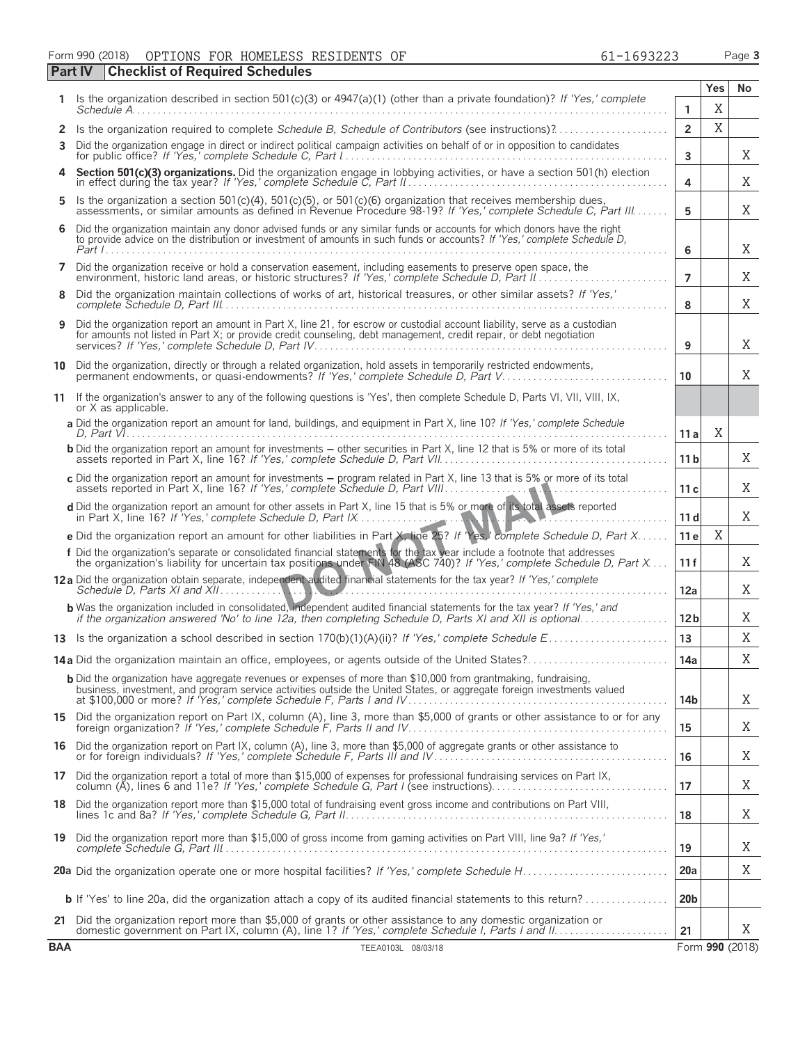Form 990 (2018) OPTIONS FOR HOMELESS RESIDENTS OF 61-1693223 Page **3** 

|                | <b>Part IV</b><br><b>Checklist of Required Schedules</b>                                                                                                                                                                                            |                 |             |                 |
|----------------|-----------------------------------------------------------------------------------------------------------------------------------------------------------------------------------------------------------------------------------------------------|-----------------|-------------|-----------------|
| 1.             | Is the organization described in section 501(c)(3) or 4947(a)(1) (other than a private foundation)? If 'Yes,' complete                                                                                                                              |                 | <b>Yes</b>  | No              |
|                |                                                                                                                                                                                                                                                     | 1               | X           |                 |
| 2<br>3         | Is the organization required to complete Schedule B, Schedule of Contributors (see instructions)?<br>Did the organization engage in direct or indirect political campaign activities on behalf of or in opposition to candidates                    | $\overline{2}$  | X           |                 |
|                |                                                                                                                                                                                                                                                     | 3               |             | Χ               |
| 4              | Section 501(c)(3) organizations. Did the organization engage in lobbying activities, or have a section 501(h) election in effect during the tax year? If 'Yes,' complete Schedule C, Part II.                                                       | 4               |             | X               |
| 5              | Is the organization a section 501(c)(4), 501(c)(5), or 501(c)(6) organization that receives membership dues,<br>assessments, or similar amounts as defined in Revenue Procedure 98-19? If 'Yes,' complete Schedule C, Part III                      | 5               |             | X               |
| 6              | Did the organization maintain any donor advised funds or any similar funds or accounts for which donors have the right<br>to provide advice on the distribution or investment of amounts in such funds or accounts? If 'Yes,' complete Schedule D,  | 6               |             | X               |
| $\overline{ }$ | Did the organization receive or hold a conservation easement, including easements to preserve open space, the<br>environment, historic land areas, or historic structures? If 'Yes,' complete Schedule D, Part II.                                  | $\overline{7}$  |             | X               |
| 8              | Did the organization maintain collections of works of art, historical treasures, or other similar assets? If 'Yes,'                                                                                                                                 | 8               |             | X               |
| 9              | Did the organization report an amount in Part X, line 21, for escrow or custodial account liability, serve as a custodian<br>for amounts not listed in Part X; or provide credit counseling, debt management, credit repair, or debt negotiation    | 9               |             | X               |
|                | 10 Did the organization, directly or through a related organization, hold assets in temporarily restricted endowments,<br>permanent endowments, or quasi-endowments? If 'Yes,' complete Schedule D, Part V                                          | 10              |             | X               |
|                | 11 If the organization's answer to any of the following questions is 'Yes', then complete Schedule D, Parts VI, VII, VIII, IX,<br>or X as applicable.                                                                                               |                 |             |                 |
|                | a Did the organization report an amount for land, buildings, and equipment in Part X, line 10? If 'Yes,' complete Schedule                                                                                                                          | 11 a            | Χ           |                 |
|                | <b>b</b> Did the organization report an amount for investments – other securities in Part X, line 12 that is 5% or more of its total                                                                                                                | 11 <sub>b</sub> |             | Χ               |
|                | c Did the organization report an amount for investments - program related in Part X, line 13 that is 5% or more of its total                                                                                                                        | 11 c            |             | Χ               |
|                | d Did the organization report an amount for other assets in Part X, line 15 that is 5% or more of its total assets reported                                                                                                                         | 11 <sub>d</sub> |             | Χ               |
|                | e Did the organization report an amount for other liabilities in Part X, line 25? If 'Yes,' complete Schedule D, Part X                                                                                                                             | 11 e            | $\mathbf X$ |                 |
|                | f Did the organization's separate or consolidated financial statements for the tax year include a footnote that addresses<br>the organization's liability for uncertain tax positions under FIN 48 (ASC 740)? If 'Yes,' complete Schedule D, Part X | 11f             |             | X               |
|                | 12a Did the organization obtain separate, independent audited financial statements for the tax year? If 'Yes,' complete                                                                                                                             | 12a             |             | Χ               |
|                | <b>b</b> Was the organization included in consolidated, independent audited financial statements for the tax year? If 'Yes,' and                                                                                                                    | 12 <sub>b</sub> |             | Χ               |
|                |                                                                                                                                                                                                                                                     | 13              |             | X               |
|                |                                                                                                                                                                                                                                                     | 14a             |             | Χ               |
|                | <b>b</b> Did the organization have aggregate revenues or expenses of more than \$10,000 from grantmaking, fundraising,<br>business, investment, and program service activities outside the United States, or aggregate foreign investments valued   | 14b             |             | Χ               |
|                | 15 Did the organization report on Part IX, column (A), line 3, more than \$5,000 of grants or other assistance to or for any                                                                                                                        | 15              |             | Χ               |
|                | 16 Did the organization report on Part IX, column (A), line 3, more than \$5,000 of aggregate grants or other assistance to                                                                                                                         | 16              |             | X               |
|                | 17 Did the organization report a total of more than \$15,000 of expenses for professional fundraising services on Part IX, column (A), lines 6 and 11e? If 'Yes,' complete Schedule G, Part I (see instructions)                                    | 17              |             | X               |
|                | 18 Did the organization report more than \$15,000 total of fundraising event gross income and contributions on Part VIII,                                                                                                                           | 18              |             | Χ               |
|                | 19 Did the organization report more than \$15,000 of gross income from gaming activities on Part VIII, line 9a? If 'Yes,'                                                                                                                           | 19              |             | Χ               |
|                |                                                                                                                                                                                                                                                     | <b>20a</b>      |             | X               |
|                | <b>b</b> If 'Yes' to line 20a, did the organization attach a copy of its audited financial statements to this return?                                                                                                                               | 20 <sub>b</sub> |             |                 |
| 21             | Did the organization report more than \$5,000 of grants or other assistance to any domestic organization or                                                                                                                                         | 21              |             | X               |
| <b>BAA</b>     | TEEA0103L 08/03/18                                                                                                                                                                                                                                  |                 |             | Form 990 (2018) |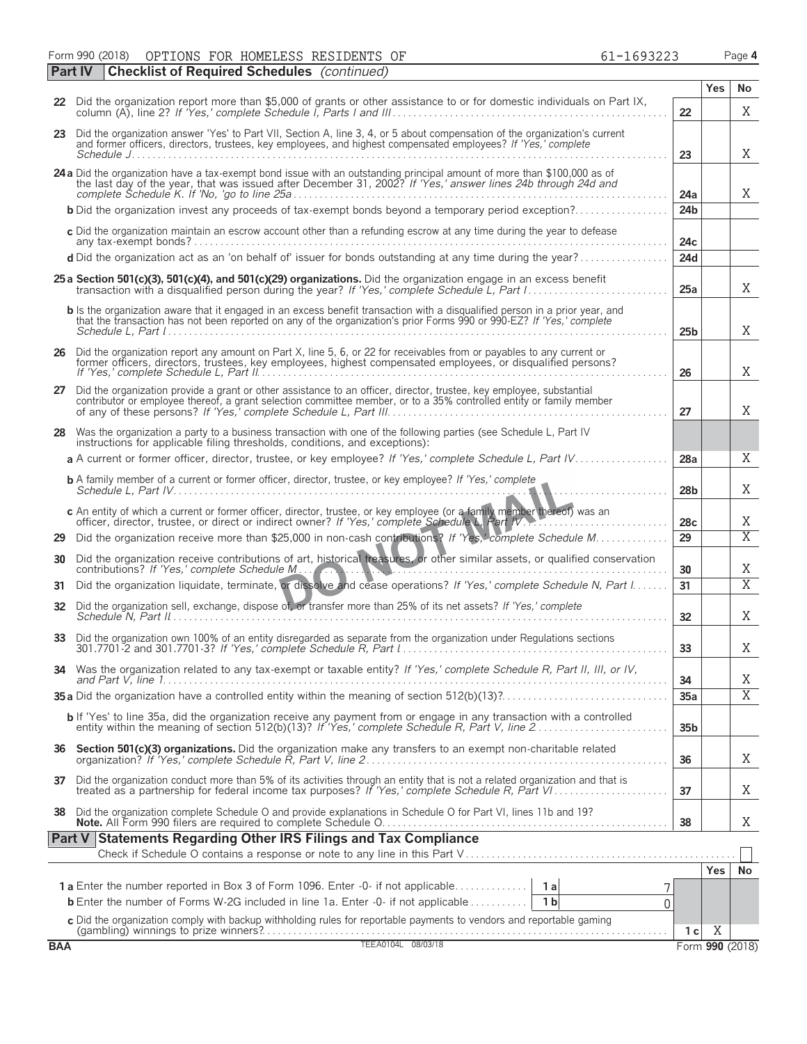Form 990 (2018) OPTIONS FOR HOMELESS RESIDENTS OF 61-1693223 Page **4** OPTIONS FOR HOMELESS RESIDENTS OF  $61-1693223$ 

|     | <b>Part IV</b> | <b>Checklist of Required Schedules</b> (continued)                                                                                                                                                                                                    |                 |                 |                         |
|-----|----------------|-------------------------------------------------------------------------------------------------------------------------------------------------------------------------------------------------------------------------------------------------------|-----------------|-----------------|-------------------------|
|     |                |                                                                                                                                                                                                                                                       |                 | <b>Yes</b>      | No                      |
|     |                | 22 Did the organization report more than \$5,000 of grants or other assistance to or for domestic individuals on Part IX,                                                                                                                             | 22              |                 | X                       |
|     |                | 23 Did the organization answer 'Yes' to Part VII, Section A, line 3, 4, or 5 about compensation of the organization's current<br>and former officers, directors, trustees, key employees, and highest compensated employees? If 'Yes,' complete       | 23              |                 | X                       |
|     |                | 24a Did the organization have a tax-exempt bond issue with an outstanding principal amount of more than \$100,000 as of the last day of the year, that was issued after December 31, 2002? If 'Yes,' answer lines 24b through 2                       | 24a             |                 | X                       |
|     |                | <b>b</b> Did the organization invest any proceeds of tax-exempt bonds beyond a temporary period exception?                                                                                                                                            | 24 <sub>b</sub> |                 |                         |
|     |                | c Did the organization maintain an escrow account other than a refunding escrow at any time during the year to defease                                                                                                                                | 24c             |                 |                         |
|     |                | d Did the organization act as an 'on behalf of' issuer for bonds outstanding at any time during the year?                                                                                                                                             | 24d             |                 |                         |
|     |                | 25 a Section 501(c)(3), 501(c)(4), and 501(c)(29) organizations. Did the organization engage in an excess benefit                                                                                                                                     | 25a             |                 | X                       |
|     |                | b Is the organization aware that it engaged in an excess benefit transaction with a disqualified person in a prior year, and<br>that the transaction has not been reported on any of the organization's prior Forms 990 or 990-EZ? If 'Yes,' complete | 25 <sub>b</sub> |                 | X                       |
| 26  |                | Did the organization report any amount on Part X, line 5, 6, or 22 for receivables from or payables to any current or<br>former officers, directors, trustees, key employees, highest compensated employees, or disqualified pers                     | 26              |                 | Χ                       |
| 27  |                | Did the organization provide a grant or other assistance to an officer, director, trustee, key employee, substantial<br>contributor or employee thereof, a grant selection committee member, or to a 35% controlled entity or fam                     | 27              |                 | X                       |
|     |                | 28 Was the organization a party to a business transaction with one of the following parties (see Schedule L, Part IV<br>instructions for applicable filing thresholds, conditions, and exceptions):                                                   |                 |                 |                         |
|     |                | a A current or former officer, director, trustee, or key employee? If 'Yes,' complete Schedule L, Part IV                                                                                                                                             | 28a             |                 | X                       |
|     |                | <b>b</b> A family member of a current or former officer, director, trustee, or key employee? If 'Yes,' complete                                                                                                                                       | 28 <sub>b</sub> |                 | X                       |
|     |                | c An entity of which a current or former officer, director, trustee, or key employee (or a family member thereof) was an<br>officer, director, trustee, or direct or indirect owner? If 'Yes,' complete Schedule L, Part IV.                          | 28c             |                 | X                       |
| 29  |                | Did the organization receive more than \$25,000 in non-cash contributions? If 'Yes,' complete Schedule M                                                                                                                                              | 29              |                 | $\overline{\mathrm{X}}$ |
|     |                | 30 Did the organization receive contributions of art, historical treasures, or other similar assets, or qualified conservation<br>contributions? If 'Yes,' complete Schedule M.                                                                       | 30              |                 | X                       |
| 31  |                | Did the organization liquidate, terminate, or dissolve and cease operations? If 'Yes,' complete Schedule N, Part I                                                                                                                                    | 31              |                 | $\overline{\mathrm{X}}$ |
|     |                | 32 Did the organization sell, exchange, dispose of, or transfer more than 25% of its net assets? If 'Yes,' complete                                                                                                                                   | 32              |                 | X                       |
|     |                | 33 Did the organization own 100% of an entity disregarded as separate from the organization under Regulations sections                                                                                                                                | 33              |                 | X                       |
|     |                | 34 Was the organization related to any tax-exempt or taxable entity? If 'Yes,' complete Schedule R, Part II, III, or IV,                                                                                                                              | 34              |                 | Χ                       |
|     |                |                                                                                                                                                                                                                                                       | 35a             |                 | $\overline{\mathrm{X}}$ |
|     |                | b If 'Yes' to line 35a, did the organization receive any payment from or engage in any transaction with a controlled                                                                                                                                  | 35 <sub>b</sub> |                 |                         |
| 36  |                | Section 501(c)(3) organizations. Did the organization make any transfers to an exempt non-charitable related                                                                                                                                          | 36              |                 | X                       |
|     |                | 37 Did the organization conduct more than 5% of its activities through an entity that is not a related organization and that is<br>treated as a partnership for federal income tax purposes? If 'Yes,' complete Schedule R, Part VI                   | 37              |                 | Χ                       |
| 38  |                | Did the organization complete Schedule O and provide explanations in Schedule O for Part VI, lines 11b and 19?                                                                                                                                        | 38              |                 | X.                      |
|     | Part V         | <b>Statements Regarding Other IRS Filings and Tax Compliance</b>                                                                                                                                                                                      |                 |                 |                         |
|     |                |                                                                                                                                                                                                                                                       |                 |                 |                         |
|     |                |                                                                                                                                                                                                                                                       |                 | <b>Yes</b>      | No                      |
|     |                | 1a Enter the number reported in Box 3 of Form 1096. Enter -0- if not applicable<br>1a<br><b>b</b> Enter the number of Forms W-2G included in line 1a. Enter -0- if not applicable<br>1 <sub>b</sub><br>0                                              |                 |                 |                         |
|     |                | c Did the organization comply with backup withholding rules for reportable payments to vendors and reportable gaming                                                                                                                                  |                 |                 |                         |
|     |                |                                                                                                                                                                                                                                                       | 1 c             | Χ               |                         |
| BAA |                | TEEA0104L 08/03/18                                                                                                                                                                                                                                    |                 | Form 990 (2018) |                         |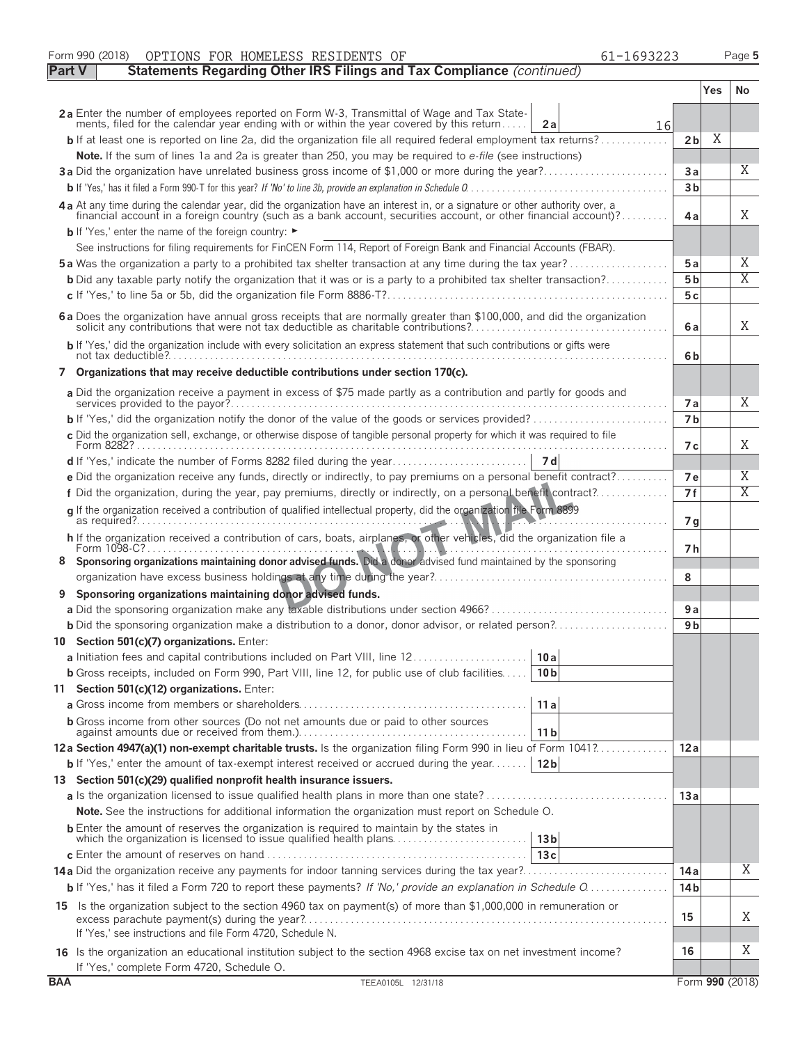|               | Form 990 (2018)<br>OPTIONS FOR HOMELESS RESIDENTS OF<br>61-1693223                                                                                                                                                                               |                 |     | Page 5                  |
|---------------|--------------------------------------------------------------------------------------------------------------------------------------------------------------------------------------------------------------------------------------------------|-----------------|-----|-------------------------|
| <b>Part V</b> | Statements Regarding Other IRS Filings and Tax Compliance (continued)                                                                                                                                                                            |                 |     |                         |
|               |                                                                                                                                                                                                                                                  |                 | Yes | No.                     |
|               | 2a Enter the number of employees reported on Form W-3, Transmittal of Wage and Tax State-<br>ments, filed for the calendar year ending with or within the year covered by this return<br>2a<br>16                                                |                 |     |                         |
|               | <b>b</b> If at least one is reported on line 2a, did the organization file all required federal employment tax returns?                                                                                                                          | 2 <sub>b</sub>  | Χ   |                         |
|               | Note. If the sum of lines 1a and 2a is greater than 250, you may be required to e-file (see instructions)                                                                                                                                        |                 |     |                         |
|               |                                                                                                                                                                                                                                                  | Зa              |     | X                       |
|               |                                                                                                                                                                                                                                                  | 3 <sub>b</sub>  |     |                         |
|               | 4a At any time during the calendar year, did the organization have an interest in, or a signature or other authority over, a<br>financial account in a foreign country (such as a bank account, securities account, or other financial account)? | 4a              |     | X                       |
|               | b If 'Yes,' enter the name of the foreign country: ►                                                                                                                                                                                             |                 |     |                         |
|               | See instructions for filing requirements for FinCEN Form 114, Report of Foreign Bank and Financial Accounts (FBAR).                                                                                                                              |                 |     |                         |
|               | <b>5a</b> Was the organization a party to a prohibited tax shelter transaction at any time during the tax year?                                                                                                                                  | 5 a             |     | Χ<br>$\overline{X}$     |
|               | <b>b</b> Did any taxable party notify the organization that it was or is a party to a prohibited tax shelter transaction?                                                                                                                        | 5 <sub>b</sub>  |     |                         |
|               |                                                                                                                                                                                                                                                  | 5c              |     |                         |
|               | 6 a Does the organization have annual gross receipts that are normally greater than \$100,000, and did the organization solicit any contributions that were not tax deductible as charitable contributions?                                      | 6a              |     | X                       |
|               | b If 'Yes,' did the organization include with every solicitation an express statement that such contributions or gifts were                                                                                                                      | 6b              |     |                         |
|               | 7 Organizations that may receive deductible contributions under section 170(c).                                                                                                                                                                  |                 |     |                         |
|               | a Did the organization receive a payment in excess of \$75 made partly as a contribution and partly for goods and                                                                                                                                | 7а              |     | X                       |
|               |                                                                                                                                                                                                                                                  | 7 <sub>b</sub>  |     |                         |
|               | c Did the organization sell, exchange, or otherwise dispose of tangible personal property for which it was required to file                                                                                                                      | 7 с             |     | X                       |
|               |                                                                                                                                                                                                                                                  |                 |     |                         |
|               | e Did the organization receive any funds, directly or indirectly, to pay premiums on a personal benefit contract?                                                                                                                                | 7е              |     | Χ                       |
|               | f Did the organization, during the year, pay premiums, directly or indirectly, on a personal benefit contract?                                                                                                                                   | 7f              |     | $\overline{\mathrm{X}}$ |
|               | q If the organization received a contribution of qualified intellectual property, did the organization file Form 8899                                                                                                                            | 7 g             |     |                         |
|               | h If the organization received a contribution of cars, boats, airplanes, or other vehicles, did the organization file a                                                                                                                          |                 |     |                         |
|               | 8 Sponsoring organizations maintaining donor advised funds. Did a donor advised fund maintained by the sponsoring                                                                                                                                | 7 h             |     |                         |
|               |                                                                                                                                                                                                                                                  | 8               |     |                         |
| 9             | Sponsoring organizations maintaining donor advised funds.                                                                                                                                                                                        |                 |     |                         |
|               |                                                                                                                                                                                                                                                  | 9a              |     |                         |
|               |                                                                                                                                                                                                                                                  | 9 <sub>b</sub>  |     |                         |
|               | 10 Section 501(c)(7) organizations. Enter:                                                                                                                                                                                                       |                 |     |                         |
|               | a Initiation fees and capital contributions included on Part VIII, line 12<br>10a                                                                                                                                                                |                 |     |                         |
|               | <b>b</b> Gross receipts, included on Form 990, Part VIII, line 12, for public use of club facilities<br>10 <sub>b</sub>                                                                                                                          |                 |     |                         |
|               | 11 Section 501(c)(12) organizations. Enter:                                                                                                                                                                                                      |                 |     |                         |
|               | 11a                                                                                                                                                                                                                                              |                 |     |                         |
|               | <b>b</b> Gross income from other sources (Do not net amounts due or paid to other sources<br>11 <sub>b</sub>                                                                                                                                     |                 |     |                         |
|               | 12a Section 4947(a)(1) non-exempt charitable trusts. Is the organization filing Form 990 in lieu of Form 1041?                                                                                                                                   | 12a             |     |                         |
|               | <b>b</b> If 'Yes,' enter the amount of tax-exempt interest received or accrued during the year<br>12 <sub>b</sub>                                                                                                                                |                 |     |                         |
|               | 13 Section 501(c)(29) qualified nonprofit health insurance issuers.                                                                                                                                                                              | 13 a            |     |                         |
|               | <b>Note.</b> See the instructions for additional information the organization must report on Schedule O.                                                                                                                                         |                 |     |                         |
|               | <b>b</b> Enter the amount of reserves the organization is required to maintain by the states in                                                                                                                                                  |                 |     |                         |
|               | which the organization is licensed to issue qualified health plans<br>13 <sub>b</sub>                                                                                                                                                            |                 |     |                         |
|               | 13c                                                                                                                                                                                                                                              |                 |     |                         |
|               |                                                                                                                                                                                                                                                  | 14 a            |     | Χ                       |
|               | <b>b</b> If 'Yes,' has it filed a Form 720 to report these payments? If 'No,' provide an explanation in Schedule O                                                                                                                               | 14 <sub>b</sub> |     |                         |
|               | 15 Is the organization subject to the section 4960 tax on payment(s) of more than \$1,000,000 in remuneration or                                                                                                                                 | 15              |     | Χ                       |
|               | If 'Yes,' see instructions and file Form 4720, Schedule N.                                                                                                                                                                                       |                 |     |                         |
|               | 16 Is the organization an educational institution subject to the section 4968 excise tax on net investment income?<br>If 'Yes,' complete Form 4720, Schedule O.                                                                                  | 16              |     | Χ                       |
| <b>BAA</b>    | TEEA0105L 12/31/18                                                                                                                                                                                                                               |                 |     | Form 990 (2018)         |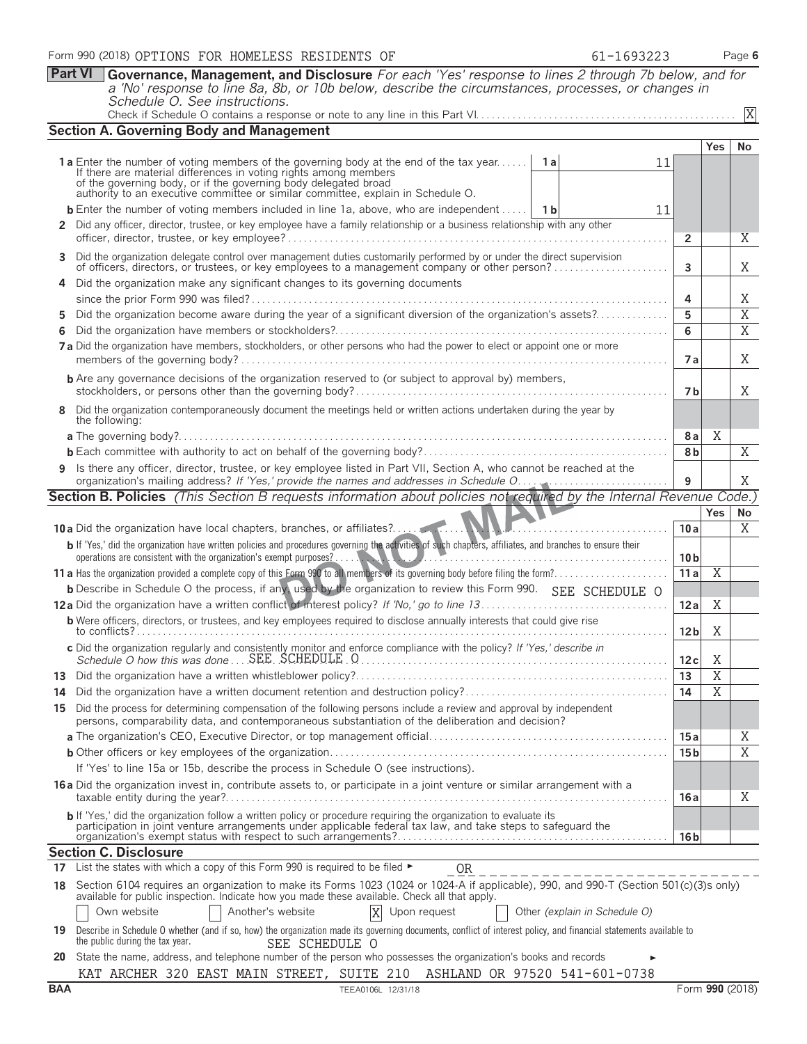**Part VI Governance, Management, and Disclosure** *For each 'Yes' response to lines 2 through 7b below, and for a 'No' response to line 8a, 8b, or 10b below, describe the circumstances, processes, or changes in Schedule O. See instructions.*

|    |                                                                                                                                                                                                                                 |                 |                                  | X                     |
|----|---------------------------------------------------------------------------------------------------------------------------------------------------------------------------------------------------------------------------------|-----------------|----------------------------------|-----------------------|
|    | <b>Section A. Governing Body and Management</b>                                                                                                                                                                                 |                 |                                  |                       |
|    |                                                                                                                                                                                                                                 |                 | <b>Yes</b>                       | No.                   |
|    | <b>1a</b> Enter the number of voting members of the governing body at the end of the tax year<br>1 a<br>11                                                                                                                      |                 |                                  |                       |
|    | If there are material differences in voting rights among members<br>of the governing body, or if the governing body delegated broad<br>authority to an executive committee or similar committee, explain in Schedule O.         |                 |                                  |                       |
|    |                                                                                                                                                                                                                                 |                 |                                  |                       |
|    | <b>b</b> Enter the number of voting members included in line 1a, above, who are independent<br>- 1 b<br>11                                                                                                                      |                 |                                  |                       |
|    | 2 Did any officer, director, trustee, or key employee have a family relationship or a business relationship with any other                                                                                                      | $\overline{2}$  |                                  | X                     |
|    |                                                                                                                                                                                                                                 |                 |                                  |                       |
|    | 3 Did the organization delegate control over management duties customarily performed by or under the direct supervision<br>of officers, directors, or trustees, or key employees to a management company or other person?       | $\overline{3}$  |                                  | X.                    |
|    | 4 Did the organization make any significant changes to its governing documents                                                                                                                                                  |                 |                                  |                       |
|    |                                                                                                                                                                                                                                 | 4               |                                  | X                     |
| 5. | Did the organization become aware during the year of a significant diversion of the organization's assets?                                                                                                                      | 5               |                                  | $\overline{X}$        |
| 6  |                                                                                                                                                                                                                                 | 6               |                                  | $\overline{X}$        |
|    | 7 a Did the organization have members, stockholders, or other persons who had the power to elect or appoint one or more                                                                                                         |                 |                                  |                       |
|    |                                                                                                                                                                                                                                 | 7a              |                                  | Χ                     |
|    | <b>b</b> Are any governance decisions of the organization reserved to (or subject to approval by) members,                                                                                                                      |                 |                                  |                       |
|    |                                                                                                                                                                                                                                 | 7b              |                                  | X.                    |
|    | 8 Did the organization contemporaneously document the meetings held or written actions undertaken during the year by                                                                                                            |                 |                                  |                       |
|    | the following:                                                                                                                                                                                                                  |                 |                                  |                       |
|    |                                                                                                                                                                                                                                 | 8a              | Χ                                |                       |
|    |                                                                                                                                                                                                                                 | 8b              |                                  | X                     |
|    | 9 Is there any officer, director, trustee, or key employee listed in Part VII, Section A, who cannot be reached at the                                                                                                          | 9               |                                  | X                     |
|    | <b>Section B. Policies</b> (This Section B requests information about policies not required by the Internal Revenue Code.)                                                                                                      |                 |                                  |                       |
|    |                                                                                                                                                                                                                                 |                 | <b>Yes</b>                       | No                    |
|    |                                                                                                                                                                                                                                 | 10a             |                                  | X                     |
|    |                                                                                                                                                                                                                                 |                 |                                  |                       |
|    |                                                                                                                                                                                                                                 |                 |                                  |                       |
|    | b If 'Yes,' did the organization have written policies and procedures governing the activities of such chapters, affiliates, and branches to ensure their<br>operations are consistent with the organization's exempt purposes? | 10 <sub>b</sub> |                                  |                       |
|    |                                                                                                                                                                                                                                 | 11a             | $\overline{X}$                   |                       |
|    | b Describe in Schedule O the process, if any, used by the organization to review this Form 990. SEE SCHEDULE O                                                                                                                  |                 |                                  |                       |
|    |                                                                                                                                                                                                                                 | 12a             | Χ                                |                       |
|    | <b>b</b> Were officers, directors, or trustees, and key employees required to disclose annually interests that could give rise                                                                                                  |                 |                                  |                       |
|    |                                                                                                                                                                                                                                 | 12 <sub>b</sub> | Χ                                |                       |
|    | c Did the organization regularly and consistently monitor and enforce compliance with the policy? If 'Yes,' describe in                                                                                                         |                 |                                  |                       |
|    |                                                                                                                                                                                                                                 | 12c             | Χ                                |                       |
|    |                                                                                                                                                                                                                                 | 13<br>14        | $\overline{X}$<br>$\overline{X}$ |                       |
|    |                                                                                                                                                                                                                                 |                 |                                  |                       |
|    | 15 Did the process for determining compensation of the following persons include a review and approval by independent<br>persons, comparability data, and contemporaneous substantiation of the deliberation and decision?      |                 |                                  |                       |
|    |                                                                                                                                                                                                                                 | 15 a            |                                  | Χ                     |
|    |                                                                                                                                                                                                                                 | 15 <sub>b</sub> |                                  | $\overline{\text{X}}$ |
|    | If 'Yes' to line 15a or 15b, describe the process in Schedule O (see instructions).                                                                                                                                             |                 |                                  |                       |
|    | <b>16a</b> Did the organization invest in, contribute assets to, or participate in a joint venture or similar arrangement with a                                                                                                |                 |                                  |                       |
|    |                                                                                                                                                                                                                                 | 16 a            |                                  | Χ                     |
|    | b If 'Yes,' did the organization follow a written policy or procedure requiring the organization to evaluate its                                                                                                                |                 |                                  |                       |
|    | participation in joint venture arrangements under applicable federal tax law, and take steps to safeguard the                                                                                                                   | 16 b            |                                  |                       |
|    | <b>Section C. Disclosure</b>                                                                                                                                                                                                    |                 |                                  |                       |
|    | 17 List the states with which a copy of this Form 990 is required to be filed $\blacktriangleright$<br>OR<br>______________________                                                                                             |                 |                                  |                       |
|    | 18 Section 6104 requires an organization to make its Forms 1023 (1024 or 1024-A if applicable), 990, and 990-T (Section 501(c)(3)s only)                                                                                        |                 |                                  |                       |
|    | available for public inspection. Indicate how you made these available. Check all that apply.                                                                                                                                   |                 |                                  |                       |
|    | Another's website<br>Own website<br>X<br>Upon request<br>Other (explain in Schedule O)                                                                                                                                          |                 |                                  |                       |
|    | 19 Describe in Schedule O whether (and if so, how) the organization made its governing documents, conflict of interest policy, and financial statements available to<br>the public during the tax year.<br>SEE SCHEDULE O       |                 |                                  |                       |

**20** State the name, address, and telephone number of the person who possesses the organization's books and records KAT ARCHER 320 EAST MAIN STREET, SUITE 210 ASHLAND OR 97520 541-601-0738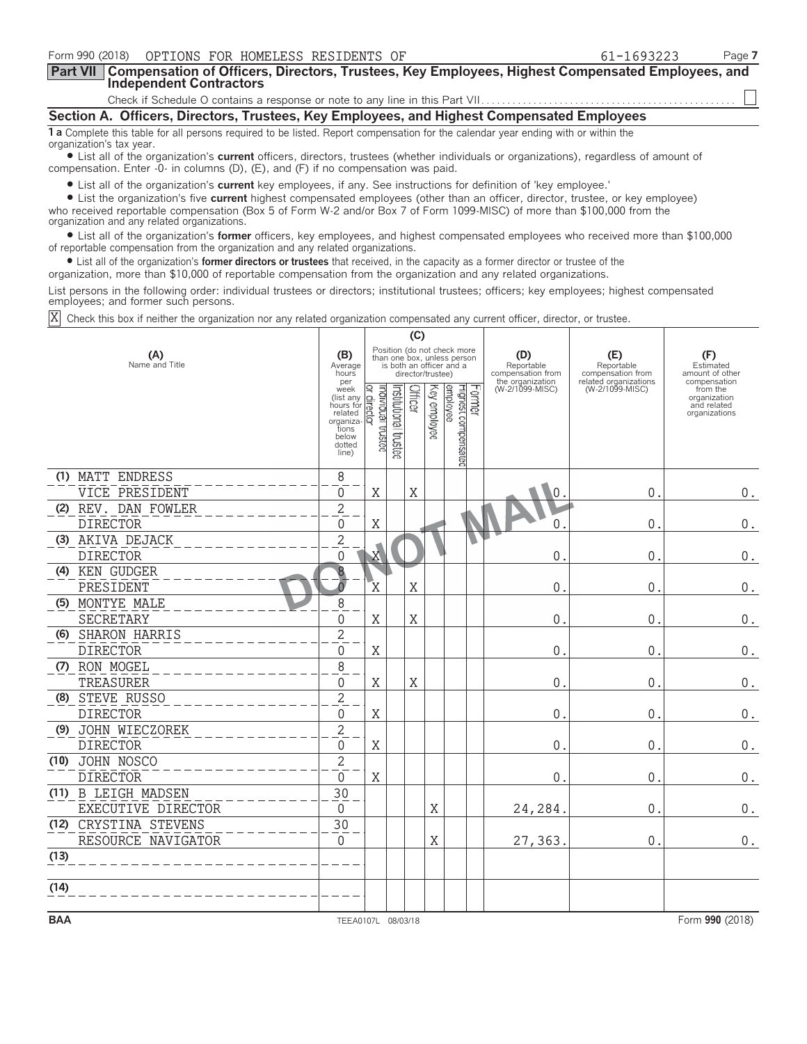| Form 990 (2018)<br>OPTIONS FOR HOMELESS RESIDENTS OF                                                                                                                                                                                                                                                       | 61-1693223 | Page 7 |
|------------------------------------------------------------------------------------------------------------------------------------------------------------------------------------------------------------------------------------------------------------------------------------------------------------|------------|--------|
| Part VII   Compensation of Officers, Directors, Trustees, Key Employees, Highest Compensated Employees, and<br><b>Independent Contractors</b>                                                                                                                                                              |            |        |
|                                                                                                                                                                                                                                                                                                            |            |        |
| Section A. Officers, Directors, Trustees, Key Employees, and Highest Compensated Employees                                                                                                                                                                                                                 |            |        |
| 1 a Complete this table for all persons required to be listed. Report compensation for the calendar year ending with or within the<br>organization's tax year.                                                                                                                                             |            |        |
| • List all of the organization's <b>current</b> officers, directors, trustees (whether individuals or organizations), regardless of amount of<br>compensation. Enter -0- in columns (D), (E), and (F) if no compensation was paid.                                                                         |            |        |
| • List all of the organization's <b>current</b> key employees, if any. See instructions for definition of 'key employee.'                                                                                                                                                                                  |            |        |
| • List the organization's five current highest compensated employees (other than an officer, director, trustee, or key employee)<br>who received reportable compensation (Box 5 of Form W-2 and/or Box 7 of Form 1099-MISC) of more than \$100,000 from the<br>organization and any related organizations. |            |        |
| • List all of the organization's former officers, key employees, and highest compensated employees who received more than \$100,000<br>of reportable compensation from the organization and any related organizations.                                                                                     |            |        |
| • List all of the organization's <b>former directors or trustees</b> that received, in the capacity as a former director or trustee of the<br>organization, more than \$10,000 of reportable compensation from the organization and any related organizations.                                             |            |        |

List persons in the following order: individual trustees or directors; institutional trustees; officers; key employees; highest compensated employees; and former such persons.

X Check this box if neither the organization nor any related organization compensated any current officer, director, or trustee.

|                       |                       |                                                                                                    | (C)                               |                      |                |                   |                                                                                        |        |                                                            |                                                                 |                                                          |
|-----------------------|-----------------------|----------------------------------------------------------------------------------------------------|-----------------------------------|----------------------|----------------|-------------------|----------------------------------------------------------------------------------------|--------|------------------------------------------------------------|-----------------------------------------------------------------|----------------------------------------------------------|
| (A)<br>Name and Title |                       |                                                                                                    |                                   |                      |                | director/trustee) | Position (do not check more<br>than one box, unless person<br>is both an officer and a |        | (D)<br>Reportable<br>compensation from<br>the organization | (E)<br>Reportable<br>compensation from<br>related organizations | (F)<br>Estimated<br>amount of other<br>compensation      |
|                       |                       | per<br>week<br>(list any<br>hours for<br>related<br>organiza-<br>tions<br>below<br>dotted<br>line) | ndividual trustee<br>direct<br>ସ୍ | nstitutional trustee | <b>Officer</b> | Key employee      | employee<br>Highest compensated                                                        | Former | (W-2/1099-MISC)                                            | (W-2/1099-MISC)                                                 | from the<br>organization<br>and related<br>organizations |
|                       | (1) MATT ENDRESS      | 8                                                                                                  |                                   |                      |                |                   |                                                                                        |        |                                                            |                                                                 |                                                          |
|                       | VICE PRESIDENT        | $\Omega$                                                                                           | $\mathbf X$                       |                      | X              |                   |                                                                                        |        | $\overline{0}$                                             | $\mathbf 0$                                                     | $0$ .                                                    |
|                       | (2) REV. DAN FOWLER   | $\overline{2}$                                                                                     |                                   |                      |                |                   |                                                                                        |        |                                                            |                                                                 |                                                          |
|                       | <b>DIRECTOR</b>       | $\overline{0}$                                                                                     | Χ                                 |                      |                |                   |                                                                                        |        | $\Omega$                                                   | $\mathsf{O}$ .                                                  | 0.                                                       |
|                       | (3) AKIVA DEJACK      | $\overline{2}$                                                                                     |                                   |                      |                |                   |                                                                                        |        |                                                            |                                                                 |                                                          |
|                       | <b>DIRECTOR</b>       | $\Omega$                                                                                           | X                                 |                      |                |                   |                                                                                        |        | $\mathsf{0}$                                               | $\mathbf{0}$ .                                                  | $0$ .                                                    |
|                       | (4) KEN GUDGER        | 8                                                                                                  |                                   |                      |                |                   |                                                                                        |        |                                                            |                                                                 |                                                          |
|                       | PRESIDENT             | $\overline{0}$                                                                                     | $\overline{X}$                    |                      | X              |                   |                                                                                        |        | $\mathbf 0$                                                | $\mathbf{0}$ .                                                  | $0$ .                                                    |
|                       | (5) MONTYE MALE       | 8                                                                                                  |                                   |                      |                |                   |                                                                                        |        |                                                            |                                                                 |                                                          |
|                       | SECRETARY             | $\Omega$                                                                                           | X                                 |                      | X              |                   |                                                                                        |        | 0                                                          | 0.                                                              | $0$ .                                                    |
|                       | (6) SHARON HARRIS     | $\overline{c}$                                                                                     |                                   |                      |                |                   |                                                                                        |        |                                                            |                                                                 |                                                          |
|                       | <b>DIRECTOR</b>       | $\Omega$                                                                                           | $\mathbf X$                       |                      |                |                   |                                                                                        |        | $\mathbf 0$                                                | 0.                                                              | $0_{.}$                                                  |
|                       | (7) RON MOGEL         | 8                                                                                                  |                                   |                      |                |                   |                                                                                        |        |                                                            |                                                                 |                                                          |
|                       | TREASURER             | 0                                                                                                  | X                                 |                      | X              |                   |                                                                                        |        | $\mathsf{O}$                                               | 0.                                                              | $0$ .                                                    |
|                       | (8) STEVE RUSSO       | $\overline{2}$                                                                                     |                                   |                      |                |                   |                                                                                        |        |                                                            |                                                                 |                                                          |
|                       | <b>DIRECTOR</b>       | 0                                                                                                  | X                                 |                      |                |                   |                                                                                        |        | $\mathbf 0$                                                | 0.                                                              | $0$ .                                                    |
|                       | (9) JOHN WIECZOREK    | $\overline{2}$                                                                                     |                                   |                      |                |                   |                                                                                        |        |                                                            |                                                                 |                                                          |
|                       | <b>DIRECTOR</b>       | $\mathbf 0$                                                                                        | $\rm X$                           |                      |                |                   |                                                                                        |        | $\mathsf{0}$                                               | 0                                                               | $0$ .                                                    |
|                       | (10) JOHN NOSCO       | $\overline{2}$                                                                                     |                                   |                      |                |                   |                                                                                        |        |                                                            |                                                                 |                                                          |
|                       | <b>DIRECTOR</b>       | $\mathsf{O}\xspace$                                                                                | X                                 |                      |                |                   |                                                                                        |        | $\mathbf 0$                                                | 0.                                                              | $0$ .                                                    |
|                       | (11) B LEIGH MADSEN   | 30                                                                                                 |                                   |                      |                |                   |                                                                                        |        |                                                            |                                                                 |                                                          |
|                       | EXECUTIVE DIRECTOR    | $\overline{0}$                                                                                     |                                   |                      |                | X                 |                                                                                        |        | 24,284.                                                    | 0.                                                              | $0$ .                                                    |
|                       | (12) CRYSTINA STEVENS | 30                                                                                                 |                                   |                      |                |                   |                                                                                        |        |                                                            |                                                                 |                                                          |
|                       | RESOURCE NAVIGATOR    | $\overline{0}$                                                                                     |                                   |                      |                | $\mathbf X$       |                                                                                        |        | 27,363.                                                    | 0.                                                              | $0$ .                                                    |
| (13)                  |                       |                                                                                                    |                                   |                      |                |                   |                                                                                        |        |                                                            |                                                                 |                                                          |
| (14)                  |                       |                                                                                                    |                                   |                      |                |                   |                                                                                        |        |                                                            |                                                                 |                                                          |
|                       |                       |                                                                                                    |                                   |                      |                |                   |                                                                                        |        |                                                            |                                                                 |                                                          |
| <b>BAA</b>            |                       | TEEA0107L 08/03/18                                                                                 |                                   |                      |                |                   |                                                                                        |        |                                                            |                                                                 | Form 990 (2018)                                          |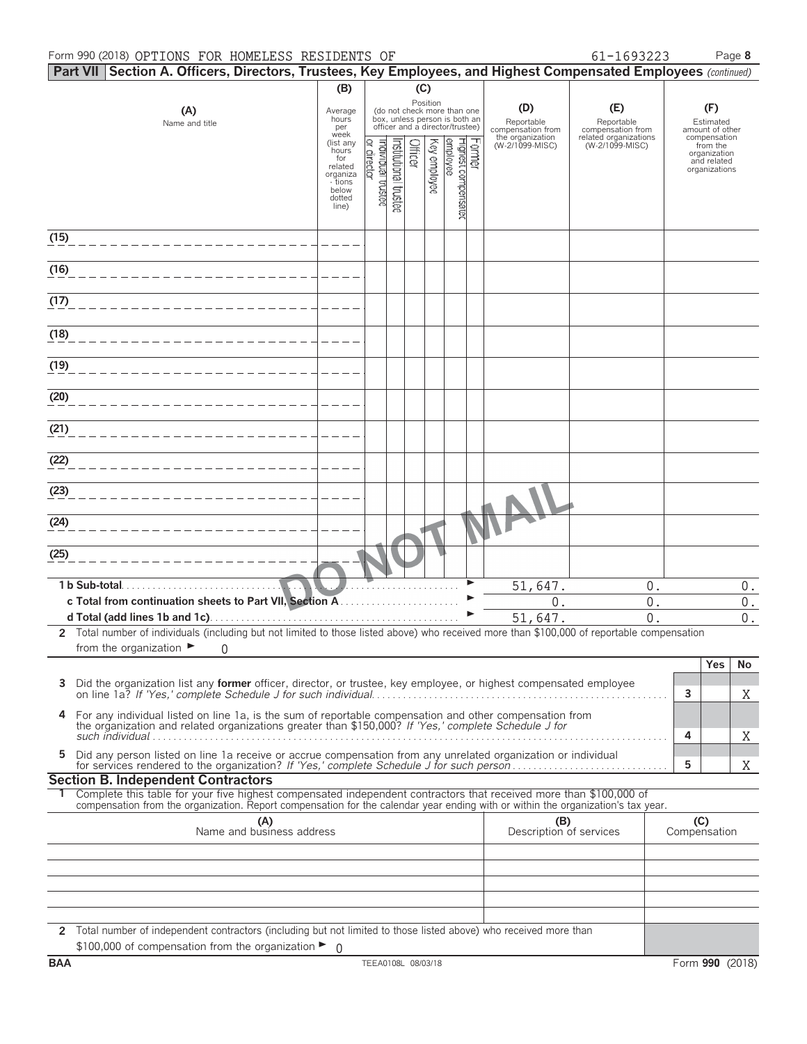#### Form 990 (2018) OPTIONS FOR HOMELESS RESIDENTS OF  $61-1693223$  Page 8

|  | 51-1693223 |  |
|--|------------|--|
|  |            |  |

|      | Part VII Section A. Officers, Directors, Trustees, Key Employees, and Highest Compensated Employees (continued)                                                                                                                                        |                                                                                                 |                                   |                       |         |              |                                                                                                             |        |                                        |                                          |   |                                                                          |
|------|--------------------------------------------------------------------------------------------------------------------------------------------------------------------------------------------------------------------------------------------------------|-------------------------------------------------------------------------------------------------|-----------------------------------|-----------------------|---------|--------------|-------------------------------------------------------------------------------------------------------------|--------|----------------------------------------|------------------------------------------|---|--------------------------------------------------------------------------|
|      |                                                                                                                                                                                                                                                        | (B)                                                                                             |                                   |                       | (C)     |              |                                                                                                             |        |                                        |                                          |   |                                                                          |
|      | (A)<br>Name and title                                                                                                                                                                                                                                  | Average<br>hours<br>per                                                                         |                                   |                       |         |              | Position<br>(do not check more than one<br>box, unless person is both an<br>officer and a director/trustee) |        | (D)<br>Reportable<br>compensation from | (E)<br>Reportable<br>compensation from   |   | (F)<br>Estimated<br>amount of other                                      |
|      |                                                                                                                                                                                                                                                        | week<br>(list any<br>hours<br>for<br>related<br>organiza<br>- tions<br>below<br>dotted<br>line) | or director<br>Individual trustee | ristitutional trustee | Officer | Key employee | employee<br>Highest compensated                                                                             | Former | the organization<br>(W-2/1099-MISC)    | related organizations<br>(W-2/1099-MISC) |   | compensation<br>from the<br>organization<br>and related<br>organizations |
| (15) |                                                                                                                                                                                                                                                        |                                                                                                 |                                   |                       |         |              |                                                                                                             |        |                                        |                                          |   |                                                                          |
| (16) |                                                                                                                                                                                                                                                        |                                                                                                 |                                   |                       |         |              |                                                                                                             |        |                                        |                                          |   |                                                                          |
| (17) |                                                                                                                                                                                                                                                        |                                                                                                 |                                   |                       |         |              |                                                                                                             |        |                                        |                                          |   |                                                                          |
| (18) |                                                                                                                                                                                                                                                        |                                                                                                 |                                   |                       |         |              |                                                                                                             |        |                                        |                                          |   |                                                                          |
| (19) |                                                                                                                                                                                                                                                        |                                                                                                 |                                   |                       |         |              |                                                                                                             |        |                                        |                                          |   |                                                                          |
| (20) |                                                                                                                                                                                                                                                        |                                                                                                 |                                   |                       |         |              |                                                                                                             |        |                                        |                                          |   |                                                                          |
| (21) |                                                                                                                                                                                                                                                        |                                                                                                 |                                   |                       |         |              |                                                                                                             |        |                                        |                                          |   |                                                                          |
| (22) |                                                                                                                                                                                                                                                        |                                                                                                 |                                   |                       |         |              |                                                                                                             |        |                                        |                                          |   |                                                                          |
| (23) |                                                                                                                                                                                                                                                        |                                                                                                 |                                   |                       |         |              |                                                                                                             |        |                                        |                                          |   |                                                                          |
| (24) |                                                                                                                                                                                                                                                        |                                                                                                 |                                   |                       |         |              |                                                                                                             |        |                                        |                                          |   |                                                                          |
| (25) |                                                                                                                                                                                                                                                        |                                                                                                 |                                   |                       |         |              |                                                                                                             |        |                                        |                                          |   |                                                                          |
|      | 1 b Sub-total                                                                                                                                                                                                                                          |                                                                                                 |                                   |                       |         |              |                                                                                                             |        | 51,647.                                | 0.                                       |   | $0$ .                                                                    |
|      |                                                                                                                                                                                                                                                        |                                                                                                 |                                   |                       |         |              |                                                                                                             |        | $0$ .<br>51,647.                       | $0$ .<br>0.                              |   | $0$ .<br>$\mathbf 0$ .                                                   |
|      | 2 Total number of individuals (including but not limited to those listed above) who received more than \$100,000 of reportable compensation                                                                                                            |                                                                                                 |                                   |                       |         |              |                                                                                                             |        |                                        |                                          |   |                                                                          |
|      | from the organization $\blacktriangleright$<br>0                                                                                                                                                                                                       |                                                                                                 |                                   |                       |         |              |                                                                                                             |        |                                        |                                          |   |                                                                          |
|      |                                                                                                                                                                                                                                                        |                                                                                                 |                                   |                       |         |              |                                                                                                             |        |                                        |                                          |   | Yes<br>No                                                                |
| 3    | Did the organization list any <b>former</b> officer, director, or trustee, key employee, or highest compensated employee                                                                                                                               |                                                                                                 |                                   |                       |         |              |                                                                                                             |        |                                        |                                          | 3 | Χ                                                                        |
| 4    | For any individual listed on line 1a, is the sum of reportable compensation and other compensation from<br>the organization and related organizations greater than \$150,000? If 'Yes,' complete Schedule J for                                        |                                                                                                 |                                   |                       |         |              |                                                                                                             |        |                                        |                                          | 4 | Χ                                                                        |
| 5    | Did any person listed on line 1a receive or accrue compensation from any unrelated organization or individual                                                                                                                                          |                                                                                                 |                                   |                       |         |              |                                                                                                             |        |                                        |                                          | 5 | Χ                                                                        |
|      | <b>Section B. Independent Contractors</b>                                                                                                                                                                                                              |                                                                                                 |                                   |                       |         |              |                                                                                                             |        |                                        |                                          |   |                                                                          |
|      | Complete this table for your five highest compensated independent contractors that received more than \$100,000 of<br>compensation from the organization. Report compensation for the calendar year ending with or within the organization's tax year. |                                                                                                 |                                   |                       |         |              |                                                                                                             |        |                                        |                                          |   |                                                                          |
|      | (A)<br>Name and business address                                                                                                                                                                                                                       |                                                                                                 |                                   |                       |         |              |                                                                                                             |        | (B)<br>Description of services         |                                          |   | (C)<br>Compensation                                                      |
|      |                                                                                                                                                                                                                                                        |                                                                                                 |                                   |                       |         |              |                                                                                                             |        |                                        |                                          |   |                                                                          |
|      |                                                                                                                                                                                                                                                        |                                                                                                 |                                   |                       |         |              |                                                                                                             |        |                                        |                                          |   |                                                                          |
|      |                                                                                                                                                                                                                                                        |                                                                                                 |                                   |                       |         |              |                                                                                                             |        |                                        |                                          |   |                                                                          |
|      |                                                                                                                                                                                                                                                        |                                                                                                 |                                   |                       |         |              |                                                                                                             |        |                                        |                                          |   |                                                                          |
|      | 2 Total number of independent contractors (including but not limited to those listed above) who received more than<br>\$100,000 of compensation from the organization $\triangleright$ 0                                                               |                                                                                                 |                                   |                       |         |              |                                                                                                             |        |                                        |                                          |   |                                                                          |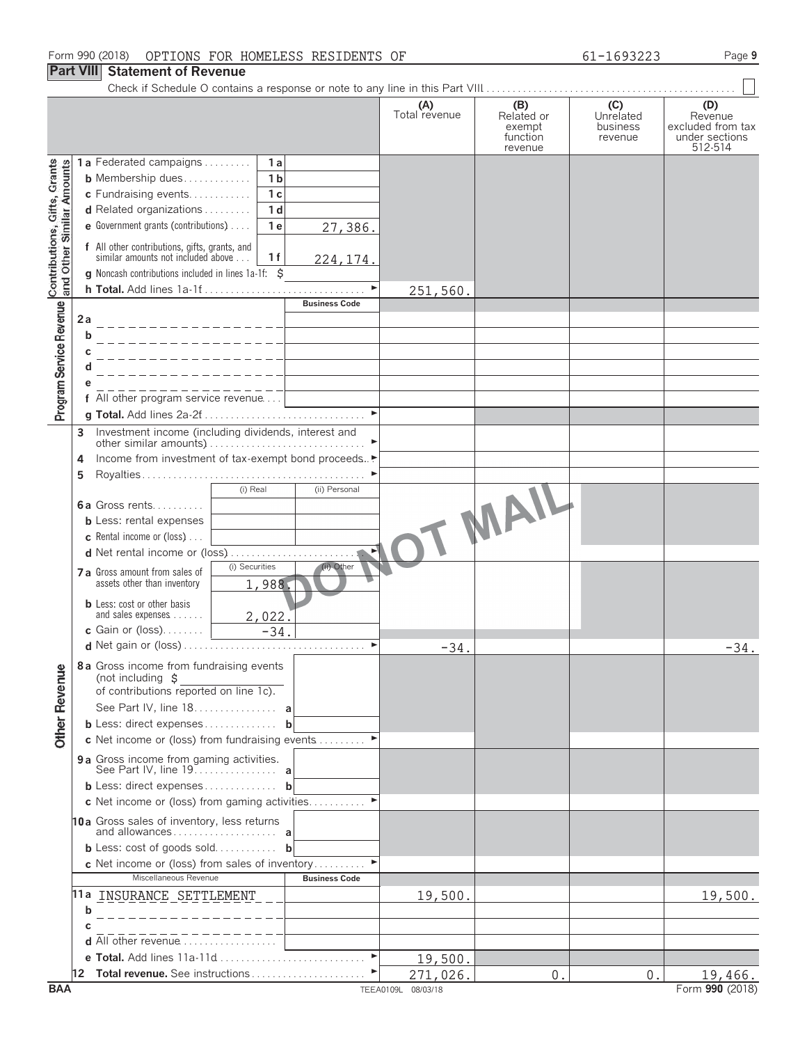#### **Part VIII Statement of Revenue**

|                                                           |    |                                                                                     |                |                       | (A)<br>Total revenue | (B)<br>Related or<br>exempt<br>function<br>revenue | (C)<br>Unrelated<br>business<br>revenue | (D)<br>Revenue<br>excluded from tax<br>under sections<br>512-514 |
|-----------------------------------------------------------|----|-------------------------------------------------------------------------------------|----------------|-----------------------|----------------------|----------------------------------------------------|-----------------------------------------|------------------------------------------------------------------|
|                                                           |    | 1a Federated campaigns                                                              | 1a             |                       |                      |                                                    |                                         |                                                                  |
|                                                           |    | <b>b</b> Membership dues                                                            | 1 <sub>b</sub> |                       |                      |                                                    |                                         |                                                                  |
|                                                           |    | c Fundraising events                                                                | 1 <sub>c</sub> |                       |                      |                                                    |                                         |                                                                  |
|                                                           |    | d Related organizations                                                             | 1 <sub>d</sub> |                       |                      |                                                    |                                         |                                                                  |
|                                                           |    | e Government grants (contributions)                                                 | 1 <sub>e</sub> | 27,386.               |                      |                                                    |                                         |                                                                  |
| Contributions, Gifts, Grants<br>and Other Similar Amounts |    | f All other contributions, gifts, grants, and<br>similar amounts not included above | 1f             | 224, 174.             |                      |                                                    |                                         |                                                                  |
|                                                           |    | g Noncash contributions included in lines 1a-1f: \$                                 |                |                       |                      |                                                    |                                         |                                                                  |
|                                                           |    |                                                                                     |                | $\blacktriangleright$ | 251,560              |                                                    |                                         |                                                                  |
| Program Service Revenue                                   |    |                                                                                     |                | <b>Business Code</b>  |                      |                                                    |                                         |                                                                  |
|                                                           | 2a |                                                                                     |                |                       |                      |                                                    |                                         |                                                                  |
|                                                           | b  |                                                                                     |                |                       |                      |                                                    |                                         |                                                                  |
|                                                           | С  |                                                                                     |                |                       |                      |                                                    |                                         |                                                                  |
|                                                           |    |                                                                                     |                |                       |                      |                                                    |                                         |                                                                  |
|                                                           |    |                                                                                     |                |                       |                      |                                                    |                                         |                                                                  |
|                                                           |    | f All other program service revenue                                                 |                |                       |                      |                                                    |                                         |                                                                  |
|                                                           |    |                                                                                     |                | $\blacktriangleright$ |                      |                                                    |                                         |                                                                  |
|                                                           | 3  |                                                                                     |                |                       |                      |                                                    |                                         |                                                                  |
|                                                           |    |                                                                                     |                |                       |                      |                                                    |                                         |                                                                  |
|                                                           | 4  | Income from investment of tax-exempt bond proceeds.                                 |                |                       |                      |                                                    |                                         |                                                                  |
|                                                           | 5  |                                                                                     |                |                       |                      |                                                    |                                         |                                                                  |
|                                                           |    |                                                                                     | (i) Real       | (ii) Personal         |                      |                                                    |                                         |                                                                  |
|                                                           |    | 6a Gross rents                                                                      |                |                       |                      |                                                    |                                         |                                                                  |
|                                                           |    | <b>b</b> Less: rental expenses                                                      |                |                       |                      |                                                    |                                         |                                                                  |
|                                                           |    | <b>c</b> Rental income or (loss) $\ldots$                                           |                |                       |                      | - MAIL                                             |                                         |                                                                  |
|                                                           |    |                                                                                     |                |                       |                      |                                                    |                                         |                                                                  |
|                                                           |    | 7 a Gross amount from sales of                                                      | (i) Securities | (ii) Other            |                      |                                                    |                                         |                                                                  |
|                                                           |    | assets other than inventory                                                         | 1,988.         |                       |                      |                                                    |                                         |                                                                  |
|                                                           |    | <b>b</b> Less: cost or other basis                                                  |                |                       |                      |                                                    |                                         |                                                                  |
|                                                           |    | and sales expenses                                                                  | 2,022.         |                       |                      |                                                    |                                         |                                                                  |
|                                                           |    | c Gain or (loss). $\ldots$                                                          | $-34.$         |                       |                      |                                                    |                                         |                                                                  |
|                                                           |    |                                                                                     |                |                       | $-34$                |                                                    |                                         | $-34.$                                                           |
|                                                           |    | 8a Gross income from fundraising events                                             |                |                       |                      |                                                    |                                         |                                                                  |
|                                                           |    | (not including \$                                                                   |                |                       |                      |                                                    |                                         |                                                                  |
|                                                           |    | of contributions reported on line 1c).                                              |                |                       |                      |                                                    |                                         |                                                                  |
|                                                           |    | See Part IV, line 18. a                                                             |                |                       |                      |                                                    |                                         |                                                                  |
| <b>Other Revenue</b>                                      |    | <b>b</b> Less: direct expenses <b>b</b>                                             |                |                       |                      |                                                    |                                         |                                                                  |
|                                                           |    | c Net income or (loss) from fundraising events                                      |                |                       |                      |                                                    |                                         |                                                                  |
|                                                           |    | 9a Gross income from gaming activities.                                             |                |                       |                      |                                                    |                                         |                                                                  |
|                                                           |    | <b>b</b> Less: direct expenses <b>b</b>                                             |                |                       |                      |                                                    |                                         |                                                                  |
|                                                           |    | c Net income or (loss) from gaming activities                                       |                |                       |                      |                                                    |                                         |                                                                  |
|                                                           |    | 10a Gross sales of inventory, less returns                                          |                |                       |                      |                                                    |                                         |                                                                  |
|                                                           |    |                                                                                     |                |                       |                      |                                                    |                                         |                                                                  |
|                                                           |    | <b>b</b> Less: cost of goods sold <b>b</b>                                          |                |                       |                      |                                                    |                                         |                                                                  |
|                                                           |    | <b>c</b> Net income or (loss) from sales of inventory                               |                |                       |                      |                                                    |                                         |                                                                  |
|                                                           |    | Miscellaneous Revenue                                                               |                | <b>Business Code</b>  |                      |                                                    |                                         |                                                                  |
|                                                           |    | 11a INSURANCE SETTLEMENT                                                            |                |                       | 19,500.              |                                                    |                                         | 19,500.                                                          |
|                                                           | b  |                                                                                     |                |                       |                      |                                                    |                                         |                                                                  |
|                                                           |    |                                                                                     |                |                       |                      |                                                    |                                         |                                                                  |
|                                                           |    | d All other revenue                                                                 |                |                       |                      |                                                    |                                         |                                                                  |
|                                                           |    |                                                                                     |                | $\blacktriangleright$ | 19,500.              |                                                    |                                         |                                                                  |
|                                                           |    |                                                                                     |                |                       | 271,026.             | $\mathbf 0$                                        | $0$ .                                   | 19,466.                                                          |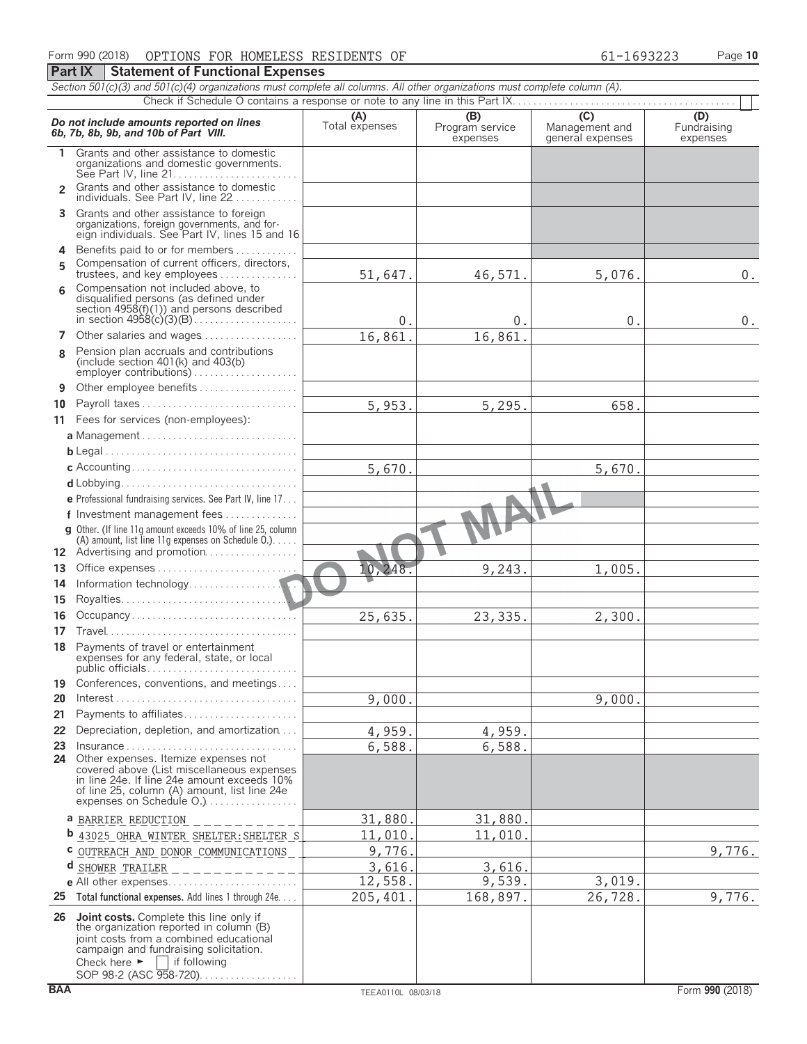|  |  |                                                   | Form 990 (2018) OPTIONS FOR HOMELESS RESIDENTS OF | 61-1693223 |  |
|--|--|---------------------------------------------------|---------------------------------------------------|------------|--|
|  |  | <b>Part IX   Statement of Functional Expenses</b> |                                                   |            |  |

|                | Section 501(c)(3) and 501(c)(4) organizations must complete all columns. All other organizations must complete column (A).                                                                                                       |                       |                                    |                                                      |                                |
|----------------|----------------------------------------------------------------------------------------------------------------------------------------------------------------------------------------------------------------------------------|-----------------------|------------------------------------|------------------------------------------------------|--------------------------------|
|                |                                                                                                                                                                                                                                  |                       |                                    |                                                      |                                |
|                | Do not include amounts reported on lines<br>6b, 7b, 8b, 9b, and 10b of Part VIII.                                                                                                                                                | (A)<br>Total expenses | (B)<br>Program service<br>expenses | $\overline{C}$<br>Management and<br>general expenses | (D)<br>Fundraising<br>expenses |
| 1.             | Grants and other assistance to domestic<br>organizations and domestic governments.<br>See Part IV, line 21                                                                                                                       |                       |                                    |                                                      |                                |
| $\overline{2}$ | Grants and other assistance to domestic<br>individuals. See Part IV, line 22                                                                                                                                                     |                       |                                    |                                                      |                                |
| 3.             | Grants and other assistance to foreign<br>organizations, foreign governments, and for-<br>eign individuals. See Part IV, lines 15 and 16                                                                                         |                       |                                    |                                                      |                                |
| 4              | Benefits paid to or for members                                                                                                                                                                                                  |                       |                                    |                                                      |                                |
| 5              | Compensation of current officers, directors,<br>trustees, and key employees                                                                                                                                                      | 51,647.               | 46,571.                            | 5,076.                                               | $0$ .                          |
| 6              | Compensation not included above, to                                                                                                                                                                                              |                       |                                    |                                                      |                                |
|                | disqualified persons (as defined under<br>section $4958(f)(1)$ and persons described                                                                                                                                             | 0.                    | 0.                                 | 0.                                                   | $0$ .                          |
| 7              | Other salaries and wages                                                                                                                                                                                                         | 16,861.               | 16,861                             |                                                      |                                |
| <b>R</b>       | Pension plan accruals and contributions<br>(include section $401(k)$ and $403(b)$<br>employer contributions)                                                                                                                     |                       |                                    |                                                      |                                |
| 9              | Other employee benefits                                                                                                                                                                                                          |                       |                                    |                                                      |                                |
| 10             | Payroll taxes                                                                                                                                                                                                                    | 5,953.                | 5,295.                             | 658.                                                 |                                |
|                | 11 Fees for services (non-employees):                                                                                                                                                                                            |                       |                                    |                                                      |                                |
|                |                                                                                                                                                                                                                                  |                       |                                    |                                                      |                                |
|                |                                                                                                                                                                                                                                  |                       |                                    |                                                      |                                |
|                |                                                                                                                                                                                                                                  | 5,670.                |                                    | 5,670.                                               |                                |
|                |                                                                                                                                                                                                                                  |                       |                                    |                                                      |                                |
|                | <b>e</b> Professional fundraising services. See Part IV, line 17                                                                                                                                                                 |                       |                                    |                                                      |                                |
|                | f Investment management fees                                                                                                                                                                                                     |                       |                                    |                                                      |                                |
|                | g Other. (If line 11g amount exceeds 10% of line 25, column<br>(A) amount, list line 11g expenses on Schedule $0.$ )                                                                                                             |                       |                                    |                                                      |                                |
|                | 12 Advertising and promotion                                                                                                                                                                                                     |                       |                                    |                                                      |                                |
| 13             |                                                                                                                                                                                                                                  | 10,248.               | 9,243.                             | 1,005.                                               |                                |
| 14             |                                                                                                                                                                                                                                  |                       |                                    |                                                      |                                |
| 15             |                                                                                                                                                                                                                                  |                       |                                    |                                                      |                                |
| 16             | Occupancy                                                                                                                                                                                                                        | 25,635.               | 23,335.                            | 2,300.                                               |                                |
| 17             |                                                                                                                                                                                                                                  |                       |                                    |                                                      |                                |
|                | 18 Payments of travel or entertainment<br>expenses for any federal, state, or local                                                                                                                                              |                       |                                    |                                                      |                                |
| 19             | Conferences, conventions, and meetings                                                                                                                                                                                           |                       |                                    |                                                      |                                |
| 20             | $Interest \dots \dots \dots \dots \dots \dots \dots \dots \dots \dots \dots \dots \dots \dots$                                                                                                                                   | 9,000.                |                                    | 9,000                                                |                                |
| 21             | Payments to affiliates                                                                                                                                                                                                           |                       |                                    |                                                      |                                |
| 22             | Depreciation, depletion, and amortization<br>$Insurance \ldots \ldots \ldots \ldots \ldots \ldots \ldots \ldots \ldots$                                                                                                          | 4,959.                | 4,959.                             |                                                      |                                |
| 23             | 24 Other expenses. Itemize expenses not                                                                                                                                                                                          | 6,588.                | 6,588.                             |                                                      |                                |
|                | covered above (List miscellaneous expenses<br>in line 24e. If line 24e amount exceeds 10%<br>of line 25, column (A) amount, list line 24e<br>expenses on Schedule O.)                                                            |                       |                                    |                                                      |                                |
|                |                                                                                                                                                                                                                                  |                       |                                    |                                                      |                                |
|                | a BARRIER REDUCTION<br><b>b</b> 43025 OHRA WINTER SHELTER: SHELTER S                                                                                                                                                             | 31,880<br>11,010      | 31,880<br>11,010                   |                                                      |                                |
| С              | OUTREACH AND DONOR COMMUNICATIONS                                                                                                                                                                                                | 9,776.                |                                    |                                                      | 9,776.                         |
| d              | SHOWER TRAILER                                                                                                                                                                                                                   | 3,616.                | 3,616                              |                                                      |                                |
|                | e All other expenses                                                                                                                                                                                                             | 12,558.               | 9,539.                             | 3,019.                                               |                                |
| 25             | Total functional expenses. Add lines 1 through 24e                                                                                                                                                                               | 205,401               | 168,897.                           | 26,728.                                              | 9,776.                         |
|                | 26 Joint costs. Complete this line only if<br>the organization reported in column (B)<br>joint costs from a combined educational<br>campaign and fundraising solicitation.<br>Check here $\blacktriangleright$  <br>if following |                       |                                    |                                                      |                                |

SOP 98-2 (ASC 958-720). . . . . . . . . . . . . . . . . .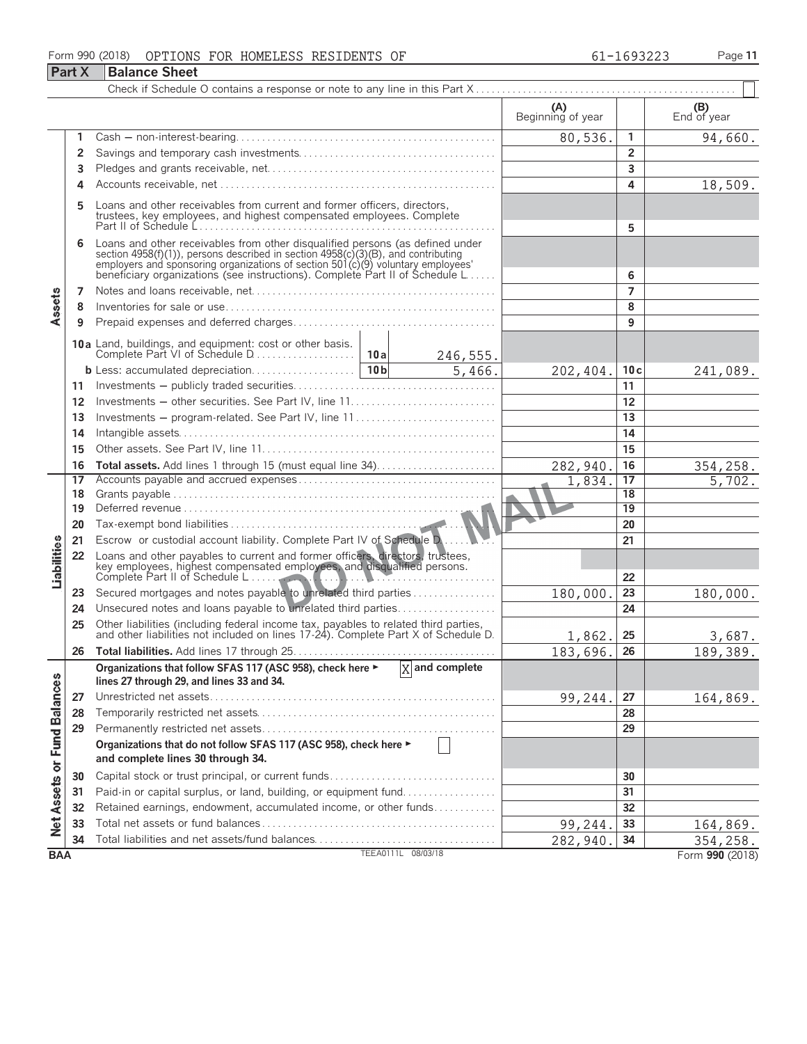#### Form 990 (2018) OPTIONS FOR HOMELESS RESIDENTS OF 61-1693223 Page **11** OPTIONS FOR HOMELESS RESIDENTS OF 61-1693223

|                             | <b>Part X</b> | <b>Balance Sheet</b>                                                                                                                                                                                                                                                                                                 |  |                             |                          |                |                    |  |  |  |
|-----------------------------|---------------|----------------------------------------------------------------------------------------------------------------------------------------------------------------------------------------------------------------------------------------------------------------------------------------------------------------------|--|-----------------------------|--------------------------|----------------|--------------------|--|--|--|
|                             |               |                                                                                                                                                                                                                                                                                                                      |  |                             |                          |                |                    |  |  |  |
|                             |               |                                                                                                                                                                                                                                                                                                                      |  |                             | (A)<br>Beginning of year |                | (B)<br>End of year |  |  |  |
|                             | 1             |                                                                                                                                                                                                                                                                                                                      |  |                             | 80,536.                  | $\mathbf{1}$   | 94,660.            |  |  |  |
|                             | 2             |                                                                                                                                                                                                                                                                                                                      |  |                             |                          | $\overline{2}$ |                    |  |  |  |
|                             | 3             |                                                                                                                                                                                                                                                                                                                      |  |                             |                          | 3              |                    |  |  |  |
|                             | 4             |                                                                                                                                                                                                                                                                                                                      |  |                             |                          | 4              | 18,509.            |  |  |  |
|                             | 5             | Loans and other receivables from current and former officers, directors,<br>trustees, key employees, and highest compensated employees. Complete                                                                                                                                                                     |  |                             |                          | 5              |                    |  |  |  |
|                             | 6             | Loans and other receivables from other disqualified persons (as defined under<br>section 4958(f)(1)), persons described in section 4958(c)(3)(B), and contributing<br>employers and sponsoring organizations of section 501(c)(9) voluntary employees<br>beneficiary organizations (see instructions). Complete Part |  | 6                           |                          |                |                    |  |  |  |
|                             | 7             |                                                                                                                                                                                                                                                                                                                      |  |                             |                          | $\overline{7}$ |                    |  |  |  |
| Assets                      | 8             |                                                                                                                                                                                                                                                                                                                      |  |                             |                          | 8              |                    |  |  |  |
|                             | 9             |                                                                                                                                                                                                                                                                                                                      |  |                             |                          | 9              |                    |  |  |  |
|                             |               |                                                                                                                                                                                                                                                                                                                      |  | 246,555.                    |                          |                |                    |  |  |  |
|                             |               |                                                                                                                                                                                                                                                                                                                      |  | 5,466.                      | 202,404.                 | 10c            | 241,089.           |  |  |  |
|                             | 11            |                                                                                                                                                                                                                                                                                                                      |  |                             |                          | 11             |                    |  |  |  |
|                             | 12            | Investments - other securities. See Part IV, line 11                                                                                                                                                                                                                                                                 |  |                             |                          | 12             |                    |  |  |  |
|                             | 13            | Investments – program-related. See Part IV, line 11                                                                                                                                                                                                                                                                  |  |                             |                          | 13             |                    |  |  |  |
|                             | 14            |                                                                                                                                                                                                                                                                                                                      |  |                             |                          |                |                    |  |  |  |
|                             | 15            |                                                                                                                                                                                                                                                                                                                      |  | 15                          |                          |                |                    |  |  |  |
|                             | 16            |                                                                                                                                                                                                                                                                                                                      |  |                             | 282,940                  | 16             | 354,258.           |  |  |  |
|                             | 17            |                                                                                                                                                                                                                                                                                                                      |  |                             | 1,834.                   | 17             | 5,702.             |  |  |  |
|                             | 18            |                                                                                                                                                                                                                                                                                                                      |  |                             |                          | 18             |                    |  |  |  |
|                             | 19            |                                                                                                                                                                                                                                                                                                                      |  |                             |                          | 19             |                    |  |  |  |
|                             | 20            |                                                                                                                                                                                                                                                                                                                      |  |                             |                          | 20             |                    |  |  |  |
|                             | 21            | Escrow or custodial account liability. Complete Part IV of Schedule D.                                                                                                                                                                                                                                               |  |                             |                          | 21             |                    |  |  |  |
| Liabilities                 | 22            | Loans and other payables to current and former officers, directors, trustees,<br>key employees, highest compensated employees, and disqualified persons.<br>Complete Part II of Schedule L                                                                                                                           |  |                             |                          | 22             |                    |  |  |  |
|                             | 23            | Secured mortgages and notes payable to unrelated third parties                                                                                                                                                                                                                                                       |  |                             | 180,000                  | 23             | 180,000.           |  |  |  |
|                             | 24            | Unsecured notes and loans payable to unrelated third parties                                                                                                                                                                                                                                                         |  |                             |                          | 24             |                    |  |  |  |
|                             | 25            | Other liabilities (including federal income tax, payables to related third parties, and other liabilities not included on lines 17-24). Complete Part X of Schedule D.                                                                                                                                               |  |                             |                          |                |                    |  |  |  |
|                             | 26            |                                                                                                                                                                                                                                                                                                                      |  |                             | 1,862.                   | 25<br>26       | 3,687.<br>189,389. |  |  |  |
|                             |               | Organizations that follow SFAS 117 (ASC 958), check here ►                                                                                                                                                                                                                                                           |  | $\overline{X}$ and complete | 183,696.                 |                |                    |  |  |  |
|                             |               | lines 27 through 29, and lines 33 and 34.                                                                                                                                                                                                                                                                            |  |                             |                          |                |                    |  |  |  |
|                             | 27            |                                                                                                                                                                                                                                                                                                                      |  |                             | 99,244.                  | 27             | 164,869.           |  |  |  |
|                             | 28            |                                                                                                                                                                                                                                                                                                                      |  |                             |                          | 28             |                    |  |  |  |
|                             | 29            |                                                                                                                                                                                                                                                                                                                      |  |                             |                          | 29             |                    |  |  |  |
|                             |               | Organizations that do not follow SFAS 117 (ASC 958), check here ►                                                                                                                                                                                                                                                    |  |                             |                          |                |                    |  |  |  |
| Net Assets or Fund Balances |               | and complete lines 30 through 34.                                                                                                                                                                                                                                                                                    |  |                             |                          |                |                    |  |  |  |
|                             | 30            | Capital stock or trust principal, or current funds                                                                                                                                                                                                                                                                   |  |                             |                          | 30             |                    |  |  |  |
|                             | 31            | Paid-in or capital surplus, or land, building, or equipment fund                                                                                                                                                                                                                                                     |  |                             |                          | 31             |                    |  |  |  |
|                             | 32            | Retained earnings, endowment, accumulated income, or other funds                                                                                                                                                                                                                                                     |  |                             |                          | 32             |                    |  |  |  |
|                             | 33            |                                                                                                                                                                                                                                                                                                                      |  |                             | 99,244                   | 33             | 164,869.           |  |  |  |
|                             | 34            |                                                                                                                                                                                                                                                                                                                      |  |                             | 282,940                  | 34             | 354,258.           |  |  |  |
| <b>BAA</b>                  |               |                                                                                                                                                                                                                                                                                                                      |  | TEEA0111L 08/03/18          |                          |                | Form 990 (2018)    |  |  |  |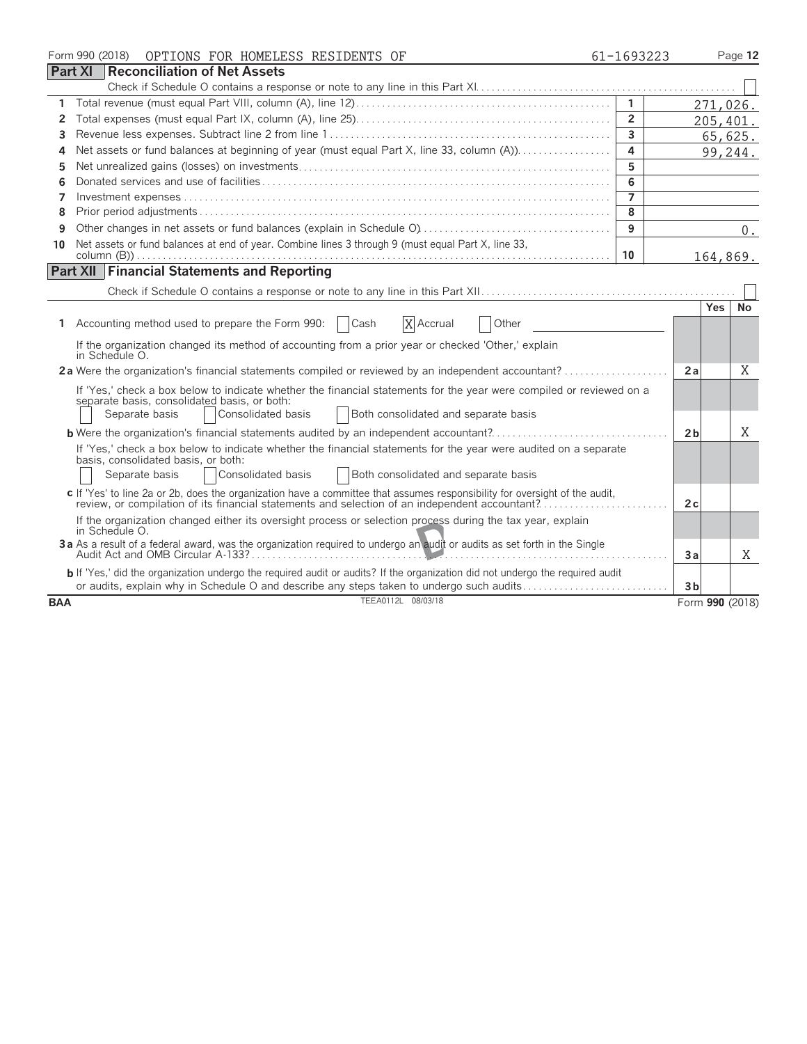|                | Form 990 (2018)<br>OPTIONS FOR HOMELESS RESIDENTS OF                                                                                                                                                                                                      | 61-1693223     |                 | Page 12   |
|----------------|-----------------------------------------------------------------------------------------------------------------------------------------------------------------------------------------------------------------------------------------------------------|----------------|-----------------|-----------|
| <b>Part XI</b> | Reconciliation of Net Assets                                                                                                                                                                                                                              |                |                 |           |
|                |                                                                                                                                                                                                                                                           |                |                 |           |
| 1              |                                                                                                                                                                                                                                                           | $\mathbf{1}$   |                 | 271,026.  |
| 2              |                                                                                                                                                                                                                                                           | $\overline{2}$ |                 | 205, 401. |
| 3              |                                                                                                                                                                                                                                                           | $\overline{3}$ |                 | 65,625.   |
| 4              | Net assets or fund balances at beginning of year (must equal Part X, line 33, column (A))                                                                                                                                                                 | $\overline{a}$ |                 | 99,244.   |
| 5              |                                                                                                                                                                                                                                                           | 5              |                 |           |
| 6              |                                                                                                                                                                                                                                                           | 6              |                 |           |
| 7              |                                                                                                                                                                                                                                                           | $\overline{7}$ |                 |           |
| 8              |                                                                                                                                                                                                                                                           | $\overline{8}$ |                 |           |
| 9              |                                                                                                                                                                                                                                                           | 9              |                 | 0.        |
| 10             | Net assets or fund balances at end of year. Combine lines 3 through 9 (must equal Part X, line 33,                                                                                                                                                        | 10             |                 | 164,869.  |
|                | <b>Part XII</b> Financial Statements and Reporting                                                                                                                                                                                                        |                |                 |           |
|                |                                                                                                                                                                                                                                                           |                |                 |           |
|                |                                                                                                                                                                                                                                                           |                | <b>Yes</b>      | <b>No</b> |
|                | Accounting method used to prepare the Form 990:<br>X Accrual<br>Cash<br>Other                                                                                                                                                                             |                |                 |           |
|                | If the organization changed its method of accounting from a prior year or checked 'Other,' explain<br>in Schedule O.                                                                                                                                      |                |                 |           |
|                | 2a Were the organization's financial statements compiled or reviewed by an independent accountant?                                                                                                                                                        |                | 2a              | Χ         |
|                | If 'Yes,' check a box below to indicate whether the financial statements for the year were compiled or reviewed on a<br>separate basis, consolidated basis, or both:<br>  Consolidated basis<br>Both consolidated and separate basis<br>Separate basis    |                |                 |           |
|                |                                                                                                                                                                                                                                                           |                | 2 <sub>b</sub>  | X         |
|                | If 'Yes,' check a box below to indicate whether the financial statements for the year were audited on a separate<br>basis, consolidated basis, or both:<br>Consolidated basis<br>Separate basis<br><b>Both consolidated and separate basis</b>            |                |                 |           |
|                | c If 'Yes' to line 2a or 2b, does the organization have a committee that assumes responsibility for oversight of the audit,<br>review, or compilation of its financial statements and selection of an independent accountant?                             |                | 2c              |           |
|                | If the organization changed either its oversight process or selection process during the tax year, explain<br>in Schedule O.<br>3a As a result of a federal award, was the organization required to undergo an audit or audits as set forth in the Single |                |                 |           |
|                |                                                                                                                                                                                                                                                           |                | Зa              | X         |
|                | b If 'Yes,' did the organization undergo the required audit or audits? If the organization did not undergo the required audit<br>or audits, explain why in Schedule O and describe any steps taken to undergo such audits                                 |                | 3 <sub>b</sub>  |           |
| <b>BAA</b>     | TEEA0112L 08/03/18                                                                                                                                                                                                                                        |                | Form 990 (2018) |           |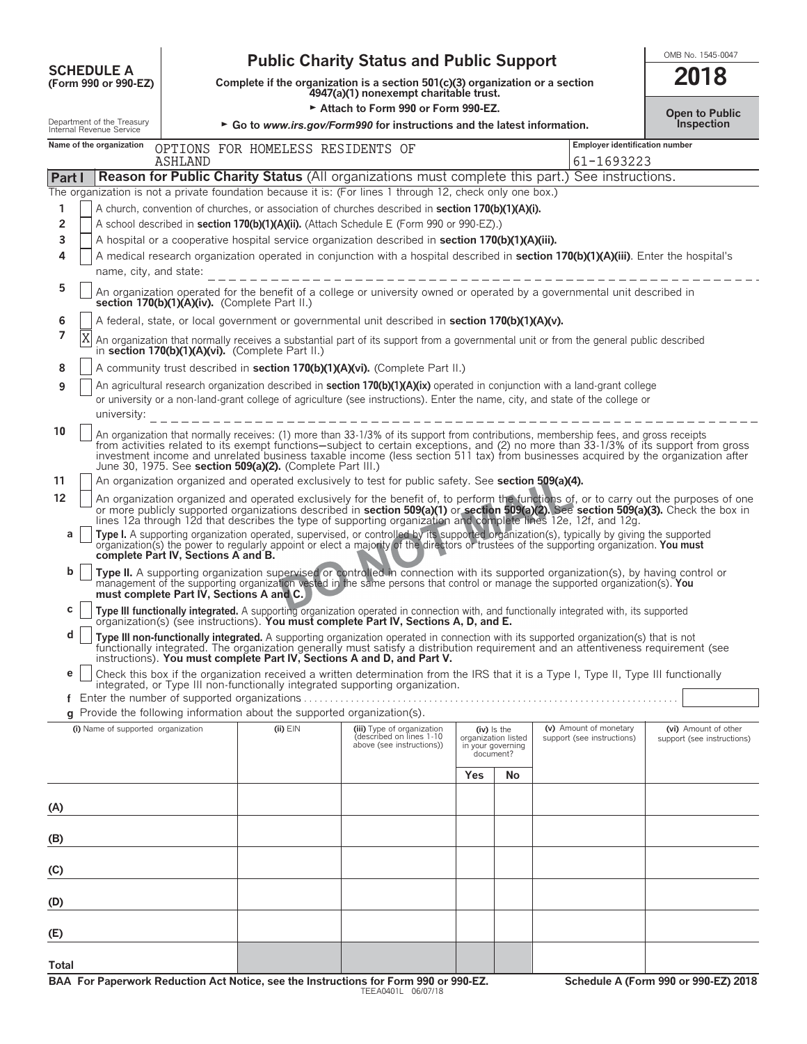| <b>SCHEDULE A</b>                            |  |
|----------------------------------------------|--|
| $T_{\rm C}$ $\sim$ 000 $\sim$ 000 $\Gamma$ 7 |  |

# **OMB No. 1545-0047**<br>
Complete if the organization is a section 501(c)(3) organization or a section<br> **SCHEDULE A**<br> **SCHEDULE A**<br> **SCHEDULE A**<br> **SCHEDULE A**<br> **SCHEDULE A**<br> **SCHEDULE A**<br> **SCHEDULE A**<br> **SCHEDULE A**

**COMPOUTE A**<br>
(Form 990 or 990-EZ) Complete if the organization is a section 501(c)(3) organization or a section<br>
4947(a)(1) nonexempt charitable trust.

■ Attach to Form 990 or Form 990-EZ.<br>• Co to www.irs gov/Form990 for instructions and the latest information

| 2018 |  |  |  |  |
|------|--|--|--|--|
|      |  |  |  |  |

|        |                                                                                                                                      | Internal Revenue Service           |                                                                                                                                                                            |                                                                          | GO to www.irs.gov/Formago for instructions and the latest information.                                                                                                                                                                                                                                                                                                                                             |     |                                                                        |                                                      | mspecuon                                           |  |  |  |
|--------|--------------------------------------------------------------------------------------------------------------------------------------|------------------------------------|----------------------------------------------------------------------------------------------------------------------------------------------------------------------------|--------------------------------------------------------------------------|--------------------------------------------------------------------------------------------------------------------------------------------------------------------------------------------------------------------------------------------------------------------------------------------------------------------------------------------------------------------------------------------------------------------|-----|------------------------------------------------------------------------|------------------------------------------------------|----------------------------------------------------|--|--|--|
|        |                                                                                                                                      | Name of the organization           | <b>ASHLAND</b>                                                                                                                                                             | OPTIONS FOR HOMELESS RESIDENTS OF                                        |                                                                                                                                                                                                                                                                                                                                                                                                                    |     |                                                                        | <b>Employer identification number</b><br>61-1693223  |                                                    |  |  |  |
| Part I |                                                                                                                                      |                                    |                                                                                                                                                                            |                                                                          | <b>Reason for Public Charity Status</b> (All organizations must complete this part.) See instructions.                                                                                                                                                                                                                                                                                                             |     |                                                                        |                                                      |                                                    |  |  |  |
|        |                                                                                                                                      |                                    |                                                                                                                                                                            |                                                                          | The organization is not a private foundation because it is: (For lines 1 through 12, check only one box.)                                                                                                                                                                                                                                                                                                          |     |                                                                        |                                                      |                                                    |  |  |  |
| 1      | A church, convention of churches, or association of churches described in section 170(b)(1)(A)(i).                                   |                                    |                                                                                                                                                                            |                                                                          |                                                                                                                                                                                                                                                                                                                                                                                                                    |     |                                                                        |                                                      |                                                    |  |  |  |
| 2      | A school described in section 170(b)(1)(A)(ii). (Attach Schedule E (Form 990 or 990-EZ).)                                            |                                    |                                                                                                                                                                            |                                                                          |                                                                                                                                                                                                                                                                                                                                                                                                                    |     |                                                                        |                                                      |                                                    |  |  |  |
| 3      |                                                                                                                                      |                                    |                                                                                                                                                                            |                                                                          | A hospital or a cooperative hospital service organization described in section 170(b)(1)(A)(iii).                                                                                                                                                                                                                                                                                                                  |     |                                                                        |                                                      |                                                    |  |  |  |
| 4      | A medical research organization operated in conjunction with a hospital described in section 170(b)(1)(A)(iii). Enter the hospital's |                                    |                                                                                                                                                                            |                                                                          |                                                                                                                                                                                                                                                                                                                                                                                                                    |     |                                                                        |                                                      |                                                    |  |  |  |
|        | name, city, and state:                                                                                                               |                                    |                                                                                                                                                                            |                                                                          |                                                                                                                                                                                                                                                                                                                                                                                                                    |     |                                                                        |                                                      |                                                    |  |  |  |
| 5      |                                                                                                                                      |                                    | An organization operated for the benefit of a college or university owned or operated by a governmental unit described in<br>section 170(b)(1)(A)(iv). (Complete Part II.) |                                                                          |                                                                                                                                                                                                                                                                                                                                                                                                                    |     |                                                                        |                                                      |                                                    |  |  |  |
| 6      |                                                                                                                                      |                                    |                                                                                                                                                                            |                                                                          | A federal, state, or local government or governmental unit described in section 170(b)(1)(A)(v).                                                                                                                                                                                                                                                                                                                   |     |                                                                        |                                                      |                                                    |  |  |  |
| 7      | Χ                                                                                                                                    |                                    |                                                                                                                                                                            | in section 170(b)(1)(A)(vi). (Complete Part II.)                         | An organization that normally receives a substantial part of its support from a governmental unit or from the general public described                                                                                                                                                                                                                                                                             |     |                                                                        |                                                      |                                                    |  |  |  |
| 8      |                                                                                                                                      |                                    |                                                                                                                                                                            |                                                                          | A community trust described in section 170(b)(1)(A)(vi). (Complete Part II.)                                                                                                                                                                                                                                                                                                                                       |     |                                                                        |                                                      |                                                    |  |  |  |
| 9      |                                                                                                                                      |                                    |                                                                                                                                                                            |                                                                          | An agricultural research organization described in <b>section 170(b)(1)(A)(ix)</b> operated in conjunction with a land-grant college                                                                                                                                                                                                                                                                               |     |                                                                        |                                                      |                                                    |  |  |  |
|        |                                                                                                                                      |                                    |                                                                                                                                                                            |                                                                          | or university or a non-land-grant college of agriculture (see instructions). Enter the name, city, and state of the college or                                                                                                                                                                                                                                                                                     |     |                                                                        |                                                      |                                                    |  |  |  |
|        |                                                                                                                                      | university:                        |                                                                                                                                                                            |                                                                          |                                                                                                                                                                                                                                                                                                                                                                                                                    |     |                                                                        |                                                      |                                                    |  |  |  |
| 10     |                                                                                                                                      |                                    |                                                                                                                                                                            | June 30, 1975. See section 509(a)(2). (Complete Part III.)               | An organization that normally receives: (1) more than 33-1/3% of its support from contributions, membership fees, and gross receipts<br>from activities related to its exempt functions-subject to certain exceptions, and (2) no more than 33-1/3% of its support from gross<br>investment income and unrelated business taxable income (less section 511 tax) from businesses acquired by the organization after |     |                                                                        |                                                      |                                                    |  |  |  |
| 11     |                                                                                                                                      |                                    |                                                                                                                                                                            |                                                                          | An organization organized and operated exclusively to test for public safety. See section 509(a)(4).                                                                                                                                                                                                                                                                                                               |     |                                                                        |                                                      |                                                    |  |  |  |
| 12     |                                                                                                                                      |                                    |                                                                                                                                                                            |                                                                          | An organization organized and operated exclusively for the benefit of, to perform the functions of, or to carry out the purposes of one or more publicly supported organizations described in <b>section 509(a)(1)</b> or <b>section </b><br>lines 12a through 12d that describes the type of supporting organization and complete lines 12e, 12f, and 12g.                                                        |     |                                                                        |                                                      |                                                    |  |  |  |
| a      |                                                                                                                                      |                                    | complete Part IV, Sections A and B.                                                                                                                                        |                                                                          | Type I. A supporting organization operated, supervised, or controlled by its supported organization(s), typically by giving the supported organization(s) the power to regularly appoint or elect a majority of the directors                                                                                                                                                                                      |     |                                                                        |                                                      |                                                    |  |  |  |
| b      |                                                                                                                                      |                                    |                                                                                                                                                                            | must complete Part IV, Sections A and C.                                 | Type II. A supporting organization supervised or controlled in connection with its supported organization(s), by having control or management of the supporting organization vested in the same persons that control or manage                                                                                                                                                                                     |     |                                                                        |                                                      |                                                    |  |  |  |
| С      |                                                                                                                                      |                                    |                                                                                                                                                                            |                                                                          | Type III functionally integrated. A supporting organization operated in connection with, and functionally integrated with, its supported<br>organization(s) (see instructions). You must complete Part IV, Sections A, D, and E.                                                                                                                                                                                   |     |                                                                        |                                                      |                                                    |  |  |  |
| d      |                                                                                                                                      |                                    |                                                                                                                                                                            |                                                                          | Type III non-functionally integrated. A supporting organization operated in connection with its supported organization(s) that is not<br>functionally integrated. The organization generally must satisfy a distribution requirement and an attentiveness requirement (see<br>instructions). You must complete Part IV, Sections A and D, and Part V.                                                              |     |                                                                        |                                                      |                                                    |  |  |  |
| e      |                                                                                                                                      |                                    |                                                                                                                                                                            |                                                                          | Check this box if the organization received a written determination from the IRS that it is a Type I, Type II, Type III functionally<br>integrated, or Type III non-functionally integrated supporting organization.                                                                                                                                                                                               |     |                                                                        |                                                      |                                                    |  |  |  |
|        |                                                                                                                                      |                                    |                                                                                                                                                                            |                                                                          |                                                                                                                                                                                                                                                                                                                                                                                                                    |     |                                                                        |                                                      |                                                    |  |  |  |
|        |                                                                                                                                      |                                    |                                                                                                                                                                            | g Provide the following information about the supported organization(s). |                                                                                                                                                                                                                                                                                                                                                                                                                    |     |                                                                        |                                                      |                                                    |  |  |  |
|        |                                                                                                                                      | (i) Name of supported organization |                                                                                                                                                                            | $(ii)$ $EIN$                                                             | (iii) Type of organization<br>(described on lines 1-10<br>above (see instructions))                                                                                                                                                                                                                                                                                                                                |     | $(iv)$ is the<br>organization listed<br>in your governing<br>document? | (v) Amount of monetary<br>support (see instructions) | (vi) Amount of other<br>support (see instructions) |  |  |  |
|        |                                                                                                                                      |                                    |                                                                                                                                                                            |                                                                          |                                                                                                                                                                                                                                                                                                                                                                                                                    | Yes | No                                                                     |                                                      |                                                    |  |  |  |
|        |                                                                                                                                      |                                    |                                                                                                                                                                            |                                                                          |                                                                                                                                                                                                                                                                                                                                                                                                                    |     |                                                                        |                                                      |                                                    |  |  |  |
| (A)    |                                                                                                                                      |                                    |                                                                                                                                                                            |                                                                          |                                                                                                                                                                                                                                                                                                                                                                                                                    |     |                                                                        |                                                      |                                                    |  |  |  |
|        |                                                                                                                                      |                                    |                                                                                                                                                                            |                                                                          |                                                                                                                                                                                                                                                                                                                                                                                                                    |     |                                                                        |                                                      |                                                    |  |  |  |
| (B)    |                                                                                                                                      |                                    |                                                                                                                                                                            |                                                                          |                                                                                                                                                                                                                                                                                                                                                                                                                    |     |                                                                        |                                                      |                                                    |  |  |  |
| (C)    |                                                                                                                                      |                                    |                                                                                                                                                                            |                                                                          |                                                                                                                                                                                                                                                                                                                                                                                                                    |     |                                                                        |                                                      |                                                    |  |  |  |
| (D)    |                                                                                                                                      |                                    |                                                                                                                                                                            |                                                                          |                                                                                                                                                                                                                                                                                                                                                                                                                    |     |                                                                        |                                                      |                                                    |  |  |  |
| (E)    |                                                                                                                                      |                                    |                                                                                                                                                                            |                                                                          |                                                                                                                                                                                                                                                                                                                                                                                                                    |     |                                                                        |                                                      |                                                    |  |  |  |
|        |                                                                                                                                      |                                    |                                                                                                                                                                            |                                                                          |                                                                                                                                                                                                                                                                                                                                                                                                                    |     |                                                                        |                                                      |                                                    |  |  |  |
| Total  |                                                                                                                                      |                                    |                                                                                                                                                                            |                                                                          |                                                                                                                                                                                                                                                                                                                                                                                                                    |     |                                                                        |                                                      |                                                    |  |  |  |
|        |                                                                                                                                      |                                    |                                                                                                                                                                            |                                                                          |                                                                                                                                                                                                                                                                                                                                                                                                                    |     |                                                                        |                                                      |                                                    |  |  |  |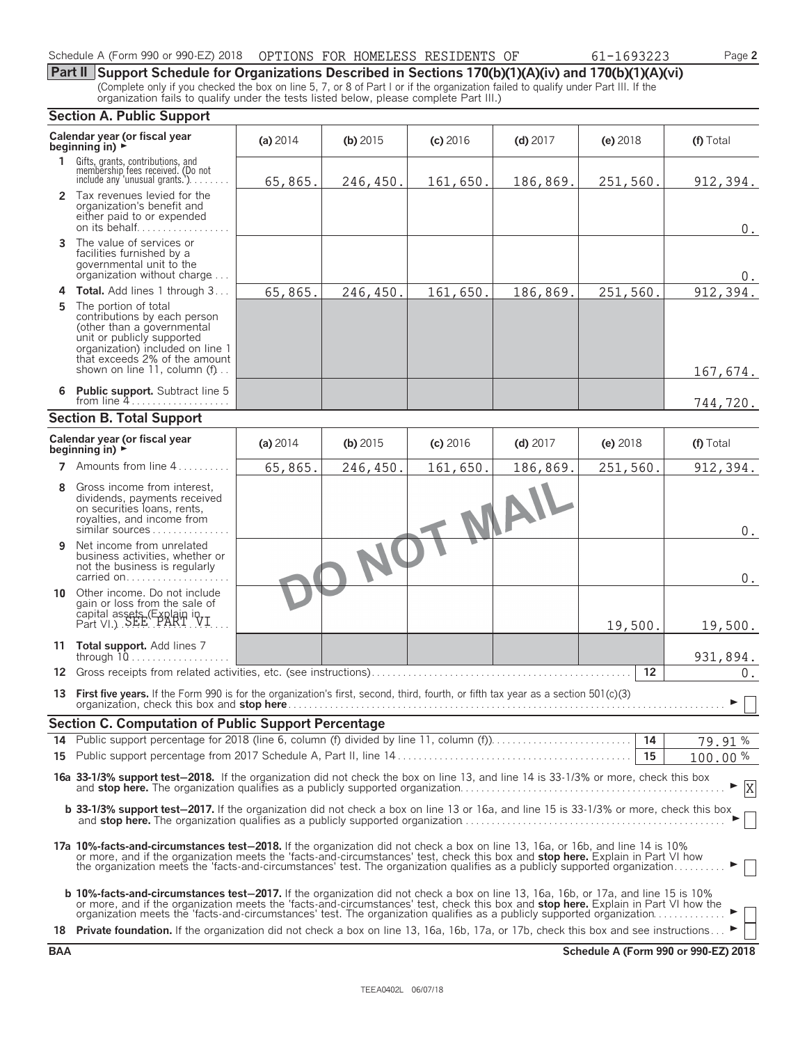| Schedule A (Form 990 or 990-EZ) 2018 | 3 OPTIONS FOR HOMELESS RESIDENTS OF |  | 61-1693223 | $P$ age $\mathsf{\Sigma}$ |  |
|--------------------------------------|-------------------------------------|--|------------|---------------------------|--|
|                                      |                                     |  |            |                           |  |

**Part II Support Schedule for Organizations Described in Sections 170(b)(1)(A)(iv) and 170(b)(1)(A)(vi)** (Complete only if you checked the box on line 5, 7, or 8 of Part I or if the organization failed to qualify under Part III. If the organization fails to qualify under the tests listed below, please complete Part III.)

#### **Section A. Public Support**

|    | JECUVII A. FUDIIC JUPPULL                                                                                                                                                                                                                                                                                                                                                                                                                                                                                             |          |            |          |            |            |                         |
|----|-----------------------------------------------------------------------------------------------------------------------------------------------------------------------------------------------------------------------------------------------------------------------------------------------------------------------------------------------------------------------------------------------------------------------------------------------------------------------------------------------------------------------|----------|------------|----------|------------|------------|-------------------------|
|    | Calendar year (or fiscal year<br>beginning in) $\blacktriangleright$                                                                                                                                                                                                                                                                                                                                                                                                                                                  | (a) 2014 | (b) $2015$ | (c) 2016 | $(d)$ 2017 | $(e)$ 2018 | (f) Total               |
|    | 1 Gifts, grants, contributions, and<br>membership fees received. (Do not<br>include any 'unusual grants.')                                                                                                                                                                                                                                                                                                                                                                                                            | 65,865.  | 246,450.   | 161,650. | 186,869.   | 251,560.   | 912, 394.               |
|    | 2 Tax revenues levied for the<br>organization's benefit and<br>either paid to or expended<br>on its behalf                                                                                                                                                                                                                                                                                                                                                                                                            |          |            |          |            |            | $0$ .                   |
|    | 3 The value of services or<br>facilities furnished by a<br>governmental unit to the<br>organization without charge                                                                                                                                                                                                                                                                                                                                                                                                    |          |            |          |            |            | 0.                      |
| 4  | Total. Add lines 1 through 3                                                                                                                                                                                                                                                                                                                                                                                                                                                                                          | 65,865.  | 246,450.   | 161,650. | 186,869.   | 251,560.   | 912, 394.               |
| 5. | The portion of total<br>contributions by each person<br>(other than a governmental<br>unit or publicly supported<br>organization) included on line 1<br>that exceeds 2% of the amount<br>shown on line 11, column (f)                                                                                                                                                                                                                                                                                                 |          |            |          |            |            | 167,674.                |
|    | 6 Public support. Subtract line 5<br>from line 4                                                                                                                                                                                                                                                                                                                                                                                                                                                                      |          |            |          |            |            | 744,720.                |
|    | <b>Section B. Total Support</b>                                                                                                                                                                                                                                                                                                                                                                                                                                                                                       |          |            |          |            |            |                         |
|    | Calendar year (or fiscal year<br>beginning in) $\rightarrow$                                                                                                                                                                                                                                                                                                                                                                                                                                                          | (a) 2014 | (b) $2015$ | (c) 2016 | $(d)$ 2017 | $(e)$ 2018 | (f) Total               |
| 7  | Amounts from line 4                                                                                                                                                                                                                                                                                                                                                                                                                                                                                                   | 65,865.  | 246,450.   | 161,650. | 186,869.   | 251,560.   | 912,394.                |
| 8  | Gross income from interest,<br>dividends, payments received<br>on securities loans, rents,<br>royalties, and income from<br>similar sources                                                                                                                                                                                                                                                                                                                                                                           |          |            |          | - MAIL     |            | 0.                      |
|    | <b>9</b> Net income from unrelated<br>business activities, whether or<br>not the business is regularly<br>carried on                                                                                                                                                                                                                                                                                                                                                                                                  |          | NO         |          |            |            | $0$ .                   |
|    | 10 Other income. Do not include<br>gain or loss from the sale of<br>capital assets (Explain in Part VI.) SEE PART VI.                                                                                                                                                                                                                                                                                                                                                                                                 |          |            |          |            | 19,500.    | 19,500.                 |
|    | 11 Total support. Add lines 7                                                                                                                                                                                                                                                                                                                                                                                                                                                                                         |          |            |          |            |            | 931,894.                |
| 12 |                                                                                                                                                                                                                                                                                                                                                                                                                                                                                                                       |          |            |          |            | 12         | 0.                      |
|    | 13 First five years. If the Form 990 is for the organization's first, second, third, fourth, or fifth tax year as a section 501(c)(3)                                                                                                                                                                                                                                                                                                                                                                                 |          |            |          |            |            | $\blacktriangleright$ 1 |
|    | <b>Section C. Computation of Public Support Percentage</b>                                                                                                                                                                                                                                                                                                                                                                                                                                                            |          |            |          |            |            |                         |
|    |                                                                                                                                                                                                                                                                                                                                                                                                                                                                                                                       |          |            |          |            | 14         | 79.91%                  |
|    |                                                                                                                                                                                                                                                                                                                                                                                                                                                                                                                       |          |            |          |            | 15         | 100.00%                 |
|    | 16a 33-1/3% support test-2018. If the organization did not check the box on line 13, and line 14 is 33-1/3% or more, check this box                                                                                                                                                                                                                                                                                                                                                                                   |          |            |          |            |            | $\mathbf{X}$            |
|    | b 33-1/3% support test-2017. If the organization did not check a box on line 13 or 16a, and line 15 is 33-1/3% or more, check this box                                                                                                                                                                                                                                                                                                                                                                                |          |            |          |            |            |                         |
|    | 17a 10%-facts-and-circumstances test-2018. If the organization did not check a box on line 13, 16a, or 16b, and line 14 is 10%<br>or more, and if the organization meets the 'facts-and-circumstances' test, check this box and <b>stop here.</b> Explain in Part VI how the organization meets the 'facts-and-circumstances' test. The organization qualifies as a p                                                                                                                                                 |          |            |          |            |            |                         |
|    | <b>b 10%-facts-and-circumstances test-2017.</b> If the organization did not check a box on line 13, 16a, 16b, or 17a, and line 15 is 10%<br>or more, and if the organization meets the 'facts-and-circumstances' test, check this box and stop here. Explain in Part VI how the organization meets the 'facts-and-circumstances' test. The organization qualifies as a pub<br>18 Private foundation. If the organization did not check a box on line 13, 16a, 16b, 17a, or 17b, check this box and see instructions ► |          |            |          |            |            |                         |
|    |                                                                                                                                                                                                                                                                                                                                                                                                                                                                                                                       |          |            |          |            |            |                         |

**BAA Schedule A (Form 990 or 990-EZ) 2018**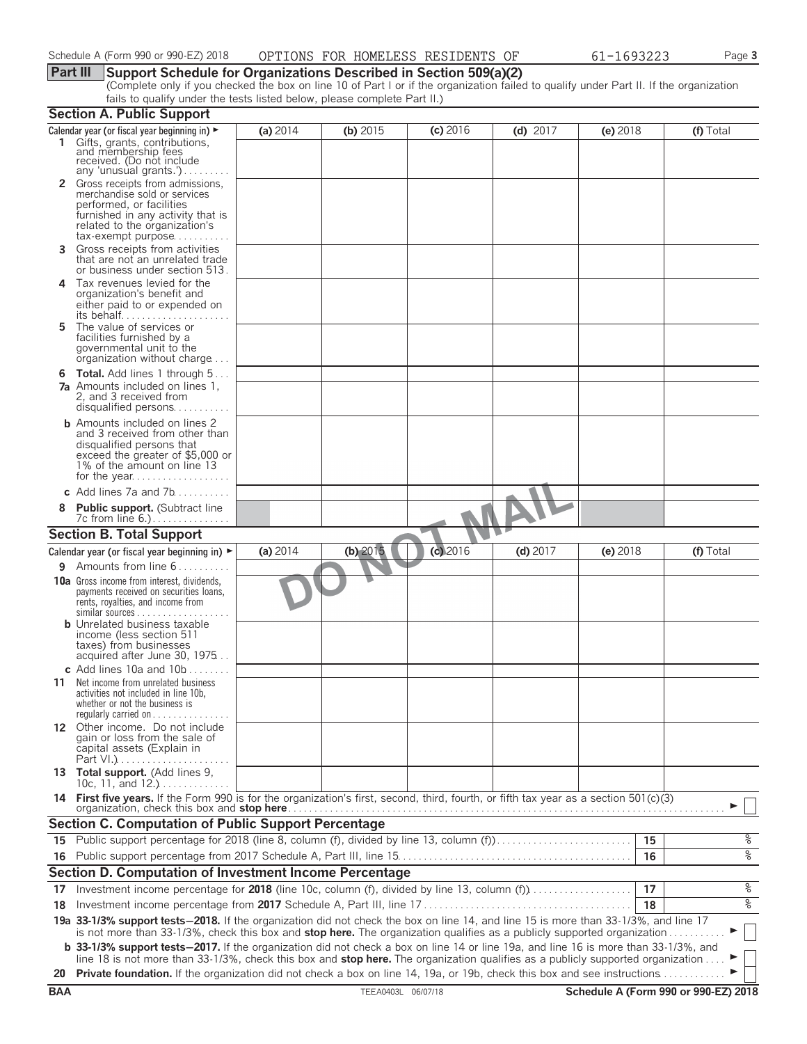#### **Part III Support Schedule for Organizations Described in Section 509(a)(2)**

(Complete only if you checked the box on line 10 of Part I or if the organization failed to qualify under Part II. If the organization fails to qualify under the tests listed below, please complete Part II.)

|            | <b>Section A. Public Support</b>                                                                                                                                                                                                                                              |          |                    |          |            |          |                                      |
|------------|-------------------------------------------------------------------------------------------------------------------------------------------------------------------------------------------------------------------------------------------------------------------------------|----------|--------------------|----------|------------|----------|--------------------------------------|
|            | Calendar year (or fiscal year beginning in) $\blacktriangleright$                                                                                                                                                                                                             | (a) 2014 | (b) $2015$         | (c) 2016 | $(d)$ 2017 | (e) 2018 | (f) Total                            |
|            | 1 Gifts, grants, contributions,<br>and membership fees<br>received. (Do not include<br>any 'unusual grants.')                                                                                                                                                                 |          |                    |          |            |          |                                      |
|            | Gross receipts from admissions,<br>merchandise sold or services<br>performed, or facilities<br>furnished in any activity that is<br>related to the organization's<br>$tax\text{-}exempt$ purpose                                                                              |          |                    |          |            |          |                                      |
| 3.         | Gross receipts from activities<br>that are not an unrelated trade<br>or business under section 513.                                                                                                                                                                           |          |                    |          |            |          |                                      |
| 4          | Tax revenues levied for the<br>organization's benefit and<br>either paid to or expended on                                                                                                                                                                                    |          |                    |          |            |          |                                      |
| 5.         | The value of services or<br>facilities furnished by a<br>governmental unit to the<br>organization without charge                                                                                                                                                              |          |                    |          |            |          |                                      |
|            | <b>6 Total.</b> Add lines 1 through 5<br><b>7a</b> Amounts included on lines 1.<br>2, and 3 received from<br>disqualified persons                                                                                                                                             |          |                    |          |            |          |                                      |
|            | <b>b</b> Amounts included on lines 2<br>and 3 received from other than<br>disqualified persons that<br>exceed the greater of \$5,000 or<br>1% of the amount on line 13                                                                                                        |          |                    |          |            |          |                                      |
|            | c Add lines $7a$ and $7b$                                                                                                                                                                                                                                                     |          |                    |          |            |          |                                      |
|            | <b>Public support.</b> (Subtract line<br>7c from line 6.).                                                                                                                                                                                                                    |          |                    |          |            |          |                                      |
|            | <b>Section B. Total Support</b>                                                                                                                                                                                                                                               |          |                    |          |            |          |                                      |
|            | Calendar year (or fiscal year beginning in) $\blacktriangleright$                                                                                                                                                                                                             | (a) 2014 | $(b)$ 2015         | (c) 2016 | $(d)$ 2017 | (e) 2018 | (f) Total                            |
| 9.         | Amounts from line 6                                                                                                                                                                                                                                                           |          |                    |          |            |          |                                      |
|            | <b>10a</b> Gross income from interest, dividends,<br>payments received on securities loans,<br>rents, royalties, and income from<br>similar sources                                                                                                                           |          |                    |          |            |          |                                      |
|            | <b>b</b> Unrelated business taxable<br>income (less section 511<br>taxes) from businesses<br>acquired after June 30, 1975                                                                                                                                                     |          |                    |          |            |          |                                      |
|            | c Add lines 10a and $10b$<br>11 Net income from unrelated business<br>activities not included in line 10b,<br>whether or not the business is<br>regularly carried on $\dots\dots\dots$                                                                                        |          |                    |          |            |          |                                      |
|            | 12 Other income. Do not include<br>gain or loss from the sale of<br>capital assets (Explain in                                                                                                                                                                                |          |                    |          |            |          |                                      |
|            | 13 Total support. (Add lines 9,<br>10c, 11, and $12.$ )                                                                                                                                                                                                                       |          |                    |          |            |          |                                      |
|            | 14 First five years. If the Form 990 is for the organization's first, second, third, fourth, or fifth tax year as a section 501(c)(3)                                                                                                                                         |          |                    |          |            |          |                                      |
|            | <b>Section C. Computation of Public Support Percentage</b>                                                                                                                                                                                                                    |          |                    |          |            |          |                                      |
|            | 15 Public support percentage for 2018 (line 8, column (f), divided by line 13, column (f)                                                                                                                                                                                     |          |                    |          |            | 15       | နွ                                   |
|            |                                                                                                                                                                                                                                                                               |          |                    |          |            | 16       | $\frac{1}{\sqrt{2}}$                 |
|            | Section D. Computation of Investment Income Percentage                                                                                                                                                                                                                        |          |                    |          |            |          |                                      |
| 17         | Investment income percentage for 2018 (line 10c, column (f), divided by line 13, column (f)                                                                                                                                                                                   |          |                    |          |            | 17       | ್ಠಿ                                  |
| 18         |                                                                                                                                                                                                                                                                               |          |                    |          |            | 18       | နွ                                   |
|            | 19a 33-1/3% support tests-2018. If the organization did not check the box on line 14, and line 15 is more than 33-1/3%, and line 17<br>is not more than 33-1/3%, check this box and stop here. The organization qualifies as a publicly supported organization                |          |                    |          |            |          |                                      |
|            | <b>b</b> 33-1/3% support tests-2017. If the organization did not check a box on line 14 or line 19a, and line 16 is more than 33-1/3%, and<br>line 18 is not more than 33-1/3%, check this box and stop here. The organization qualifies as a publicly supported organization |          |                    |          |            |          |                                      |
| 20         | Private foundation. If the organization did not check a box on line 14, 19a, or 19b, check this box and see instructions                                                                                                                                                      |          |                    |          |            |          |                                      |
| <b>BAA</b> |                                                                                                                                                                                                                                                                               |          | TEEA0403L 06/07/18 |          |            |          | Schedule A (Form 990 or 990-EZ) 2018 |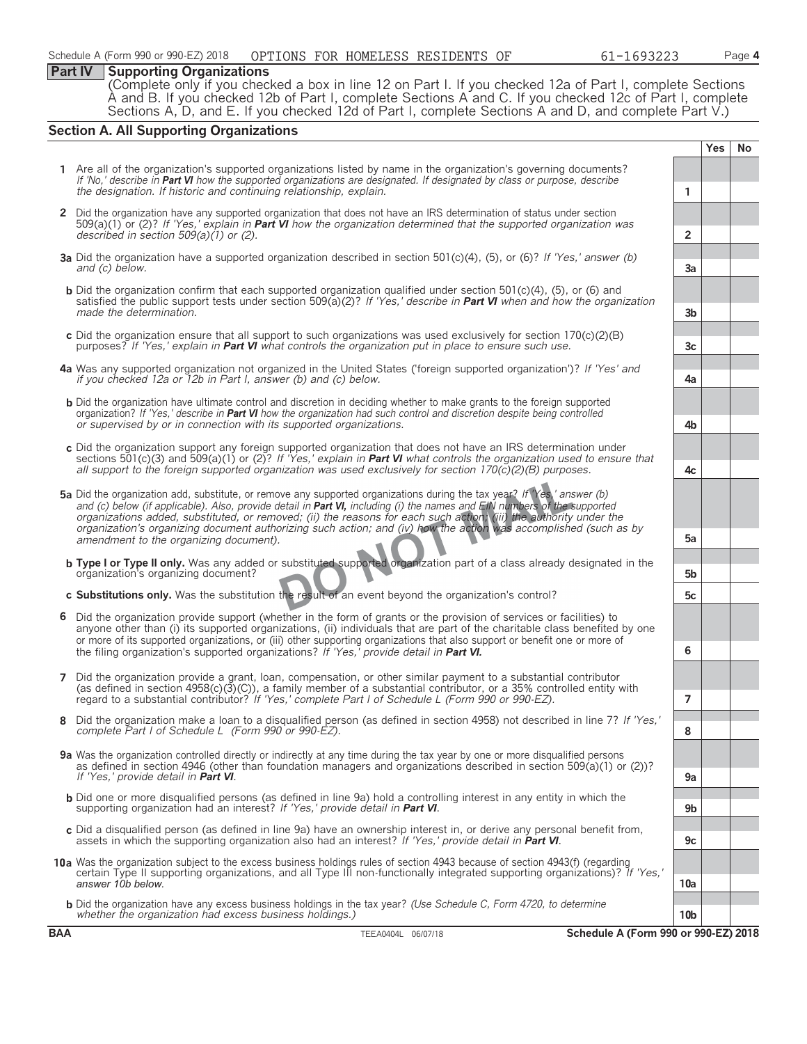#### **Part IV Supporting Organizations**

(Complete only if you checked a box in line 12 on Part I. If you checked 12a of Part I, complete Sections A and B. If you checked 12b of Part I, complete Sections A and C. If you checked 12c of Part I, complete Sections A, D, and E. If you checked 12d of Part I, complete Sections A and D, and complete Part V.)

#### **Section A. All Supporting Organizations**

**Yes No 1** Are all of the organization's supported organizations listed by name in the organization's governing documents? *If 'No,' describe in Part VI how the supported organizations are designated. If designated by class or purpose, describe the designation. If historic and continuing relationship, explain.* **1 2** Did the organization have any supported organization that does not have an IRS determination of status under section 509(a)(1) or (2)? *If 'Yes,' explain in Part VI how the organization determined that the supported organization was described in section 509(a)(1) or (2).* **2 3a** Did the organization have a supported organization described in section 501(c)(4), (5), or (6)? *If 'Yes,' answer (b) and (c) below.* **3a b** Did the organization confirm that each supported organization qualified under section 501(c)(4), (5), or (6) and satisfied the public support tests under section 509(a)(2)? *If 'Yes,' describe in Part VI when and how the organization made the determination.* **3b c** Did the organization ensure that all support to such organizations was used exclusively for section 170(c)(2)(B) purposes? *If 'Yes,' explain in Part VI what controls the organization put in place to ensure such use.*  $\begin{bmatrix} 1 & 3c \\ 2c & 3c \end{bmatrix}$  *3c* **4a** Was any supported organization not organized in the United States ('foreign supported organization')? *If 'Yes' and if you checked 12a or 12b in Part I, answer (b) and (c) below.* **4a b** Did the organization have ultimate control and discretion in deciding whether to make grants to the foreign supported organization? *If 'Yes,' describe in Part VI how the organization had such control and discretion despite being controlled or supervised by or in connection with its supported organizations.* **4b c** Did the organization support any foreign supported organization that does not have an IRS determination under sections 501(c)(3) and 509(a)(1) or (2)? *If 'Yes,' explain in Part VI what controls the organization used to ensure that all support to the foreign supported organization was used exclusively for section 170(c)(2)(B) purposes.* **4c 5a** Did the organization add, substitute, or remove any supported organizations during the tax year? *If 'Yes,' answer (b) and (c) below (if applicable). Also, provide detail in Part VI, including (i) the names and EIN numbers of the supported organizations added, substituted, or removed; (ii) the reasons for each such action; (iii) the authority under the organization's organizing document authorizing such action; and (iv) how the action was accomplished (such as by amendment to the organizing document).* **5a b Type I or Type II only.** Was any added or substituted supported organization part of a class already designated in the organization's organizing document? **5b c Substitutions only.** Was the substitution the result of an event beyond the organization's control? **5c 6** Did the organization provide support (whether in the form of grants or the provision of services or facilities) to anyone other than (i) its supported organizations, (ii) individuals that are part of the charitable class benefited by one or more of its supported organizations, or (iii) other supporting organizations that also support or benefit one or more of the filing organization's supported organizations? *If 'Yes,' provide detail in Part VI.* **6 7** Did the organization provide a grant, loan, compensation, or other similar payment to a substantial contributor (as defined in section 4958(c)(3)(C)), a family member of a substantial contributor, or a 35% controlled entity with regard to a substantial contributor? *If 'Yes,' complete Part I of Schedule L (Form 990 or 990-EZ).* **7 8** Did the organization make a loan to a disqualified person (as defined in section 4958) not described in line 7? *If 'Yes,' complete Part I of Schedule L (Form 990 or 990-EZ).* **8 9a** Was the organization controlled directly or indirectly at any time during the tax year by one or more disqualified persons as defined in section 4946 (other than foundation managers and organizations described in section 509(a)(1) or (2))? *If 'Yes,' provide detail in Part VI*. **9a** b Did one or more disqualified persons (as defined in line 9a) hold a controlling interest in any entity in which the<br>supporting organization had an interest? If 'Yes,' provide detail in **Part VI**. **c** Did a disqualified person (as defined in line 9a) have an ownership interest in, or derive any personal benefit from, assets in which the supporting organization also had an interest? *If 'Yes,' provide detail in Part VI*. **9c 10a** Was the organization subject to the excess business holdings rules of section 4943 because of section 4943(f) (regarding certain Type II supporting organizations, and all Type III non-functionally integrated supporting organizations)? *If 'Yes,' answer 10b below.* **10a b** Did the organization have any excess business holdings in the tax year? *(Use Schedule C, Form 4720, to determine whether the organization had excess business holdings.)* **10b**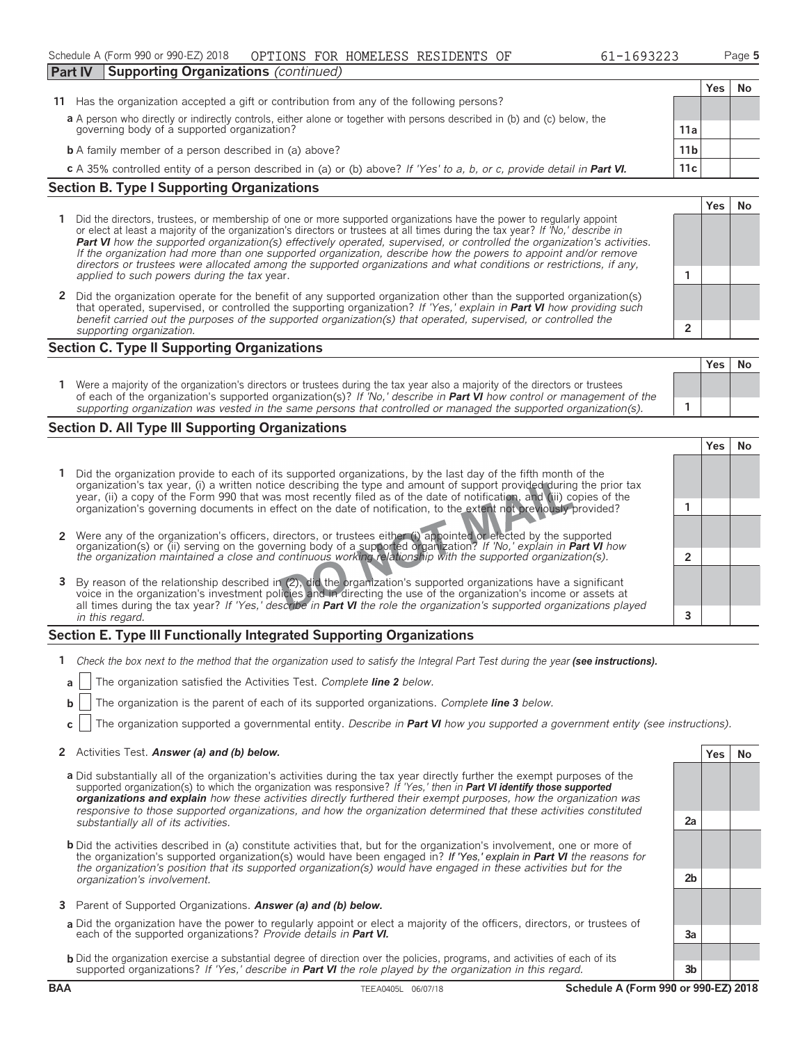| Schedule A (Form 990 or 990-EZ) 2018                |  | OPTIONS FOR HOMELESS RESIDENTS OF | 61-1693223 | Page 5 |
|-----------------------------------------------------|--|-----------------------------------|------------|--------|
| <b>Part IV</b> Supporting Organizations (continued) |  |                                   |            |        |

**Yes No**

**Yes No**

**Yes No 11** Has the organization accepted a gift or contribution from any of the following persons? **a** A person who directly or indirectly controls, either alone or together with persons described in (b) and (c) below, the governing body of a supported organization? **11a b** A family member of a person described in (a) above? **11b c** A 35% controlled entity of a person described in (a) or (b) above? *If 'Yes' to a, b, or c, provide detail in Part VI. 11c* 

#### **Section B. Type I Supporting Organizations**

- **1** Did the directors, trustees, or membership of one or more supported organizations have the power to regularly appoint or elect at least a majority of the organization's directors or trustees at all times during the tax year? *If 'No,' describe in Part VI how the supported organization(s) effectively operated, supervised, or controlled the organization's activities. If the organization had more than one supported organization, describe how the powers to appoint and/or remove directors or trustees were allocated among the supported organizations and what conditions or restrictions, if any, applied to such powers during the tax* year. **1**
- **2** Did the organization operate for the benefit of any supported organization other than the supported organization(s) that operated, supervised, or controlled the supporting organization? *If 'Yes,' explain in Part VI how providing such benefit carried out the purposes of the supported organization(s) that operated, supervised, or controlled the supporting organization.* **2**

#### **Section C. Type II Supporting Organizations**

|                                                                                                                                                                                                                                                               | . | - 140 |
|---------------------------------------------------------------------------------------------------------------------------------------------------------------------------------------------------------------------------------------------------------------|---|-------|
| Were a majority of the organization's directors or trustees during the tax year also a majority of the directors or trustees<br>of each of the organization's supported organization(s)? If 'No,' describe in <b>Part VI</b> how control or management of the |   |       |
| supporting organization was vested in the same persons that controlled or managed the supported organization(s).                                                                                                                                              |   |       |

#### **Section D. All Type III Supporting Organizations**

|                                                                                                                                                                                                                                                                                                                                                                   | 'es |  |
|-------------------------------------------------------------------------------------------------------------------------------------------------------------------------------------------------------------------------------------------------------------------------------------------------------------------------------------------------------------------|-----|--|
| Did the organization provide to each of its supported organizations, by the last day of the fifth month of the<br>organization's tax year, (i) a written notice describing the type and amount of support provided during the prior tax<br>year, (ii) a copy of the Form 990 that was most recently filed as of the date of notification, and (iii) copies of the |     |  |
| organization's governing documents in effect on the date of notification, to the extent not previously provided?                                                                                                                                                                                                                                                  |     |  |
|                                                                                                                                                                                                                                                                                                                                                                   |     |  |
| 2 Were any of the organization's officers, directors, or trustees either (i) appointed or elected by the supported                                                                                                                                                                                                                                                |     |  |
| organization(s) or (ii) serving on the governing body of a supported organization? If No, explain in <b>Part VI</b> how<br>the organization maintained a close and continuous working relationship with the supported organization(s).                                                                                                                            |     |  |
|                                                                                                                                                                                                                                                                                                                                                                   |     |  |
| 3 By reason of the relationship described in (2), did the organization's supported organizations have a significant<br>voice in the organization's investment policies and in directing the use of the organization's income or assets at                                                                                                                         |     |  |
| all times during the tax year? If 'Yes,' describe in <b>Part VI</b> the role the organization's supported organizations played                                                                                                                                                                                                                                    |     |  |
| in this regard.                                                                                                                                                                                                                                                                                                                                                   |     |  |

#### **Section E. Type III Functionally Integrated Supporting Organizations**

- **1** *Check the box next to the method that the organization used to satisfy the Integral Part Test during the year (see instructions).* 
	- **a** The organization satisfied the Activities Test. *Complete line 2 below.*
	- **b** The organization is the parent of each of its supported organizations. *Complete line 3 below.*
	- **c** The organization supported a governmental entity. *Describe in Part VI how you supported a government entity (see instructions).*

#### **2** Activities Test. **Answer (a) and (b) below. Yes No**

- **a** Did substantially all of the organization's activities during the tax year directly further the exempt purposes of the supported organization(s) to which the organization was responsive? *If 'Yes,' then in Part VI identify those supported organizations and explain how these activities directly furthered their exempt purposes, how the organization was responsive to those supported organizations, and how the organization determined that these activities constituted substantially all of its activities.* **2a**
- **b** Did the activities described in (a) constitute activities that, but for the organization's involvement, one or more of the organization's supported organization(s) would have been engaged in? *If 'Yes,' explain in Part VI the reasons for the organization's position that its supported organization(s) would have engaged in these activities but for the organization's involvement.* **2b**
- **3** Parent of Supported Organizations. *Answer (a) and (b) below.*
- **a** Did the organization have the power to regularly appoint or elect a majority of the officers, directors, or trustees of each of the supported organizations? *Provide details in Part VI.* **3a**
- **b** Did the organization exercise a substantial degree of direction over the policies, programs, and activities of each of its supported organizations? *If 'Yes,' describe in Part VI the role played by the organization in this regard.* **3b**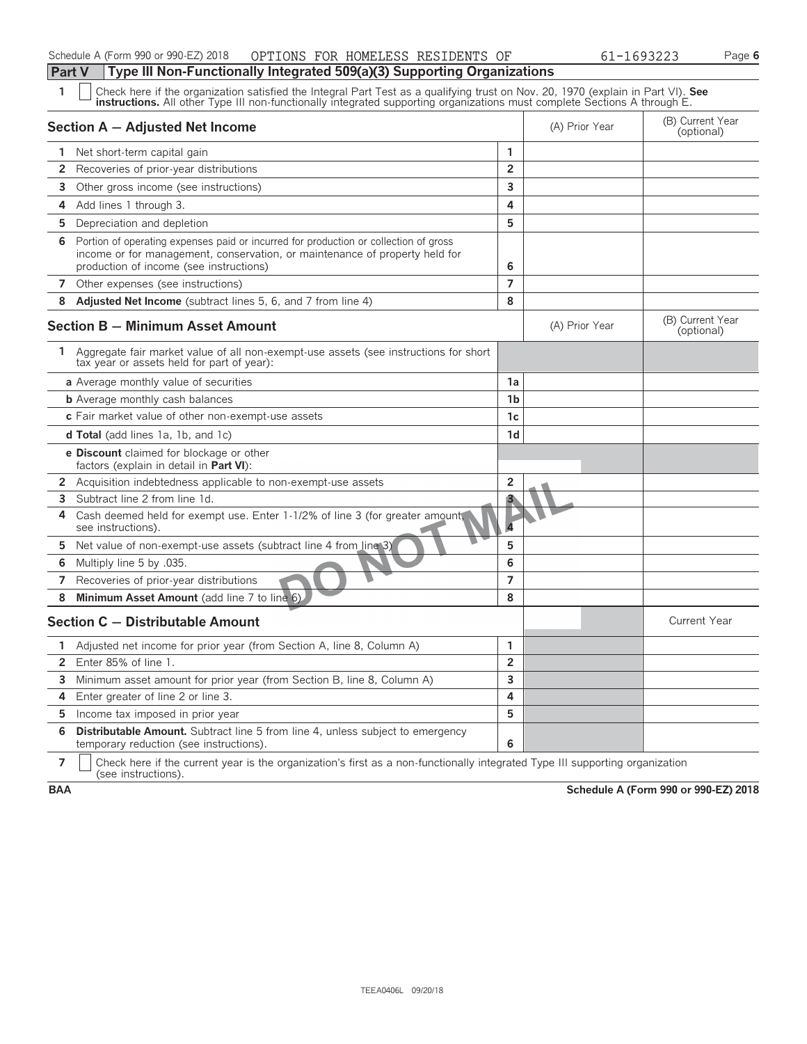| 1              | Check here if the organization satisfied the Integral Part Test as a qualifying trust on Nov. 20, 1970 (explain in Part VI). See<br><b>instructions.</b> All other Type III non-functionally integrated supporting organizations must complete Sections A through E. |                |                |                                |  |  |  |
|----------------|----------------------------------------------------------------------------------------------------------------------------------------------------------------------------------------------------------------------------------------------------------------------|----------------|----------------|--------------------------------|--|--|--|
|                | Section A - Adjusted Net Income                                                                                                                                                                                                                                      |                | (A) Prior Year | (B) Current Year<br>(optional) |  |  |  |
|                | 1 Net short-term capital gain                                                                                                                                                                                                                                        | 1              |                |                                |  |  |  |
| $\overline{2}$ | Recoveries of prior-year distributions                                                                                                                                                                                                                               | $\overline{2}$ |                |                                |  |  |  |
| 3              | Other gross income (see instructions)                                                                                                                                                                                                                                | 3              |                |                                |  |  |  |
| 4              | Add lines 1 through 3.                                                                                                                                                                                                                                               | 4              |                |                                |  |  |  |
| 5              | Depreciation and depletion                                                                                                                                                                                                                                           | 5              |                |                                |  |  |  |
| 6              | Portion of operating expenses paid or incurred for production or collection of gross<br>income or for management, conservation, or maintenance of property held for<br>production of income (see instructions)                                                       | 6              |                |                                |  |  |  |
|                | 7 Other expenses (see instructions)                                                                                                                                                                                                                                  | $\overline{7}$ |                |                                |  |  |  |
| 8              | Adjusted Net Income (subtract lines 5, 6, and 7 from line 4)                                                                                                                                                                                                         | 8              |                |                                |  |  |  |
|                | <b>Section B - Minimum Asset Amount</b>                                                                                                                                                                                                                              |                | (A) Prior Year | (B) Current Year<br>(optional) |  |  |  |
| 1              | Aggregate fair market value of all non-exempt-use assets (see instructions for short<br>tax year or assets held for part of year):                                                                                                                                   |                |                |                                |  |  |  |
|                | a Average monthly value of securities                                                                                                                                                                                                                                | 1a             |                |                                |  |  |  |
|                | <b>b</b> Average monthly cash balances                                                                                                                                                                                                                               | 1 <sub>b</sub> |                |                                |  |  |  |
|                | c Fair market value of other non-exempt-use assets                                                                                                                                                                                                                   | 1c             |                |                                |  |  |  |
|                | <b>d Total</b> (add lines 1a, 1b, and 1c)                                                                                                                                                                                                                            | 1 <sub>d</sub> |                |                                |  |  |  |
|                | <b>e Discount</b> claimed for blockage or other<br>factors (explain in detail in <b>Part VI</b> ):                                                                                                                                                                   |                |                |                                |  |  |  |
|                | 2 Acquisition indebtedness applicable to non-exempt-use assets                                                                                                                                                                                                       | $\overline{2}$ |                |                                |  |  |  |
|                | 3 Subtract line 2 from line 1d.                                                                                                                                                                                                                                      | 3              |                |                                |  |  |  |
| 4              | Cash deemed held for exempt use. Enter 1-1/2% of line 3 (for greater amount,<br>see instructions).                                                                                                                                                                   |                |                |                                |  |  |  |
| 5              | Net value of non-exempt-use assets (subtract line 4 from line 3)                                                                                                                                                                                                     | 5              |                |                                |  |  |  |
|                | 6 Multiply line 5 by .035.                                                                                                                                                                                                                                           | 6              |                |                                |  |  |  |
| 7              | Recoveries of prior-year distributions                                                                                                                                                                                                                               | $\overline{7}$ |                |                                |  |  |  |
| 8              | Minimum Asset Amount (add line 7 to line 6)                                                                                                                                                                                                                          | 8              |                |                                |  |  |  |
|                | Section C - Distributable Amount                                                                                                                                                                                                                                     |                |                | <b>Current Year</b>            |  |  |  |
| 1              | Adjusted net income for prior year (from Section A, line 8, Column A)                                                                                                                                                                                                | 1              |                |                                |  |  |  |
| $2^{\circ}$    | Enter 85% of line 1.                                                                                                                                                                                                                                                 | $\overline{2}$ |                |                                |  |  |  |
| 3              | Minimum asset amount for prior year (from Section B, line 8, Column A)                                                                                                                                                                                               | $\overline{3}$ |                |                                |  |  |  |
| 4              | Enter greater of line 2 or line 3.                                                                                                                                                                                                                                   | 4              |                |                                |  |  |  |
| 5              | Income tax imposed in prior year                                                                                                                                                                                                                                     | 5              |                |                                |  |  |  |
| 6              | <b>Distributable Amount.</b> Subtract line 5 from line 4, unless subject to emergency<br>temporary reduction (see instructions).                                                                                                                                     | 6              |                |                                |  |  |  |

**7**  $\mid$  Check here if the current year is the organization's first as a non-functionally integrated Type III supporting organization (see instructions).

**BAA Schedule A (Form 990 or 990-EZ) 2018**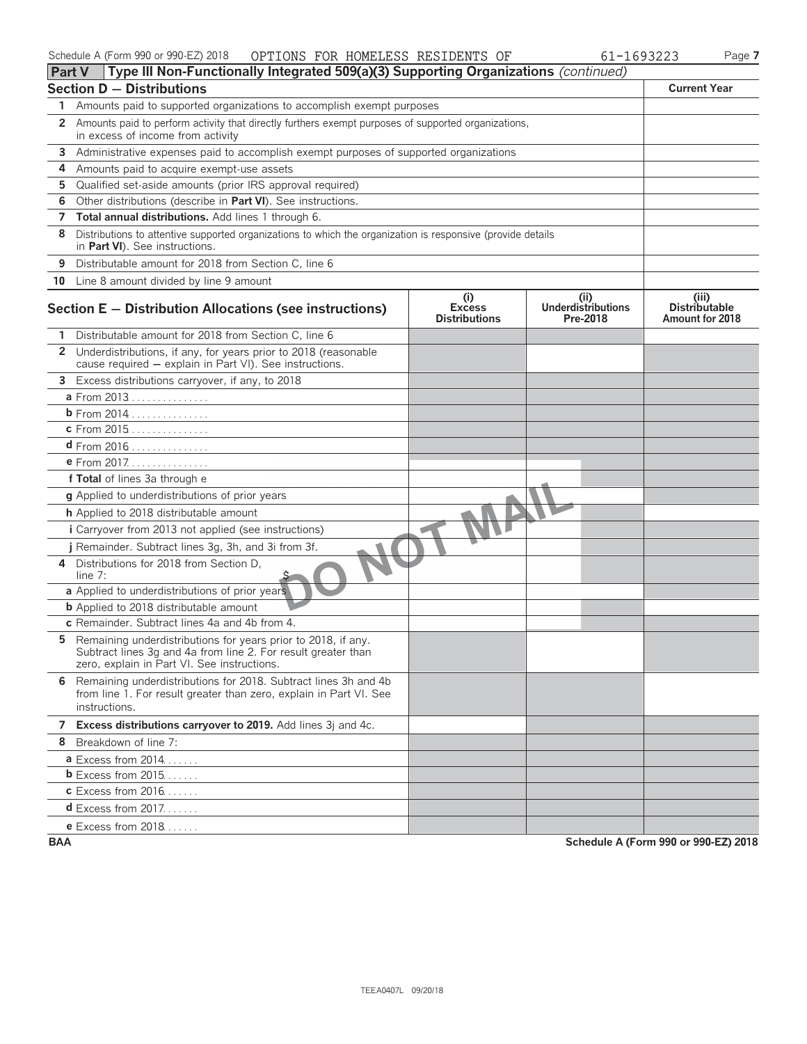| Schedule A (Form 990 or 990-EZ) 2018 | OPTIONS FOR HOMELESS RESIDENTS OF |  |  |  | 61-1693223 | Page 7 |
|--------------------------------------|-----------------------------------|--|--|--|------------|--------|
|--------------------------------------|-----------------------------------|--|--|--|------------|--------|

| <b>Part V</b> | Type III Non-Functionally Integrated 509(a)(3) Supporting Organizations (continued)                                                                                           |                                              |                                               |                                                  |
|---------------|-------------------------------------------------------------------------------------------------------------------------------------------------------------------------------|----------------------------------------------|-----------------------------------------------|--------------------------------------------------|
|               | <b>Section D - Distributions</b>                                                                                                                                              |                                              |                                               | <b>Current Year</b>                              |
| 1             | Amounts paid to supported organizations to accomplish exempt purposes                                                                                                         |                                              |                                               |                                                  |
| $\mathbf{2}$  | Amounts paid to perform activity that directly furthers exempt purposes of supported organizations,<br>in excess of income from activity                                      |                                              |                                               |                                                  |
| 3             | Administrative expenses paid to accomplish exempt purposes of supported organizations                                                                                         |                                              |                                               |                                                  |
| 4             | Amounts paid to acquire exempt-use assets                                                                                                                                     |                                              |                                               |                                                  |
| 5             | Qualified set-aside amounts (prior IRS approval required)                                                                                                                     |                                              |                                               |                                                  |
| 6             | Other distributions (describe in Part VI). See instructions.                                                                                                                  |                                              |                                               |                                                  |
| 7             | Total annual distributions. Add lines 1 through 6.                                                                                                                            |                                              |                                               |                                                  |
| 8             | Distributions to attentive supported organizations to which the organization is responsive (provide details<br>in Part VI). See instructions.                                 |                                              |                                               |                                                  |
| 9             | Distributable amount for 2018 from Section C, line 6                                                                                                                          |                                              |                                               |                                                  |
|               | 10 Line 8 amount divided by line 9 amount                                                                                                                                     |                                              |                                               |                                                  |
|               | Section E - Distribution Allocations (see instructions)                                                                                                                       | (i)<br><b>Excess</b><br><b>Distributions</b> | (ii)<br><b>Underdistributions</b><br>Pre-2018 | (iii)<br><b>Distributable</b><br>Amount for 2018 |
| 1             | Distributable amount for 2018 from Section C, line 6                                                                                                                          |                                              |                                               |                                                  |
| $\mathbf{2}$  | Underdistributions, if any, for years prior to 2018 (reasonable<br>cause required - explain in Part VI). See instructions.                                                    |                                              |                                               |                                                  |
|               | 3 Excess distributions carryover, if any, to 2018                                                                                                                             |                                              |                                               |                                                  |
|               | a From 2013                                                                                                                                                                   |                                              |                                               |                                                  |
|               |                                                                                                                                                                               |                                              |                                               |                                                  |
|               | <b>c</b> From 2015                                                                                                                                                            |                                              |                                               |                                                  |
|               | d From 2016                                                                                                                                                                   |                                              |                                               |                                                  |
|               | e From 2017.                                                                                                                                                                  |                                              |                                               |                                                  |
|               | f Total of lines 3a through e                                                                                                                                                 |                                              |                                               |                                                  |
|               | g Applied to underdistributions of prior years                                                                                                                                |                                              |                                               |                                                  |
|               | h Applied to 2018 distributable amount                                                                                                                                        |                                              |                                               |                                                  |
|               | <i>i</i> Carryover from 2013 not applied (see instructions)                                                                                                                   |                                              |                                               |                                                  |
|               | j Remainder. Subtract lines 3g, 3h, and 3i from 3f.                                                                                                                           |                                              |                                               |                                                  |
| 4             | Distributions for 2018 from Section D,<br>line 7:                                                                                                                             |                                              |                                               |                                                  |
|               | a Applied to underdistributions of prior years                                                                                                                                |                                              |                                               |                                                  |
|               | <b>b</b> Applied to 2018 distributable amount                                                                                                                                 |                                              |                                               |                                                  |
|               | c Remainder. Subtract lines 4a and 4b from 4.                                                                                                                                 |                                              |                                               |                                                  |
| 5.            | Remaining underdistributions for years prior to 2018, if any.<br>Subtract lines 3g and 4a from line 2. For result greater than<br>zero, explain in Part VI. See instructions. |                                              |                                               |                                                  |
|               | 6 Remaining underdistributions for 2018. Subtract lines 3h and 4b<br>from line 1. For result greater than zero, explain in Part VI. See<br>instructions.                      |                                              |                                               |                                                  |
|               | 7 Excess distributions carryover to 2019. Add lines 3j and 4c.                                                                                                                |                                              |                                               |                                                  |
|               | 8 Breakdown of line 7:                                                                                                                                                        |                                              |                                               |                                                  |
|               | <b>a</b> Excess from $2014$                                                                                                                                                   |                                              |                                               |                                                  |
|               | $b$ Excess from 2015                                                                                                                                                          |                                              |                                               |                                                  |
|               | <b>c</b> Excess from 2016                                                                                                                                                     |                                              |                                               |                                                  |
|               | <b>d</b> Excess from 2017.                                                                                                                                                    |                                              |                                               |                                                  |
|               | e Excess from 2018                                                                                                                                                            |                                              |                                               |                                                  |

**BAA Schedule A (Form 990 or 990-EZ) 2018**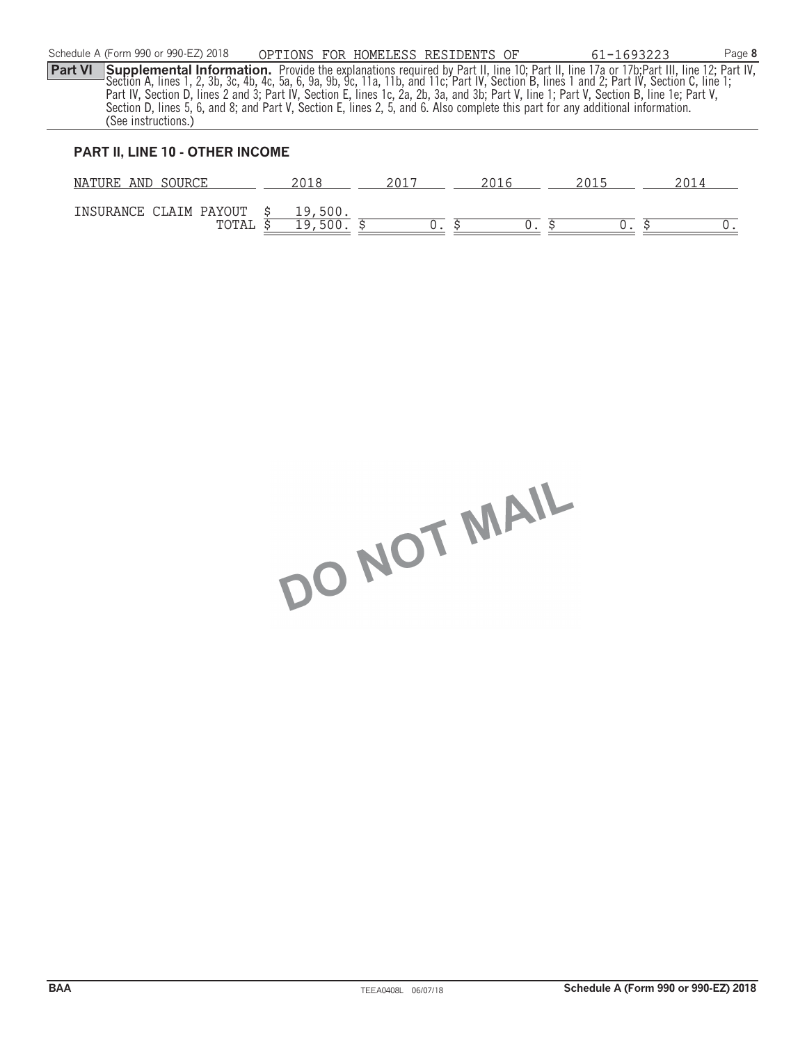|                | Schedule A (Form 990 or 990-EZ) 2018 | OPTIONS FOR HOMELESS RESIDENTS OF |  | 61-1693223                                                                                                                                    | Page 8 |
|----------------|--------------------------------------|-----------------------------------|--|-----------------------------------------------------------------------------------------------------------------------------------------------|--------|
| <b>Part VI</b> |                                      |                                   |  | <b>Supplemental Information.</b> Provide the explanations required by Part II, line 10; Part II, line 17a or 17b; Part III, line 12; Part IV, |        |
|                |                                      |                                   |  | "Section A, lines 1, 2, 3b, 3c, 4b, 4c, 5a, 6, 9a, 9b, 9c, 11a, 11b, and 11c; Part IV, Section B, lines 1 and 2; Part IV, Section C, line 1;  |        |
|                |                                      |                                   |  | Part IV, Section D, lines 2 and 3; Part IV, Section E, lines 1c, 2a, 2b, 3a, and 3b; Part V, line 1; Part V, Section B, line 1e; Part V,      |        |
|                |                                      |                                   |  | Section D, lines 5, 6, and 8; and Part V, Section E, lines 2, 5, and 6. Also complete this part for any additional information.               |        |
|                | (See instructions.)                  |                                   |  |                                                                                                                                               |        |
|                |                                      |                                   |  |                                                                                                                                               |        |

#### **PART II, LINE 10 - OTHER INCOME**

| AND<br>NATURE<br>SOURCE         |                           | ZUI | $\sim$ $\cup$ $\perp$ |  |
|---------------------------------|---------------------------|-----|-----------------------|--|
| INSURANCE CLAIM PAYOUT<br>TOTAL | , 500.<br>1 Q<br>ᅩ<br>- u |     |                       |  |

DO NOT MAIL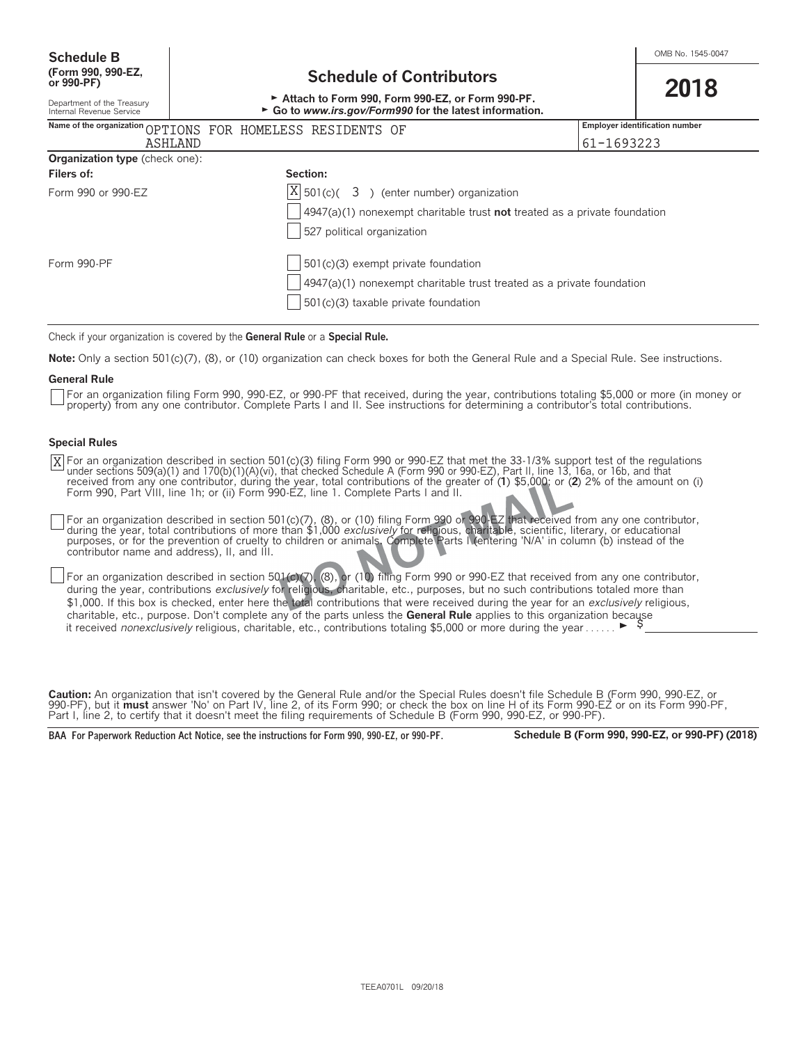| Department of the Treasury | AUGULI IV FUIIII 330, FUIIII 330-LE, UI FUIIII 330-FF.  |
|----------------------------|---------------------------------------------------------|
| Internal Revenue Service   | ► Go to www.irs.gov/Form990 for the latest information. |

|                                       | Name of the organization OPTIONS FOR HOMELESS RESIDENTS OF                               | <b>Employer identification number</b> |
|---------------------------------------|------------------------------------------------------------------------------------------|---------------------------------------|
| <b>ASHLAND</b>                        |                                                                                          | 61-1693223                            |
| <b>Organization type</b> (check one): |                                                                                          |                                       |
| Filers of:                            | Section:                                                                                 |                                       |
| Form 990 or 990-EZ                    | $ X $ 501(c)( 3) (enter number) organization                                             |                                       |
|                                       | $\vert$ 4947(a)(1) nonexempt charitable trust <b>not</b> treated as a private foundation |                                       |
|                                       | 527 political organization                                                               |                                       |
| Form 990-PF                           | $501(c)(3)$ exempt private foundation                                                    |                                       |
|                                       | $4947(a)(1)$ nonexempt charitable trust treated as a private foundation                  |                                       |
|                                       | $501(c)(3)$ taxable private foundation                                                   |                                       |
|                                       |                                                                                          |                                       |

Check if your organization is covered by the **General Rule** or a **Special Rule.**

**Note:** Only a section 501(c)(7), (8), or (10) organization can check boxes for both the General Rule and a Special Rule. See instructions.

#### **General Rule**

For an organization filing Form 990, 990-EZ, or 990-PF that received, during the year, contributions totaling \$5,000 or more (in money or property) from any one contributor. Complete Parts I and II. See instructions for determining a contributor's total contributions.

#### **Special Rules**

For an organization described in section 501(c)(3) filing Form 990 or 990-EZ that met the 33-1/3% support test of the regulations<br>under sections 509(a)(1) and 170(b)(1)(A)(vi), that checked Schedule A (Form 990 or 990-EZ), Form 990, Part VIII, line 1h; or (ii) Form 990-EZ, line 1. Complete Parts I and II. X

For an organization described in section 501(c)(7), (8), or (10) filing Form 990 or 990-EZ that received from any one contributor, during the year, total contributions of more than \$1,000 *exclusively* for religious, charitable, scientific, literary, or educational<br>purposes, or for the prevention of cruelty to children or animals. Complete Parts I (en contributor name and address), II, and III.

For an organization described in section 501(c)(7), (8), or (10) filing Form 990 or 990-EZ that received from any one contributor, during the year, contributions *exclusively* for religious, charitable, etc., purposes, but no such contributions totaled more than \$1,000. If this box is checked, enter here the total contributions that were received during the year for an *exclusively* religious, charitable, etc., purpose. Don't complete any of the parts unless the **General Rule** applies to this organization because it received *nonexclusively* religious, charitable, etc., contributions totaling \$5,000 or more during the year . . . . . .  $\blacktriangleright$ 

**Caution:** An organization that isn't covered by the General Rule and/or the Special Rules doesn't file Schedule B (Form 990, 990-EZ, or 990-PF), but it **must** answer 'No' on Part IV, line 2, of its Form 990; or check the box on line H of its Form 990-EZ or on its Form 990-PF, Part I, line 2, to certify that it doesn't meet the filing requirements of Schedule B (Form 990, 990-EZ, or 990-PF).

**BAA For Paperwork Reduction Act Notice, see the instructions for Form 990, 990-EZ, or 990-PF. Schedule B (Form 990, 990-EZ, or 990-PF) (2018)**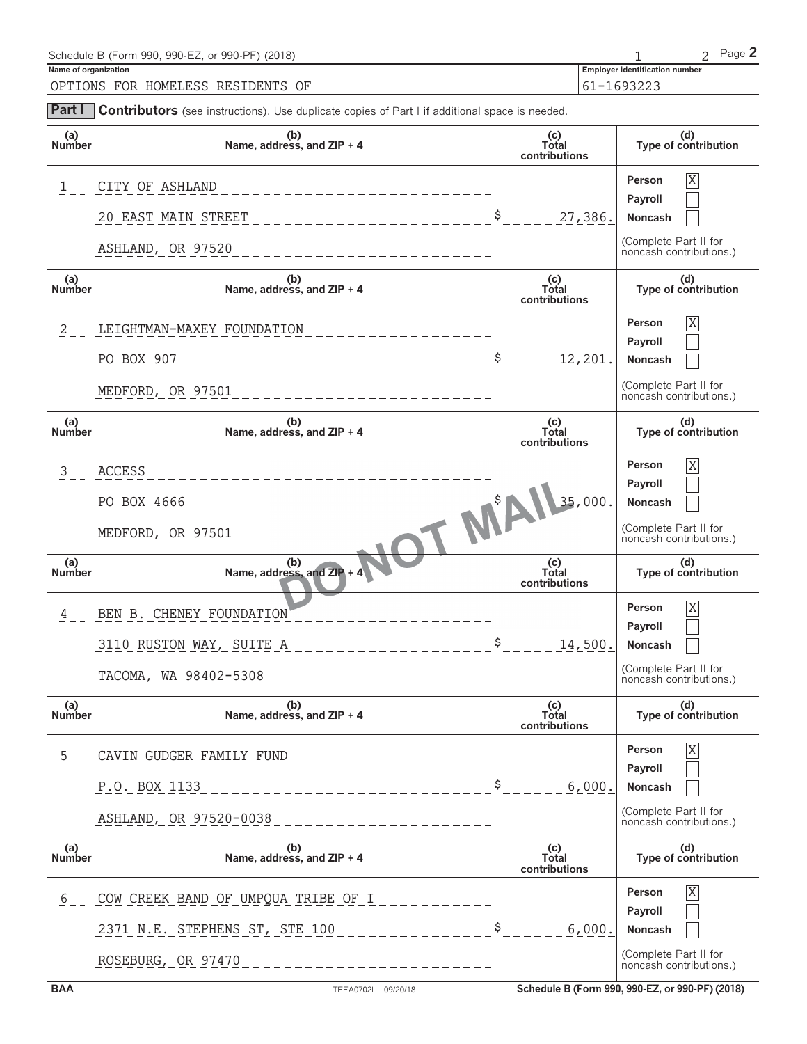| Schedule B (Form 990, 990-EZ, or 990-PF) (2018) |                                       | Page $\blacktriangle$ |
|-------------------------------------------------|---------------------------------------|-----------------------|
| Name of organization                            | <b>Employer identification number</b> |                       |
| OPTIONS FOR HOMELESS RESIDENTS OF               | $61 - 1693223$                        |                       |
|                                                 |                                       |                       |

| Part I               | Contributors (see instructions). Use duplicate copies of Part I if additional space is needed. |                               |                                                  |
|----------------------|------------------------------------------------------------------------------------------------|-------------------------------|--------------------------------------------------|
| (a)<br>Number        | (b)<br>Name, address, and $ZIP + 4$                                                            | (c)<br>Total<br>contributions | (d)<br>Type of contribution                      |
| $\mathbf{1}$         | CITY OF ASHLAND                                                                                |                               | $\overline{\mathrm{X}}$<br>Person                |
|                      | 20 EAST MAIN STREET                                                                            | 27,386.                       | Payroll<br>Noncash                               |
|                      | ASHLAND, OR 97520                                                                              |                               | (Complete Part II for<br>noncash contributions.) |
| (a)<br>Number        | (b)<br>Name, address, and ZIP + 4                                                              | (c)<br>Total<br>contributions | (d)<br>Type of contribution                      |
| $\frac{2}{2}$        | LEIGHTMAN-MAXEY FOUNDATION                                                                     |                               | $\overline{X}$<br>Person                         |
|                      | PO BOX 907<br>____________________________                                                     | $\frac{1}{2}$<br>12,201.      | Payroll<br>Noncash                               |
|                      | MEDFORD, OR 97501<br>_____________________                                                     |                               | (Complete Part II for<br>noncash contributions.) |
| (a)<br><b>Number</b> | (b)<br>Name, address, and ZIP + 4                                                              | (c)<br>Total<br>contributions | (d)<br>Type of contribution                      |
| $\frac{3}{2}$        | ACCESS<br>___________________                                                                  |                               | $\overline{X}$<br>Person                         |
|                      | PO BOX 4666<br>______________                                                                  | 35,000                        | Payroll<br>Noncash                               |
|                      | MEDFORD, OR 97501                                                                              |                               | (Complete Part II for<br>noncash contributions.) |
| (a)<br><b>Number</b> | Name, address, and $ZIP + 4$                                                                   | (c)<br>Total<br>contributions | (d)<br>Type of contribution                      |
| 4                    | BEN B. CHENEY FOUNDATION                                                                       |                               | X<br>Person                                      |
|                      | 3110 RUSTON WAY, SUITE A                                                                       | \$<br>14,500.                 | Payroll<br>Noncash                               |
|                      | TACOMA, WA 98402-5308<br>_______________                                                       |                               | (Complete Part II for<br>noncash contributions.) |
| (a)<br><b>Number</b> | (b)<br>Name, address, and ZIP + 4                                                              | (c)<br>Total<br>contributions | (d)<br>Type of contribution                      |
| $\frac{5}{2}$ –      | CAVIN GUDGER FAMILY FUND                                                                       |                               | Χ<br>Person<br>Payroll                           |
|                      | P.O. BOX 1133                                                                                  | 6,000.                        | Noncash                                          |
|                      | ASHLAND, OR 97520-0038                                                                         |                               | (Complete Part II for<br>noncash contributions.) |
| (a)<br>Number        | (b)<br>Name, address, and ZIP + 4                                                              | (c)<br>Total<br>contributions | (d)<br>Type of contribution                      |
| 6                    | COW CREEK BAND OF UMPQUA TRIBE OF I                                                            |                               | Person<br>Χ                                      |
|                      | 2371 N.E. STEPHENS ST, STE 100                                                                 | 6,000.                        | Payroll<br>Noncash                               |
|                      | ROSEBURG, OR 97470                                                                             |                               | (Complete Part II for<br>noncash contributions.) |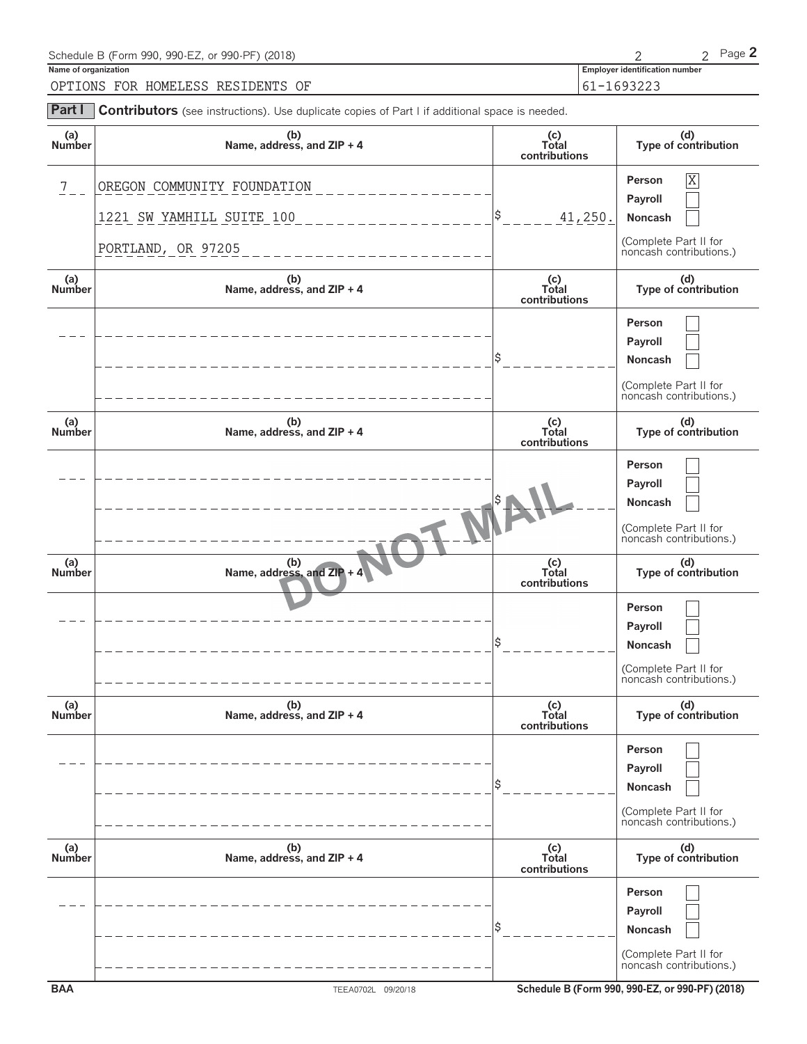| Schedule B (Form 990, 990-EZ, or 990-PF) (2018)                                                              |                                       | Page $2$ |
|--------------------------------------------------------------------------------------------------------------|---------------------------------------|----------|
| Name of organization                                                                                         | <b>Employer identification number</b> |          |
| OPTIONS FOR HOMELESS RESIDENTS OF                                                                            | 61-1693223                            |          |
| <b>Part I</b> Contributors (see instructions). Use duplicate copies of Part I if additional space is needed. |                                       |          |

| (a)<br>Number  | (b)<br>Name, address, and ZIP + 4               | (c)<br>Total<br>contributions | (d)<br>Type of contribution                                                      |
|----------------|-------------------------------------------------|-------------------------------|----------------------------------------------------------------------------------|
| $\overline{7}$ | OREGON COMMUNITY FOUNDATION                     | Ş                             | $\overline{\mathrm{X}}$<br>Person<br>Payroll                                     |
|                | 1221 SW YAMHILL SUITE 100<br>PORTLAND, OR 97205 | 41,250.                       | Noncash<br>(Complete Part II for<br>noncash contributions.)                      |
| (a)<br>Number  | (b)<br>Name, address, and ZIP + 4               | (c)<br>Total<br>contributions | (d)<br>Type of contribution                                                      |
|                |                                                 |                               | Person<br>Payroll<br>Noncash<br>(Complete Part II for<br>noncash contributions.) |
| (a)<br>Number  | (b)<br>Name, address, and ZIP + 4               | (c)<br>Total<br>contributions | (d)<br>Type of contribution                                                      |
|                |                                                 |                               | Person<br>Payroll<br>Noncash<br>(Complete Part II for<br>noncash contributions.) |
| (a)<br>Number  | (b)<br>Name, address, and $ZIP + 4$             | (c)<br>Total<br>contributions | (d)<br>Type of contribution                                                      |
|                |                                                 |                               | Person<br>Payroll<br>Noncash<br>(Complete Part II for<br>noncash contributions.) |
| (a)<br>Number  | (b)<br>Name, address, and ZIP + 4               | (c)<br>Total<br>contributions | (d)<br>Type of contribution                                                      |
|                |                                                 |                               | Person<br>Payroll<br>Noncash<br>(Complete Part II for<br>noncash contributions.) |
| (a)<br>Number  | (b)<br>Name, address, and ZIP + 4               | (c)<br>Total<br>contributions | (d)<br>Type of contribution                                                      |
|                |                                                 |                               | Person<br>Payroll<br>Noncash<br>(Complete Part II for<br>noncash contributions.) |
| <b>BAA</b>     | TEEA0702L 09/20/18                              |                               | Schedule B (Form 990, 990-EZ, or 990-PF) (2018)                                  |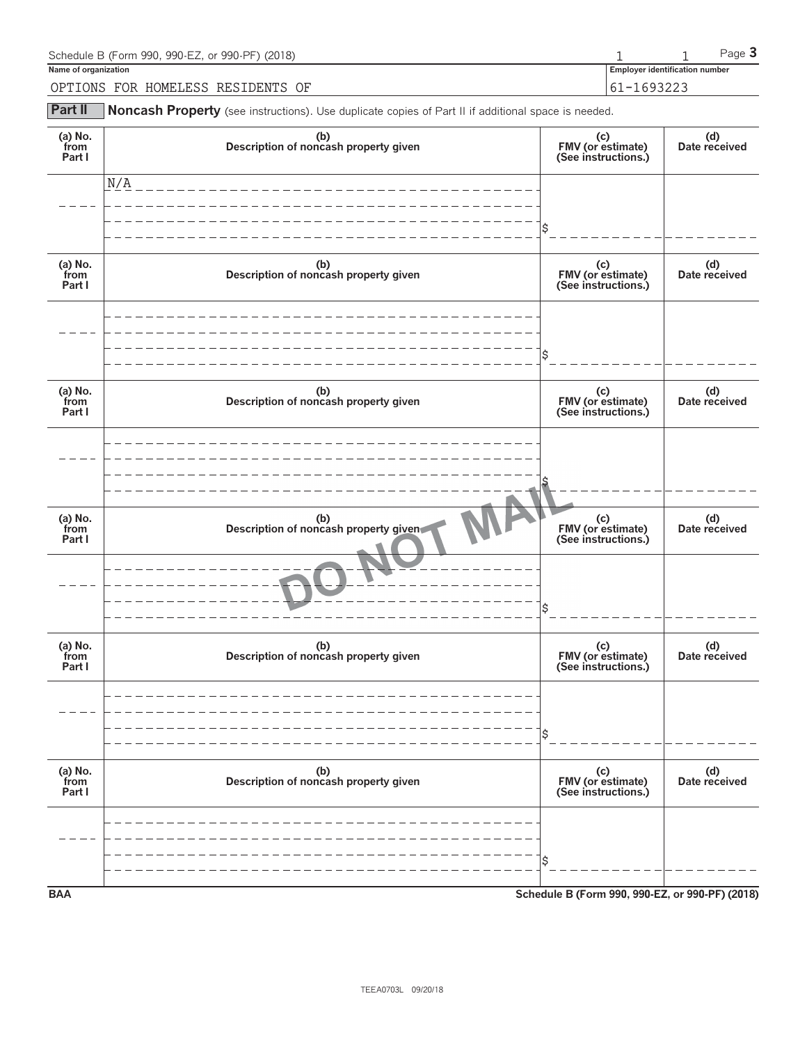| Schedule B (Form 990, 990-EZ, or 990-PF) (2018) |                                | $P$ aqe $\bullet$ |
|-------------------------------------------------|--------------------------------|-------------------|
| Name of organization                            | Employer identification number |                   |
| OPTIONS<br>FOR<br>HOMELESS RESIDENTS<br>- OF    | 1693223<br>$-1$                |                   |

**Part II** Noncash Property (see instructions). Use duplicate copies of Part II if additional space is needed.

| (a) $No.$ from<br>Part I    | (b)<br>Description of noncash property given | (c)<br>FMV (or estimate)<br>(See instructions.) | (d)<br>Date received |
|-----------------------------|----------------------------------------------|-------------------------------------------------|----------------------|
|                             | N/A                                          |                                                 |                      |
|                             |                                              |                                                 |                      |
| (a) No.<br>from<br>Part I   | (b)<br>Description of noncash property given | (c)<br>FMV (or estimate)<br>(See instructions.) | (d)<br>Date received |
|                             |                                              |                                                 |                      |
|                             |                                              |                                                 |                      |
| (a) No.<br>from<br>Part I   | (b)<br>Description of noncash property given | (c)<br>FMV (or estimate)<br>(See instructions.) | (d)<br>Date received |
|                             |                                              |                                                 |                      |
|                             |                                              |                                                 |                      |
| $(a)$ No.<br>from<br>Part I | (b)<br>Description of noncash property given | (c)<br>FMV (or estimate)<br>(See instructions.) | (d)<br>Date received |
|                             |                                              |                                                 |                      |
|                             |                                              |                                                 |                      |
| (a) $No.$ from<br>Part I    | (b)<br>Description of noncash property given | (c)<br>FMV (or estimate)<br>(See instructions.) | (d)<br>Date received |
|                             |                                              |                                                 |                      |
|                             |                                              | \$                                              |                      |
| (a) $No.$ from<br>Part I    | (b)<br>Description of noncash property given | (c)<br>FMV (or estimate)<br>(See instructions.) | (d)<br>Date received |
|                             |                                              |                                                 |                      |
|                             |                                              |                                                 |                      |
| <b>BAA</b>                  |                                              | Schedule B (Form 990, 990-EZ, or 990-PF) (2018) |                      |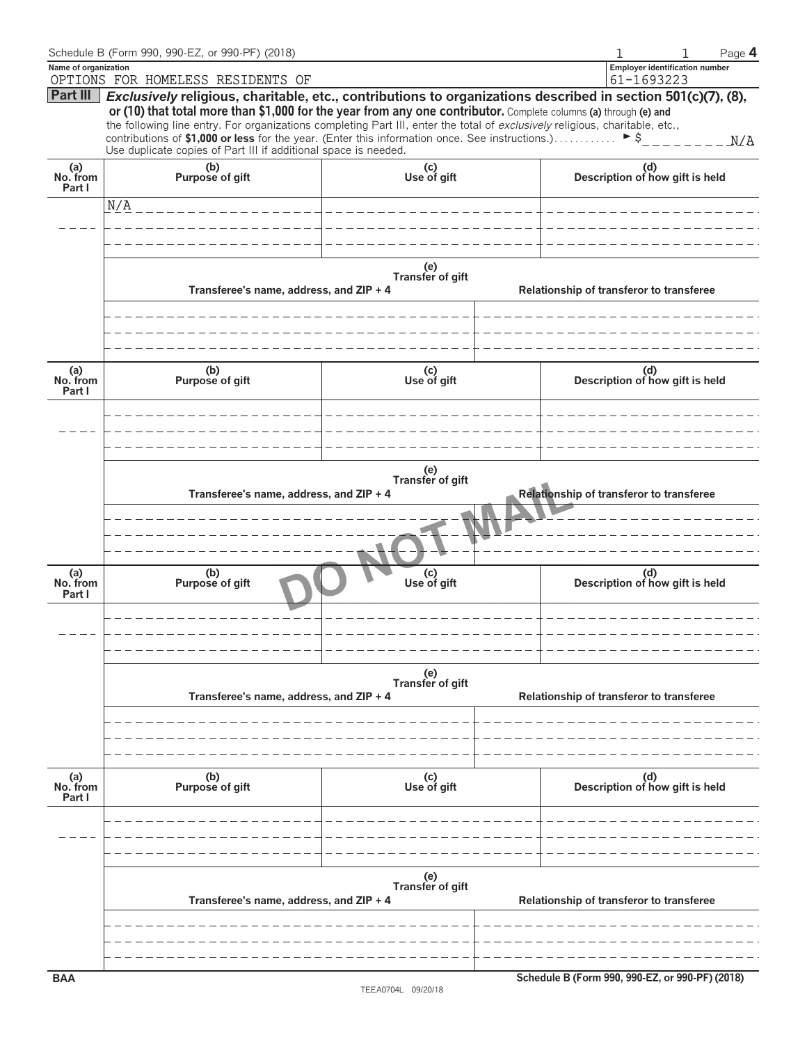|                           | Schedule B (Form 990, 990-EZ, or 990-PF) (2018)                                                                                                                                                                                                                                                                                                                                                                                                                                                                                                                       |                                          | Page 4                                          |
|---------------------------|-----------------------------------------------------------------------------------------------------------------------------------------------------------------------------------------------------------------------------------------------------------------------------------------------------------------------------------------------------------------------------------------------------------------------------------------------------------------------------------------------------------------------------------------------------------------------|------------------------------------------|-------------------------------------------------|
| Name of organization      | OPTIONS FOR HOMELESS RESIDENTS OF                                                                                                                                                                                                                                                                                                                                                                                                                                                                                                                                     |                                          | Employer identification number<br>61-1693223    |
|                           | Part III   Exclusively religious, charitable, etc., contributions to organizations described in section 501(c)(7), (8),<br>or (10) that total more than \$1,000 for the year from any one contributor. Complete columns (a) through (e) and<br>the following line entry. For organizations completing Part III, enter the total of exclusively religious, charitable, etc.,<br>contributions of \$1,000 or less for the year. (Enter this information once. See instructions.) $\triangleright$ \$<br>Use duplicate copies of Part III if additional space is needed. |                                          |                                                 |
| (a)<br>No. from<br>Part I | (b)<br>Purpose of gift                                                                                                                                                                                                                                                                                                                                                                                                                                                                                                                                                | (c)<br>Use of gift                       | (d)<br>Description of how gift is held          |
|                           | N/A                                                                                                                                                                                                                                                                                                                                                                                                                                                                                                                                                                   |                                          |                                                 |
|                           |                                                                                                                                                                                                                                                                                                                                                                                                                                                                                                                                                                       |                                          |                                                 |
|                           |                                                                                                                                                                                                                                                                                                                                                                                                                                                                                                                                                                       |                                          |                                                 |
|                           | Transferee's name, address, and ZIP + 4                                                                                                                                                                                                                                                                                                                                                                                                                                                                                                                               | (e)<br>Transfer of gift                  | Relationship of transferor to transferee        |
|                           |                                                                                                                                                                                                                                                                                                                                                                                                                                                                                                                                                                       |                                          |                                                 |
| (a)<br>No. from<br>Part I | (b)<br>Purpose of gift                                                                                                                                                                                                                                                                                                                                                                                                                                                                                                                                                | (c)<br>Use of gift                       | (d)<br>Description of how gift is held          |
|                           |                                                                                                                                                                                                                                                                                                                                                                                                                                                                                                                                                                       |                                          |                                                 |
|                           | Transferee's name, address, and ZIP + 4                                                                                                                                                                                                                                                                                                                                                                                                                                                                                                                               | (e)<br>Transfer of gift                  | Relationship of transferor to transferee        |
| (a)<br>No. from<br>Part I | (b)<br>Purpose of gift                                                                                                                                                                                                                                                                                                                                                                                                                                                                                                                                                | (c)<br>Use of gift                       | (d)<br>Description of how gift is held          |
|                           |                                                                                                                                                                                                                                                                                                                                                                                                                                                                                                                                                                       |                                          |                                                 |
|                           | Transferee's name, address, and ZIP + 4                                                                                                                                                                                                                                                                                                                                                                                                                                                                                                                               | (e)<br>Transfer of gift                  | Relationship of transferor to transferee        |
| (a)<br>No. from<br>Part I | (b)<br>Purpose of gift                                                                                                                                                                                                                                                                                                                                                                                                                                                                                                                                                | (c)<br>Use of gift                       | (d)<br>Description of how gift is held          |
|                           |                                                                                                                                                                                                                                                                                                                                                                                                                                                                                                                                                                       |                                          |                                                 |
|                           | Transferee's name, address, and ZIP + 4                                                                                                                                                                                                                                                                                                                                                                                                                                                                                                                               | Relationship of transferor to transferee |                                                 |
|                           |                                                                                                                                                                                                                                                                                                                                                                                                                                                                                                                                                                       |                                          |                                                 |
| <b>BAA</b>                |                                                                                                                                                                                                                                                                                                                                                                                                                                                                                                                                                                       |                                          | Schedule B (Form 990, 990-EZ, or 990-PF) (2018) |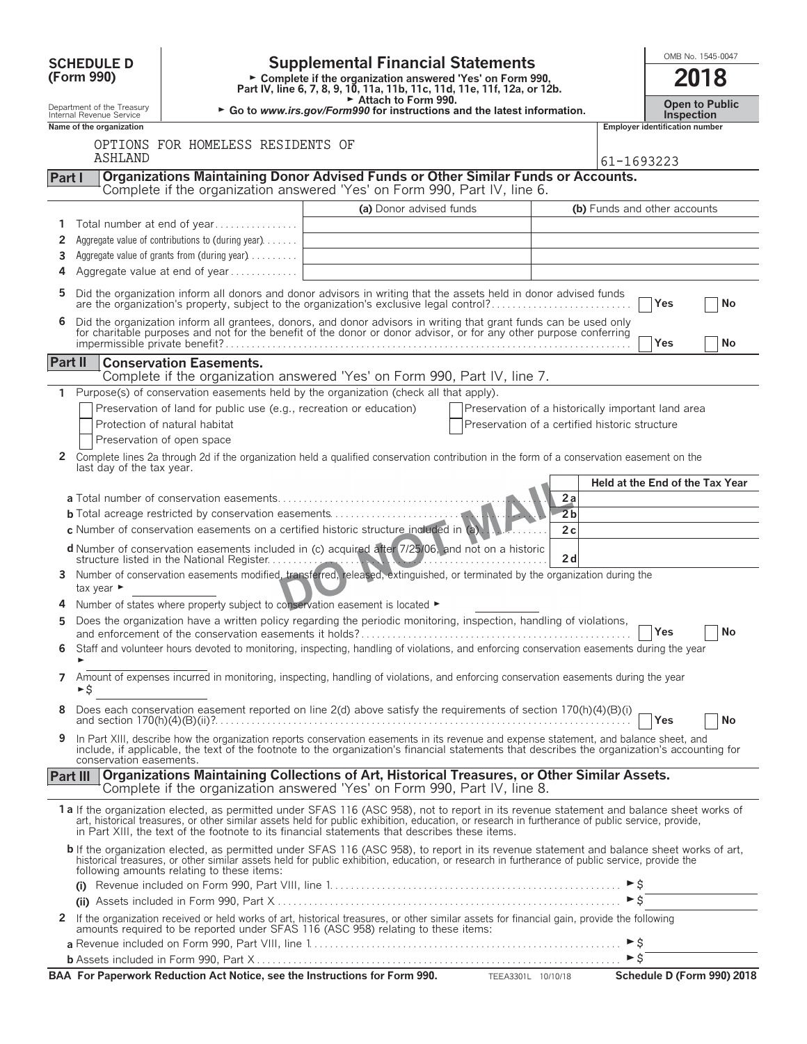|                 | <b>SCHEDULE D</b>                                      |                                                                                                                                                                                                                                                                                                                                                                                                |                                                                                                 |                                                    |                             |                                           |                                       | OMB No. 1545-0047               |
|-----------------|--------------------------------------------------------|------------------------------------------------------------------------------------------------------------------------------------------------------------------------------------------------------------------------------------------------------------------------------------------------------------------------------------------------------------------------------------------------|-------------------------------------------------------------------------------------------------|----------------------------------------------------|-----------------------------|-------------------------------------------|---------------------------------------|---------------------------------|
|                 | (Form 990)                                             | <b>Supplemental Financial Statements</b><br>► Complete if the organization answered 'Yes' on Form 990,<br>Part IV, line 6, 7, 8, 9, 10, 11a, 11b, 11c, 11d, 11e, 11f, 12a, or 12b.                                                                                                                                                                                                             |                                                                                                 |                                                    |                             |                                           | 2018                                  |                                 |
|                 | Department of the Treasury<br>Internal Revenue Service |                                                                                                                                                                                                                                                                                                                                                                                                | Attach to Form 990.<br>► Go to www.irs.gov/Form990 for instructions and the latest information. |                                                    |                             |                                           |                                       |                                 |
|                 | Name of the organization                               |                                                                                                                                                                                                                                                                                                                                                                                                |                                                                                                 |                                                    |                             |                                           | <b>Employer identification number</b> |                                 |
|                 | <b>ASHLAND</b>                                         | OPTIONS FOR HOMELESS RESIDENTS OF                                                                                                                                                                                                                                                                                                                                                              |                                                                                                 |                                                    |                             | 61-1693223                                |                                       |                                 |
| Part I          |                                                        | Organizations Maintaining Donor Advised Funds or Other Similar Funds or Accounts.<br>Complete if the organization answered 'Yes' on Form 990, Part IV, line 6.                                                                                                                                                                                                                                 |                                                                                                 |                                                    |                             |                                           |                                       |                                 |
|                 |                                                        |                                                                                                                                                                                                                                                                                                                                                                                                | (a) Donor advised funds                                                                         |                                                    |                             |                                           | (b) Funds and other accounts          |                                 |
| 1               |                                                        | Total number at end of year                                                                                                                                                                                                                                                                                                                                                                    |                                                                                                 |                                                    |                             |                                           |                                       |                                 |
| 2               |                                                        | Aggregate value of contributions to (during year)                                                                                                                                                                                                                                                                                                                                              |                                                                                                 |                                                    |                             |                                           |                                       |                                 |
| 3<br>4          |                                                        | Aggregate value of grants from (during year)<br>Aggregate value at end of year                                                                                                                                                                                                                                                                                                                 |                                                                                                 |                                                    |                             |                                           |                                       |                                 |
| 5               |                                                        | Did the organization inform all donors and donor advisors in writing that the assets held in donor advised funds                                                                                                                                                                                                                                                                               |                                                                                                 |                                                    |                             |                                           |                                       |                                 |
| 6               |                                                        | are the organization's property, subject to the organization's exclusive legal control?<br>Did the organization inform all grantees, donors, and donor advisors in writing that grant funds can be used only                                                                                                                                                                                   |                                                                                                 |                                                    |                             |                                           | Yes                                   | No                              |
|                 |                                                        | for charitable purposes and not for the benefit of the donor or donor advisor, or for any other purpose conferring                                                                                                                                                                                                                                                                             |                                                                                                 |                                                    |                             |                                           | Yes                                   | No                              |
| Part II         |                                                        | <b>Conservation Easements.</b>                                                                                                                                                                                                                                                                                                                                                                 |                                                                                                 |                                                    |                             |                                           |                                       |                                 |
|                 |                                                        | Complete if the organization answered 'Yes' on Form 990, Part IV, line 7.                                                                                                                                                                                                                                                                                                                      |                                                                                                 |                                                    |                             |                                           |                                       |                                 |
| 1.              |                                                        | Purpose(s) of conservation easements held by the organization (check all that apply).                                                                                                                                                                                                                                                                                                          |                                                                                                 |                                                    |                             |                                           |                                       |                                 |
|                 |                                                        | Preservation of land for public use (e.g., recreation or education)                                                                                                                                                                                                                                                                                                                            |                                                                                                 | Preservation of a historically important land area |                             |                                           |                                       |                                 |
|                 |                                                        | Protection of natural habitat                                                                                                                                                                                                                                                                                                                                                                  |                                                                                                 | Preservation of a certified historic structure     |                             |                                           |                                       |                                 |
| 2               |                                                        | Preservation of open space<br>Complete lines 2a through 2d if the organization held a qualified conservation contribution in the form of a conservation easement on the                                                                                                                                                                                                                        |                                                                                                 |                                                    |                             |                                           |                                       |                                 |
|                 | last day of the tax year.                              |                                                                                                                                                                                                                                                                                                                                                                                                |                                                                                                 |                                                    |                             |                                           |                                       | Held at the End of the Tax Year |
|                 |                                                        |                                                                                                                                                                                                                                                                                                                                                                                                |                                                                                                 |                                                    | 2a                          |                                           |                                       |                                 |
|                 |                                                        | <b>b</b> Total acreage restricted by conservation easements                                                                                                                                                                                                                                                                                                                                    |                                                                                                 |                                                    | $\overline{2}$ <sub>b</sub> |                                           |                                       |                                 |
|                 |                                                        | c Number of conservation easements on a certified historic structure included in (a)                                                                                                                                                                                                                                                                                                           |                                                                                                 |                                                    | 2c                          |                                           |                                       |                                 |
|                 |                                                        | d Number of conservation easements included in (c) acquired after 7/25/06, and not on a historic                                                                                                                                                                                                                                                                                               |                                                                                                 |                                                    | 2d                          |                                           |                                       |                                 |
| 3               | tax year $\blacktriangleright$                         | Number of conservation easements modified, transferred, released, extinguished, or terminated by the organization during the                                                                                                                                                                                                                                                                   |                                                                                                 |                                                    |                             |                                           |                                       |                                 |
|                 |                                                        | Number of states where property subject to conservation easement is located ►                                                                                                                                                                                                                                                                                                                  |                                                                                                 |                                                    |                             |                                           |                                       |                                 |
|                 |                                                        | Does the organization have a written policy regarding the periodic monitoring, inspection, handling of violations,                                                                                                                                                                                                                                                                             |                                                                                                 |                                                    |                             |                                           |                                       |                                 |
| 6               |                                                        | Staff and volunteer hours devoted to monitoring, inspecting, handling of violations, and enforcing conservation easements during the year                                                                                                                                                                                                                                                      |                                                                                                 |                                                    |                             |                                           | $\neg$ Yes                            | No                              |
|                 |                                                        |                                                                                                                                                                                                                                                                                                                                                                                                |                                                                                                 |                                                    |                             |                                           |                                       |                                 |
| 7               | ►\$                                                    | Amount of expenses incurred in monitoring, inspecting, handling of violations, and enforcing conservation easements during the year                                                                                                                                                                                                                                                            |                                                                                                 |                                                    |                             |                                           |                                       |                                 |
| 8               |                                                        | Does each conservation easement reported on line 2(d) above satisfy the requirements of section 170(h)(4)(B)(i)                                                                                                                                                                                                                                                                                |                                                                                                 |                                                    |                             |                                           | Yes                                   | No                              |
| 9               | conservation easements.                                | In Part XIII, describe how the organization reports conservation easements in its revenue and expense statement, and balance sheet, and<br>include, if applicable, the text of the footnote to the organization's financial statements that describes the organization's accounting for                                                                                                        |                                                                                                 |                                                    |                             |                                           |                                       |                                 |
| <b>Part III</b> |                                                        | Organizations Maintaining Collections of Art, Historical Treasures, or Other Similar Assets.<br>Complete if the organization answered 'Yes' on Form 990, Part IV, line 8.                                                                                                                                                                                                                      |                                                                                                 |                                                    |                             |                                           |                                       |                                 |
|                 |                                                        | 1a If the organization elected, as permitted under SFAS 116 (ASC 958), not to report in its revenue statement and balance sheet works of<br>art, historical treasures, or other similar assets held for public exhibition, education, or research in furtherance of public service, provide,<br>in Part XIII, the text of the footnote to its financial statements that describes these items. |                                                                                                 |                                                    |                             |                                           |                                       |                                 |
|                 |                                                        | <b>b</b> If the organization elected, as permitted under SFAS 116 (ASC 958), to report in its revenue statement and balance sheet works of art,<br>historical treasures, or other similar assets held for public exhibition, education, or research in furtherance of public service, provide the<br>following amounts relating to these items:                                                |                                                                                                 |                                                    |                             |                                           |                                       |                                 |
|                 |                                                        |                                                                                                                                                                                                                                                                                                                                                                                                |                                                                                                 |                                                    |                             | $\triangleright$ S<br>$\triangleright$ \$ |                                       |                                 |
|                 |                                                        |                                                                                                                                                                                                                                                                                                                                                                                                |                                                                                                 |                                                    |                             |                                           |                                       |                                 |
| $\mathbf{2}$    |                                                        | If the organization received or held works of art, historical treasures, or other similar assets for financial gain, provide the following<br>amounts required to be reported under SFAS 116 (ASC 958) relating to these items:                                                                                                                                                                |                                                                                                 |                                                    |                             | $\blacktriangleright$ \$                  |                                       |                                 |
|                 |                                                        |                                                                                                                                                                                                                                                                                                                                                                                                |                                                                                                 |                                                    |                             |                                           |                                       |                                 |
|                 |                                                        |                                                                                                                                                                                                                                                                                                                                                                                                | BAA For Paperwork Reduction Act Notice, see the Instructions for Form 990. TEEA3301L 10/10/18   |                                                    |                             |                                           |                                       | Schedule D (Form 990) 2018      |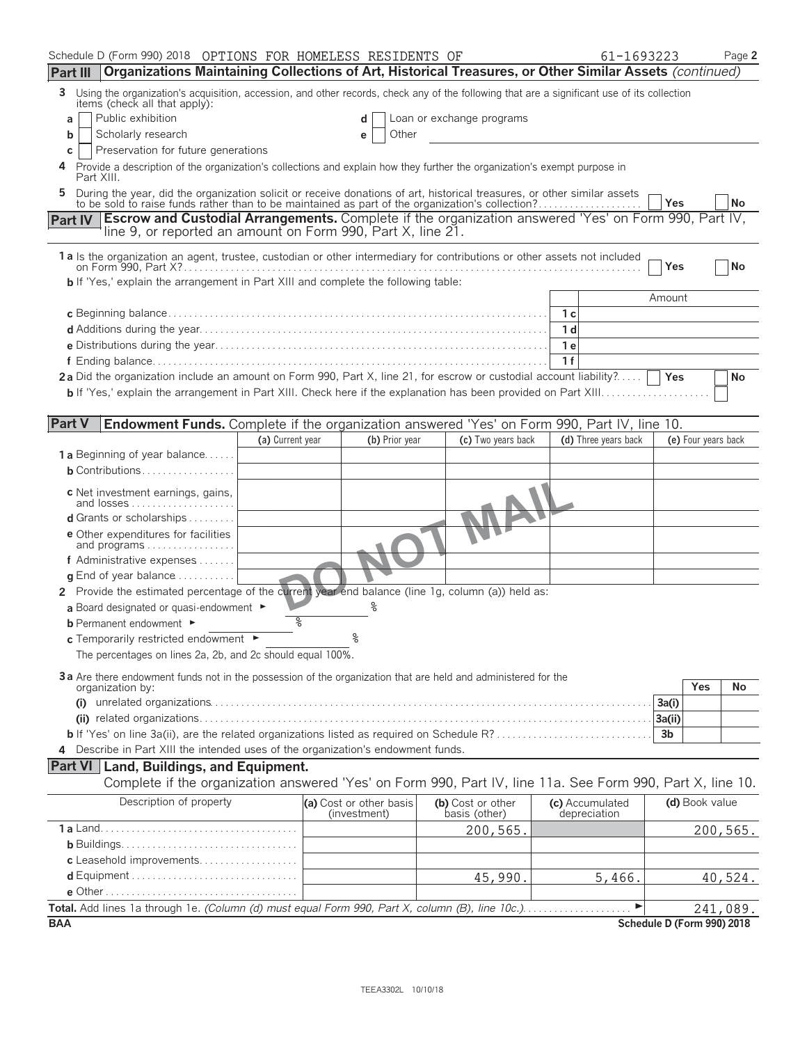| Schedule D (Form 990) 2018 OPTIONS FOR HOMELESS RESIDENTS OF                                                                                                                                                              |                  |                                         |                |                                    | 61-1693223                      |                            | Page 2    |
|---------------------------------------------------------------------------------------------------------------------------------------------------------------------------------------------------------------------------|------------------|-----------------------------------------|----------------|------------------------------------|---------------------------------|----------------------------|-----------|
| Organizations Maintaining Collections of Art, Historical Treasures, or Other Similar Assets (continued)<br>Part III                                                                                                       |                  |                                         |                |                                    |                                 |                            |           |
| Using the organization's acquisition, accession, and other records, check any of the following that are a significant use of its collection<br>3<br>items (check all that apply):                                         |                  |                                         |                |                                    |                                 |                            |           |
| Public exhibition<br>a                                                                                                                                                                                                    |                  |                                         | d              | Loan or exchange programs          |                                 |                            |           |
| Scholarly research<br>b                                                                                                                                                                                                   |                  |                                         | Other<br>е     |                                    |                                 |                            |           |
| Preservation for future generations<br>С                                                                                                                                                                                  |                  |                                         |                |                                    |                                 |                            |           |
| Provide a description of the organization's collections and explain how they further the organization's exempt purpose in<br>Part XIII.                                                                                   |                  |                                         |                |                                    |                                 |                            |           |
| During the year, did the organization solicit or receive donations of art, historical treasures, or other similar assets to be sold to raise funds rather than to be maintained as part of the organization's collection? |                  |                                         |                |                                    |                                 |                            |           |
|                                                                                                                                                                                                                           |                  |                                         |                |                                    |                                 | Yes                        | <b>No</b> |
| <b>Escrow and Custodial Arrangements.</b> Complete if the organization answered 'Yes' on Form 990, Part IV,<br>Part IV<br>line 9, or reported an amount on Form 990, Part X, line 21.                                     |                  |                                         |                |                                    |                                 |                            |           |
| 1a Is the organization an agent, trustee, custodian or other intermediary for contributions or other assets not included                                                                                                  |                  |                                         |                |                                    |                                 |                            |           |
|                                                                                                                                                                                                                           |                  |                                         |                |                                    |                                 | Yes                        | No        |
| <b>b</b> If 'Yes,' explain the arrangement in Part XIII and complete the following table:                                                                                                                                 |                  |                                         |                |                                    |                                 |                            |           |
|                                                                                                                                                                                                                           |                  |                                         |                |                                    |                                 | Amount                     |           |
|                                                                                                                                                                                                                           |                  |                                         |                |                                    | 1 с                             |                            |           |
|                                                                                                                                                                                                                           |                  |                                         |                |                                    | 1 d                             |                            |           |
|                                                                                                                                                                                                                           |                  |                                         |                |                                    | 1 e                             |                            |           |
|                                                                                                                                                                                                                           |                  |                                         |                |                                    | 1f                              |                            |           |
| 2a Did the organization include an amount on Form 990, Part X, line 21, for escrow or custodial account liability?                                                                                                        |                  |                                         |                |                                    |                                 | Yes                        | No        |
|                                                                                                                                                                                                                           |                  |                                         |                |                                    |                                 |                            |           |
| <b>Part V</b><br><b>Endowment Funds.</b> Complete if the organization answered 'Yes' on Form 990, Part IV, line 10.                                                                                                       |                  |                                         |                |                                    |                                 |                            |           |
|                                                                                                                                                                                                                           | (a) Current year |                                         | (b) Prior year | (c) Two years back                 | (d) Three years back            | (e) Four years back        |           |
| <b>1 a</b> Beginning of year balance                                                                                                                                                                                      |                  |                                         |                |                                    |                                 |                            |           |
| <b>b</b> Contributions                                                                                                                                                                                                    |                  |                                         |                |                                    |                                 |                            |           |
|                                                                                                                                                                                                                           |                  |                                         |                |                                    |                                 |                            |           |
| c Net investment earnings, gains,<br>and losses                                                                                                                                                                           |                  |                                         |                |                                    |                                 |                            |           |
| d Grants or scholarships                                                                                                                                                                                                  |                  |                                         |                |                                    |                                 |                            |           |
| e Other expenditures for facilities                                                                                                                                                                                       |                  |                                         |                |                                    |                                 |                            |           |
| and programs                                                                                                                                                                                                              |                  |                                         |                |                                    |                                 |                            |           |
| f Administrative expenses                                                                                                                                                                                                 |                  |                                         |                |                                    |                                 |                            |           |
| $\alpha$ End of year balance $\ldots \ldots \ldots$                                                                                                                                                                       |                  |                                         |                |                                    |                                 |                            |           |
| 2 Provide the estimated percentage of the current year end balance (line 1g, column (a)) held as:                                                                                                                         |                  |                                         |                |                                    |                                 |                            |           |
| a Board designated or quasi-endowment ►                                                                                                                                                                                   |                  |                                         |                |                                    |                                 |                            |           |
| <b>b</b> Permanent endowment ►                                                                                                                                                                                            | နွ               | ٥                                       |                |                                    |                                 |                            |           |
| c Temporarily restricted endowment ►                                                                                                                                                                                      |                  |                                         |                |                                    |                                 |                            |           |
| The percentages on lines 2a, 2b, and 2c should equal 100%.                                                                                                                                                                |                  |                                         |                |                                    |                                 |                            |           |
| 3a Are there endowment funds not in the possession of the organization that are held and administered for the                                                                                                             |                  |                                         |                |                                    |                                 |                            |           |
| organization by:                                                                                                                                                                                                          |                  |                                         |                |                                    |                                 | Yes                        | No        |
|                                                                                                                                                                                                                           |                  |                                         |                |                                    |                                 | 3a(i)                      |           |
|                                                                                                                                                                                                                           |                  |                                         |                |                                    |                                 | 3a(ii)                     |           |
|                                                                                                                                                                                                                           |                  |                                         |                |                                    |                                 | 3 <sub>b</sub>             |           |
| 4 Describe in Part XIII the intended uses of the organization's endowment funds.                                                                                                                                          |                  |                                         |                |                                    |                                 |                            |           |
| <b>Part VI</b> Land, Buildings, and Equipment.                                                                                                                                                                            |                  |                                         |                |                                    |                                 |                            |           |
| Complete if the organization answered 'Yes' on Form 990, Part IV, line 11a. See Form 990, Part X, line 10.                                                                                                                |                  |                                         |                |                                    |                                 |                            |           |
| Description of property                                                                                                                                                                                                   |                  | (a) Cost or other basis<br>(investment) |                | (b) Cost or other<br>basis (other) | (c) Accumulated<br>depreciation | (d) Book value             |           |
|                                                                                                                                                                                                                           |                  |                                         |                | 200,565.                           |                                 |                            | 200, 565. |
|                                                                                                                                                                                                                           |                  |                                         |                |                                    |                                 |                            |           |
| c Leasehold improvements                                                                                                                                                                                                  |                  |                                         |                |                                    |                                 |                            |           |
|                                                                                                                                                                                                                           |                  |                                         |                | 45,990.                            | 5,466.                          |                            | 40,524.   |
|                                                                                                                                                                                                                           |                  |                                         |                |                                    |                                 |                            |           |
|                                                                                                                                                                                                                           |                  |                                         |                |                                    |                                 |                            | 241,089.  |
| <b>BAA</b>                                                                                                                                                                                                                |                  |                                         |                |                                    |                                 | Schedule D (Form 990) 2018 |           |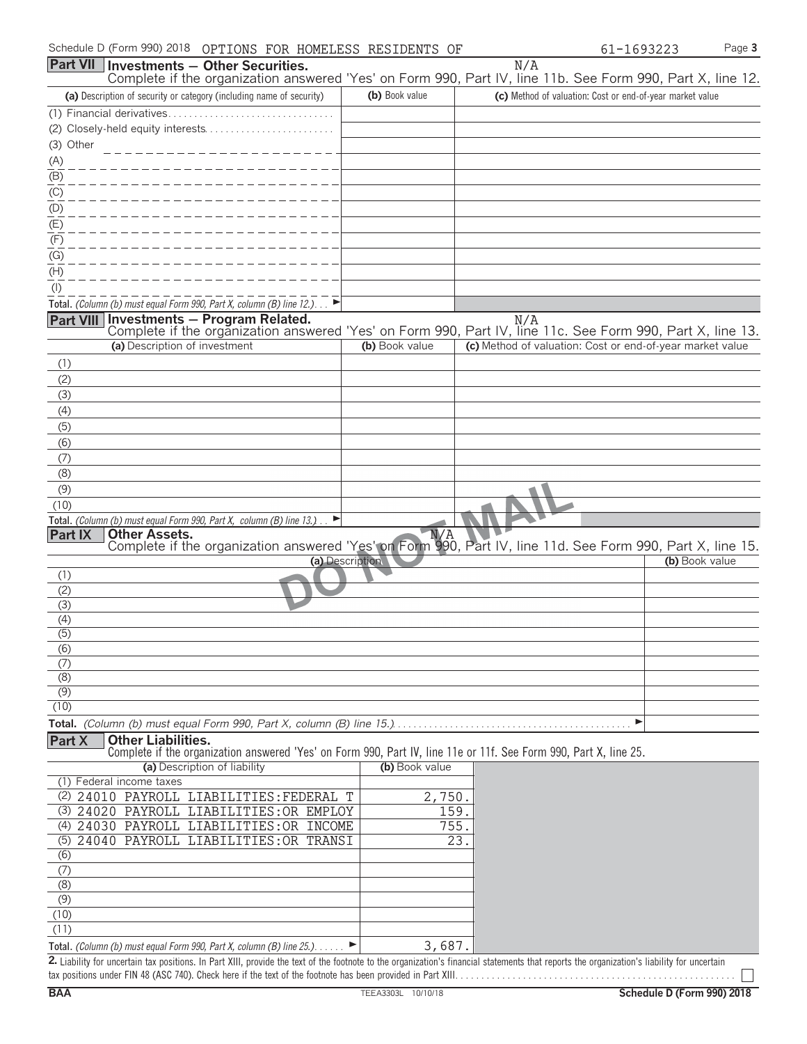|                  |                               | Part VII   Investments - Other Securities.                                   |                 | N/A                                                                                                               |                |
|------------------|-------------------------------|------------------------------------------------------------------------------|-----------------|-------------------------------------------------------------------------------------------------------------------|----------------|
|                  |                               |                                                                              |                 | Complete if the organization answered 'Yes' on Form 990, Part IV, line 11b. See Form 990, Part X, line 12.        |                |
|                  |                               | (a) Description of security or category (including name of security)         | (b) Book value  | (c) Method of valuation: Cost or end-of-year market value                                                         |                |
|                  |                               |                                                                              |                 |                                                                                                                   |                |
|                  |                               |                                                                              |                 |                                                                                                                   |                |
| (3) Other        |                               | _______________                                                              |                 |                                                                                                                   |                |
| (A)              |                               |                                                                              |                 |                                                                                                                   |                |
| (B)              |                               |                                                                              |                 |                                                                                                                   |                |
| (C)              |                               |                                                                              |                 |                                                                                                                   |                |
| (D)              |                               |                                                                              |                 |                                                                                                                   |                |
| (E)              |                               |                                                                              |                 |                                                                                                                   |                |
| (F)              |                               |                                                                              |                 |                                                                                                                   |                |
| (G)              |                               |                                                                              |                 |                                                                                                                   |                |
| (H)              |                               |                                                                              |                 |                                                                                                                   |                |
| $($ l $)$        |                               |                                                                              |                 |                                                                                                                   |                |
|                  |                               | Total. (Column (b) must equal Form 990, Part X, column (B) line 12.). $\Box$ |                 |                                                                                                                   |                |
|                  |                               | Part VIII Investments - Program Related.                                     |                 | N/A<br>Complete if the organization answered 'Yes' on Form 990, Part IV, line 11c. See Form 990, Part X, line 13. |                |
|                  | (a) Description of investment |                                                                              | (b) Book value  | (c) Method of valuation: Cost or end-of-year market value                                                         |                |
|                  |                               |                                                                              |                 |                                                                                                                   |                |
| (1)<br>(2)       |                               |                                                                              |                 |                                                                                                                   |                |
| (3)              |                               |                                                                              |                 |                                                                                                                   |                |
| (4)              |                               |                                                                              |                 |                                                                                                                   |                |
| (5)              |                               |                                                                              |                 |                                                                                                                   |                |
| (6)              |                               |                                                                              |                 |                                                                                                                   |                |
| (7)              |                               |                                                                              |                 |                                                                                                                   |                |
| (8)              |                               |                                                                              |                 |                                                                                                                   |                |
| (9)              |                               |                                                                              |                 |                                                                                                                   |                |
| (10)             |                               |                                                                              |                 |                                                                                                                   |                |
|                  |                               | Total. (Column (b) must equal Form 990, Part X, column (B) line $13.$ )      |                 |                                                                                                                   |                |
| <b>Part IX</b>   | <b>Other Assets.</b>          |                                                                              | N/A             |                                                                                                                   |                |
|                  |                               |                                                                              |                 | Complete if the organization answered 'Yes' on Form 990, Part IV, line 11d. See Form 990, Part X, line 15.        |                |
|                  |                               |                                                                              | (a) Description |                                                                                                                   | (b) Book value |
| (1)<br>(2)       |                               |                                                                              |                 |                                                                                                                   |                |
| (3)              |                               |                                                                              |                 |                                                                                                                   |                |
| (4)              |                               |                                                                              |                 |                                                                                                                   |                |
| $\overline{(5)}$ |                               |                                                                              |                 |                                                                                                                   |                |
| (6)              |                               |                                                                              |                 |                                                                                                                   |                |
| (7)              |                               |                                                                              |                 |                                                                                                                   |                |
| (8)              |                               |                                                                              |                 |                                                                                                                   |                |
| (9)              |                               |                                                                              |                 |                                                                                                                   |                |
| (10)             |                               |                                                                              |                 |                                                                                                                   |                |
|                  |                               |                                                                              |                 |                                                                                                                   |                |
| Part X           | <b>Other Liabilities.</b>     |                                                                              |                 | Complete if the organization answered 'Yes' on Form 990, Part IV, line 11e or 11f. See Form 990, Part X, line 25. |                |
|                  |                               | (a) Description of liability                                                 | (b) Book value  |                                                                                                                   |                |
|                  | (1) Federal income taxes      |                                                                              |                 |                                                                                                                   |                |
|                  |                               | (2) 24010 PAYROLL LIABILITIES: FEDERAL T                                     | 2,750.          |                                                                                                                   |                |
|                  |                               | (3) 24020 PAYROLL LIABILITIES: OR EMPLOY                                     | 159.            |                                                                                                                   |                |
|                  |                               | (4) 24030 PAYROLL LIABILITIES: OR INCOME                                     | 755.            |                                                                                                                   |                |
|                  |                               | (5) 24040 PAYROLL LIABILITIES: OR TRANSI                                     |                 | 23.                                                                                                               |                |
| (6)              |                               |                                                                              |                 |                                                                                                                   |                |
| (7)              |                               |                                                                              |                 |                                                                                                                   |                |
| (8)              |                               |                                                                              |                 |                                                                                                                   |                |
| (9)              |                               |                                                                              |                 |                                                                                                                   |                |
| (10)             |                               |                                                                              |                 |                                                                                                                   |                |
| (11)             |                               |                                                                              |                 |                                                                                                                   |                |
|                  |                               | Total. (Column (b) must equal Form 990, Part X, column (B) line 25.).        | 3,687.          |                                                                                                                   |                |

**2.** Liability for uncertain tax positions. In Part XIII, provide the text of the footnote to the organization's financial statements that reports the organization's liability for uncertain tax positions under FIN 48 (ASC 740). Check here if the text of the footnote has been provided in Part XIII. . . . . . . . . . . . . . . . . . . . . . . . . . . . . . . . . . . . . . . . . . . . . . . . . . . . . .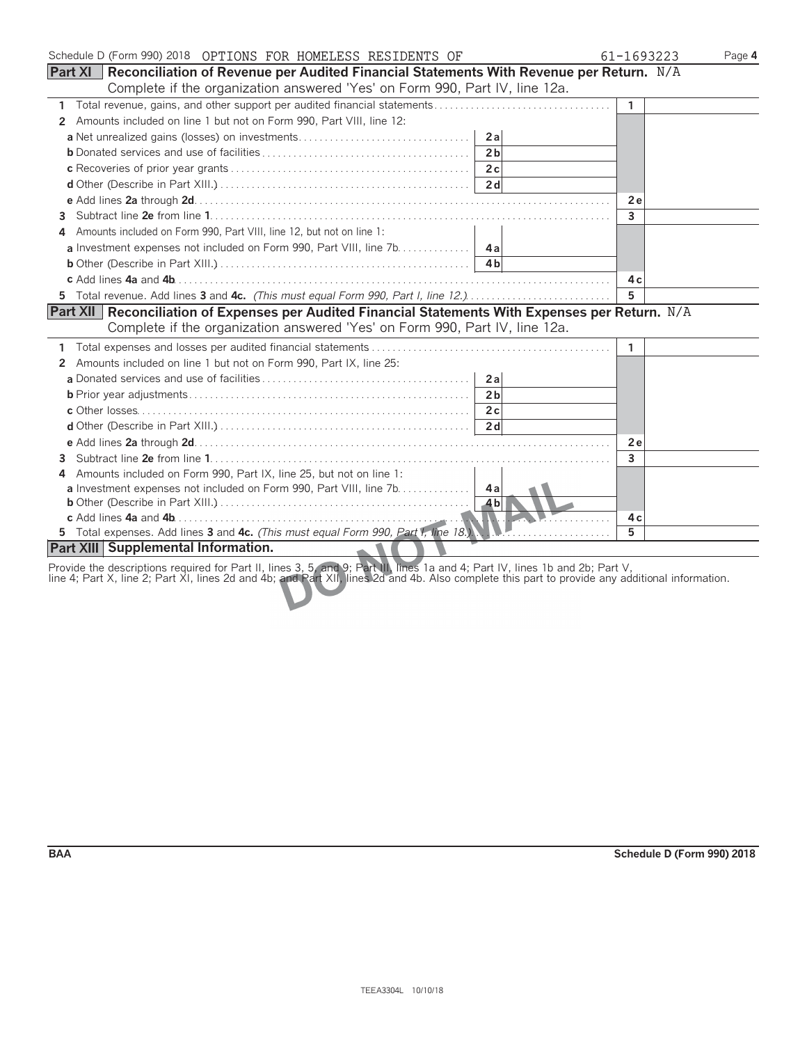| Schedule D (Form 990) 2018 OPTIONS FOR HOMELESS RESIDENTS OF                                              | 61-1693223   | Page 4 |
|-----------------------------------------------------------------------------------------------------------|--------------|--------|
| <b>Part XI</b><br>Reconciliation of Revenue per Audited Financial Statements With Revenue per Return. N/A |              |        |
| Complete if the organization answered 'Yes' on Form 990, Part IV, line 12a.                               |              |        |
| $\mathbf{1}$                                                                                              | $\mathbf{1}$ |        |
| Amounts included on line 1 but not on Form 990, Part VIII, line 12:<br>2                                  |              |        |
| 2a                                                                                                        |              |        |
| 2 <sub>b</sub>                                                                                            |              |        |
|                                                                                                           |              |        |
|                                                                                                           |              |        |
|                                                                                                           | 2e           |        |
| 3                                                                                                         | 3            |        |
| Amounts included on Form 990, Part VIII, line 12, but not on line 1:                                      |              |        |
| a Investment expenses not included on Form 990, Part VIII, line 7b. 4a                                    |              |        |
| 4 <sub>h</sub>                                                                                            |              |        |
|                                                                                                           | 4 c          |        |
| 5 Total revenue. Add lines 3 and 4c. (This must equal Form 990, Part I, line 12.)                         | 5            |        |
| Part XII Reconciliation of Expenses per Audited Financial Statements With Expenses per Return. N/A        |              |        |
| Complete if the organization answered 'Yes' on Form 990, Part IV, line 12a.                               |              |        |
|                                                                                                           | 1            |        |
| Amounts included on line 1 but not on Form 990, Part IX, line 25:<br>2                                    |              |        |
| 2a                                                                                                        |              |        |
| 2 <sub>b</sub>                                                                                            |              |        |
| 2c                                                                                                        |              |        |
| 2d                                                                                                        |              |        |
|                                                                                                           | 2e           |        |
| 3                                                                                                         | 3            |        |
| Amounts included on Form 990, Part IX, line 25, but not on line 1:<br>4                                   |              |        |
| <b>a</b> Investment expenses not included on Form 990, Part VIII, line 7b. 4a                             |              |        |
|                                                                                                           |              |        |
|                                                                                                           | 4 c          |        |
| 5 Total expenses. Add lines 3 and 4c. (This must equal Form 990, Part I, line 18.)                        | 5.           |        |
| Part XIII Supplemental Information.                                                                       |              |        |

Provide the descriptions required for Part II, lines 3, 5, and 9; Part III, lines 1a and 4; Part IV, lines 1b and 2b; Part V,

line 4; Part X, line 2; Part XI, lines 2d and 4b; and Part XII, lines 2d and 4b. Also complete this part to provide any additional information.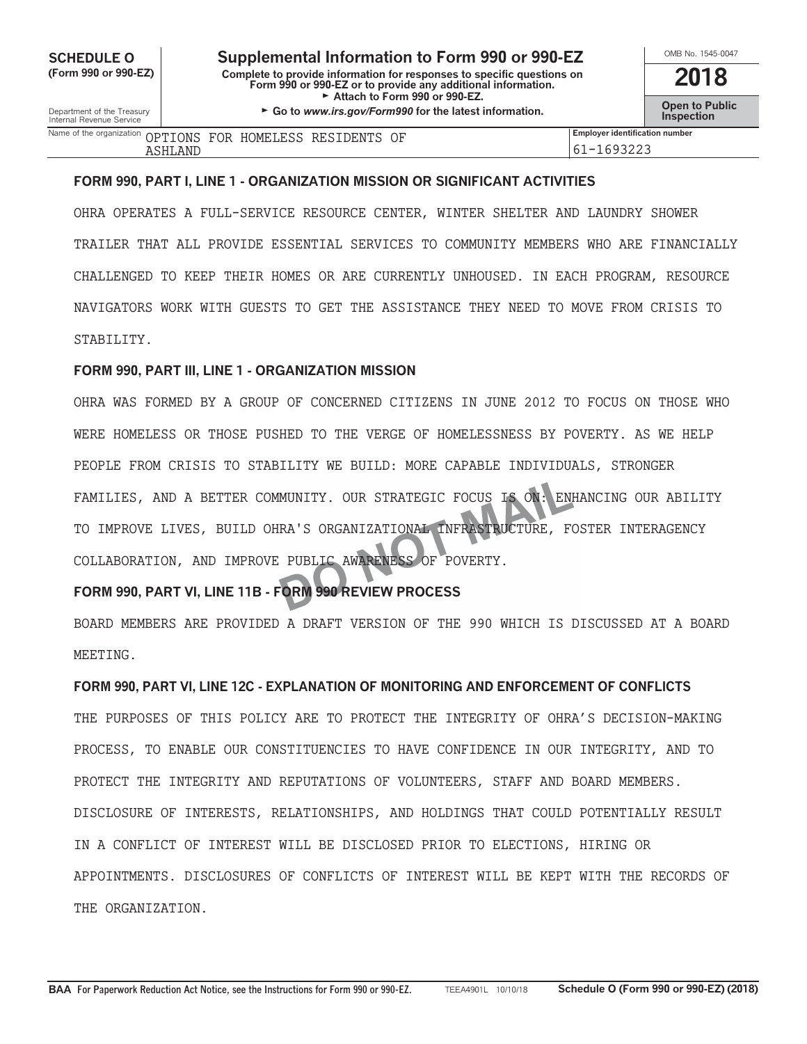**COMB SOMB NO. 1505-0047 Supplemental Information to Form 990 or 990-EZ<br>
Complete to provide information for responses to specific questions on (Form 990 or 990-EZ) Complete to provide information for responses to specific questions on Form 990 or 990-EZ or to provide any additional information. 2018** Attach to Form 990 or 990-EZ.

Department of the Treasury **Constant Comment of the Collaboration Constant Constant Comment Constant Constant Constant Constant Constant Constant Constant Constant Constant Constant Constant Constant Constant Constant C** 

| OMB No. 1545-0047     |
|-----------------------|
| 2018                  |
| <b>Open to Public</b> |

| Name of the organization<br>. | OPTIONS<br>FOR | AELESS<br>HOME.<br>H | RF.S<br>$\ldots$ ) $\mathrm{EN}$ m $\cap$ | ΟF            | <br>Employer identification number |
|-------------------------------|----------------|----------------------|-------------------------------------------|---------------|------------------------------------|
| ∵ יד כב∡                      | .<br>LANI      |                      |                                           | $\sim$ $\sim$ | ĥ<br><u>JLLJ</u><br>ັ              |

#### **FORM 990, PART I, LINE 1 - ORGANIZATION MISSION OR SIGNIFICANT ACTIVITIES**

OHRA OPERATES A FULL-SERVICE RESOURCE CENTER, WINTER SHELTER AND LAUNDRY SHOWER TRAILER THAT ALL PROVIDE ESSENTIAL SERVICES TO COMMUNITY MEMBERS WHO ARE FINANCIALLY CHALLENGED TO KEEP THEIR HOMES OR ARE CURRENTLY UNHOUSED. IN EACH PROGRAM, RESOURCE NAVIGATORS WORK WITH GUESTS TO GET THE ASSISTANCE THEY NEED TO MOVE FROM CRISIS TO STABILITY.

#### **FORM 990, PART III, LINE 1 - ORGANIZATION MISSION**

OHRA WAS FORMED BY A GROUP OF CONCERNED CITIZENS IN JUNE 2012 TO FOCUS ON THOSE WHO WERE HOMELESS OR THOSE PUSHED TO THE VERGE OF HOMELESSNESS BY POVERTY. AS WE HELP PEOPLE FROM CRISIS TO STABILITY WE BUILD: MORE CAPABLE INDIVIDUALS, STRONGER FAMILIES, AND A BETTER COMMUNITY. OUR STRATEGIC FOCUS IS ON: ENHANCING OUR ABILITY TO IMPROVE LIVES, BUILD OHRA'S ORGANIZATIONAL INFRASTRUCTURE, FOSTER INTERAGENCY COLLABORATION, AND IMPROVE PUBLIC AWARENESS OF POVERTY.

### **FORM 990, PART VI, LINE 11B - FORM 990 REVIEW PROCESS**

BOARD MEMBERS ARE PROVIDED A DRAFT VERSION OF THE 990 WHICH IS DISCUSSED AT A BOARD MEETING.

**FORM 990, PART VI, LINE 12C - EXPLANATION OF MONITORING AND ENFORCEMENT OF CONFLICTS** THE PURPOSES OF THIS POLICY ARE TO PROTECT THE INTEGRITY OF OHRA'S DECISION-MAKING PROCESS, TO ENABLE OUR CONSTITUENCIES TO HAVE CONFIDENCE IN OUR INTEGRITY, AND TO PROTECT THE INTEGRITY AND REPUTATIONS OF VOLUNTEERS, STAFF AND BOARD MEMBERS. DISCLOSURE OF INTERESTS, RELATIONSHIPS, AND HOLDINGS THAT COULD POTENTIALLY RESULT IN A CONFLICT OF INTEREST WILL BE DISCLOSED PRIOR TO ELECTIONS, HIRING OR APPOINTMENTS. DISCLOSURES OF CONFLICTS OF INTEREST WILL BE KEPT WITH THE RECORDS OF THE ORGANIZATION.